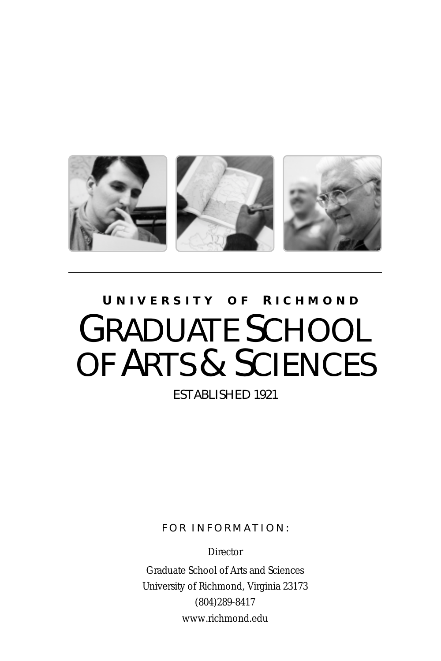

# **U NIVERSITY O F R ICHMOND** GRADUATE SCHOOL OF ARTS & SCIENCES

ESTABLISHED 1921

FOR INFORMATION:

**Director** 

Graduate School of Arts and Sciences University of Richmond, Virginia 23173 (804)289-8417 www.richmond.edu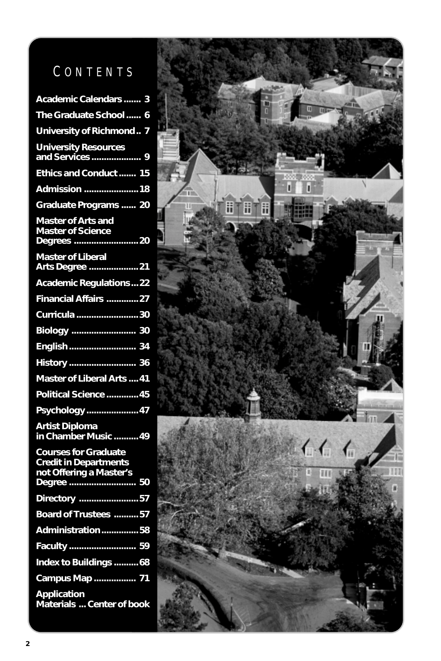# C O N T E N T S

| Academic Calendars  3                                                                  |
|----------------------------------------------------------------------------------------|
| The Graduate School<br>6                                                               |
| University of Richmond<br>7                                                            |
| <b>University Resources</b><br>and Services<br>9                                       |
| Ethics and Conduct  15                                                                 |
| Admission  18                                                                          |
| Graduate Programs  20                                                                  |
| Master of Arts and<br>Master of Science<br>Master of Science<br>20                     |
|                                                                                        |
| <b>Academic Regulations22</b>                                                          |
| Financial Affairs 27                                                                   |
| Curricula  30                                                                          |
|                                                                                        |
| English 34                                                                             |
|                                                                                        |
| Master of Liberal Arts  41                                                             |
| Political Science  45                                                                  |
| Psychology  47                                                                         |
| <b>Artist Diploma</b><br>in Chamber Music  49                                          |
| <b>Courses for Graduate</b><br><b>Credit in Departments</b><br>not Offering a Master's |
| Degree<br>50                                                                           |
| Directory 57                                                                           |
| Board of Trustees 57                                                                   |
| Administration58                                                                       |
| Faculty  59<br>Index to Buildings  68                                                  |
|                                                                                        |
| Campus Map  71                                                                         |
| <b>Application</b><br>Materials  Center of book                                        |

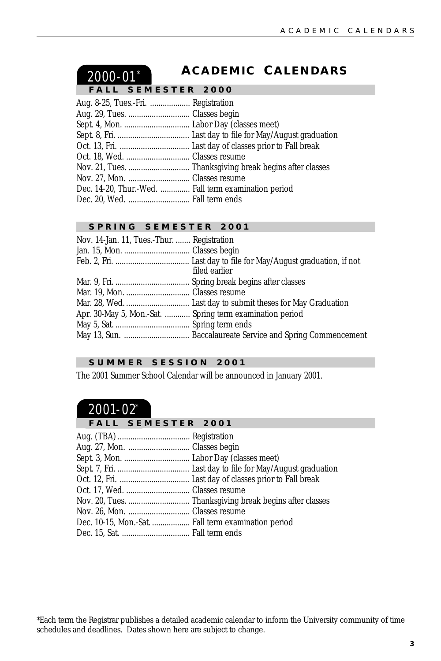## <span id="page-2-0"></span>2000-01\*

### **A CADEMIC C ALENDARS**

#### **SEMESTER 2000**

| Aug. 8-25, Tues.-Fri.  Registration                  |  |
|------------------------------------------------------|--|
|                                                      |  |
|                                                      |  |
|                                                      |  |
|                                                      |  |
|                                                      |  |
|                                                      |  |
|                                                      |  |
| Dec. 14-20, Thur.-Wed.  Fall term examination period |  |
|                                                      |  |

#### **SPRING SEMESTER 2001**

| Nov. 14-Jan. 11, Tues.-Thur.  Registration |                                                          |
|--------------------------------------------|----------------------------------------------------------|
|                                            |                                                          |
|                                            | filed earlier                                            |
|                                            |                                                          |
|                                            |                                                          |
|                                            |                                                          |
|                                            | Apr. 30-May 5, Mon.-Sat.  Spring term examination period |
|                                            |                                                          |
|                                            |                                                          |
|                                            |                                                          |

### **SUMMER SESSION 2001**

The 2001 Summer School Calendar will be announced in January 2001.

## 2001-02\*

#### **FALL SEMESTER 2001**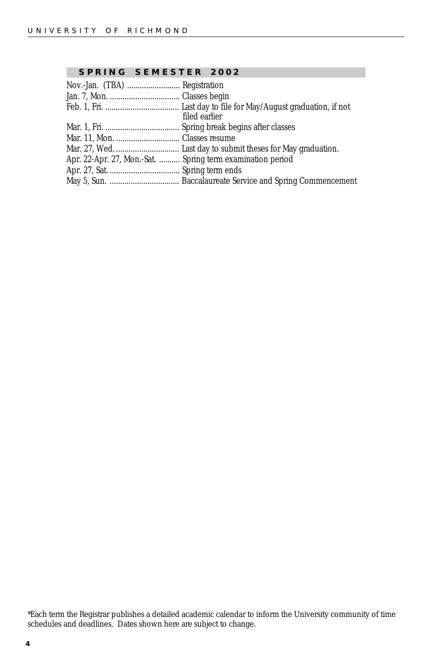#### **SPRING SEMESTER 2002**

| filed earlier                                              |  |
|------------------------------------------------------------|--|
|                                                            |  |
|                                                            |  |
|                                                            |  |
| Apr. 22-Apr. 27, Mon.-Sat.  Spring term examination period |  |
|                                                            |  |
|                                                            |  |

\*Each term the Registrar publishes a detailed academic calendar to inform the University community of time schedules and deadlines. Dates shown here are subject to change.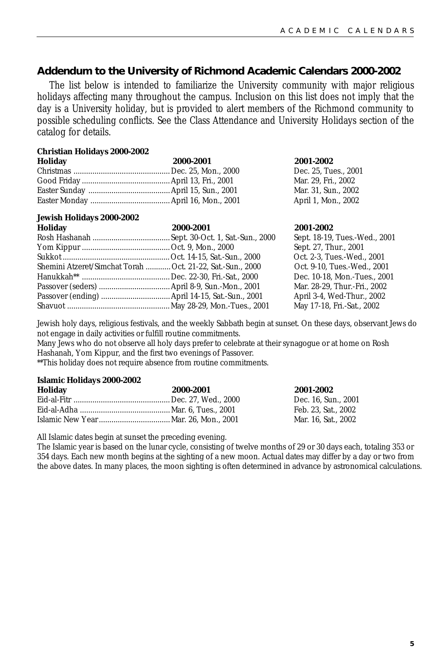### **Addendum to the University of Richmond Academic Calendars 2000-2002**

The list below is intended to familiarize the University community with major religious holidays affecting many throughout the campus. Inclusion on this list does not imply that the day is a University holiday, but is provided to alert members of the Richmond community to possible scheduling conflicts. See the Class Attendance and University Holidays section of the catalog for details.

#### **Christian Holidays 2000-2002**

| Holiday | 2000-2001 | 2001-2002    |
|---------|-----------|--------------|
|         |           | Dec. 25, Tu  |
|         |           | Mar. 29. Fri |
|         |           | Mar. 31. Sui |
|         |           | April 1, Mo  |

#### **Jewish Holidays 2000-2002**

| Holiday                                                    | 2000-2001 | 2001-2002    |
|------------------------------------------------------------|-----------|--------------|
|                                                            |           | Sept. 18-19. |
|                                                            |           | Sept. 27, Th |
|                                                            |           | Oct. 2-3, Tu |
| Shemini Atzeret/Simchat Torah  Oct. 21-22, Sat.-Sun., 2000 |           | Oct. 9-10, T |
|                                                            |           | Dec. 10-18.  |
|                                                            |           | Mar. 28-29.  |
|                                                            |           | April 3-4, W |
|                                                            |           | May 17-18,   |
|                                                            |           |              |

Dec. 25, Tues., 2001 Mar. 29. Fri., 2002 Mar. 31, Sun., 2002 April 1, Mon., 2002

Sept. 18-19, Tues.-Wed., 2001 Sept. 27, Thur., 2001 Oct. 2-3, Tues.-Wed., 2001 Oct. 9-10. Tues.-Wed., 2001 Dec. 10-18. Mon.-Tues., 2001 Mar. 28-29. Thur.-Fri., 2002 April 3-4, Wed-Thur., 2002 May 17-18, Fri.-Sat., 2002

Jewish holy days, religious festivals, and the weekly Sabbath begin at sunset. On these days, observant Jews do not engage in daily activities or fulfill routine commitments.

Many Jews who do not observe all holy days prefer to celebrate at their synagogue or at home on Rosh Hashanah, Yom Kippur, and the first two evenings of Passover.

\*\*This holiday does not require absence from routine commitments.

#### **Islamic Holidays 2000-2002**

| Holiday | 2000-2001 | 2001-2002           |
|---------|-----------|---------------------|
|         |           | Dec. 16. Sun., 2001 |
|         |           | Feb. 23. Sat., 2002 |
|         |           | Mar. 16. Sat., 2002 |

All Islamic dates begin at sunset the preceding evening.

The Islamic year is based on the lunar cycle, consisting of twelve months of 29 or 30 days each, totaling 353 or 354 days. Each new month begins at the sighting of a new moon. Actual dates may differ by a day or two from the above dates. In many places, the moon sighting is often determined in advance by astronomical calculations.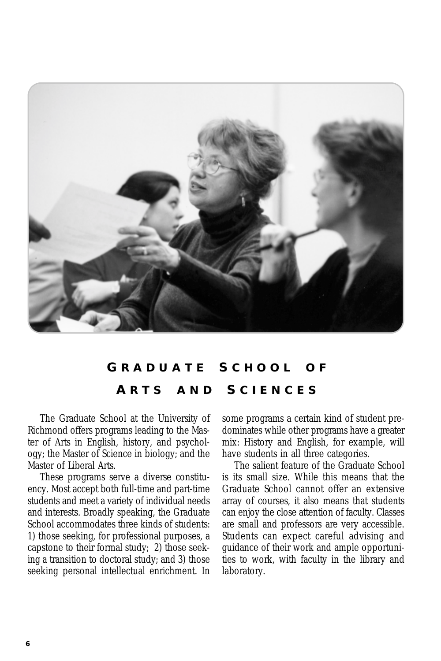<span id="page-5-0"></span>

## **G RADUATE S CHOOL O F A RTS AND S CIENCES**

The Graduate School at the University of Richmond offers programs leading to the Master of Arts in English, history, and psychology; the Master of Science in biology; and the Master of Liberal Arts.

These programs serve a diverse constituency. Most accept both full-time and part-time students and meet a variety of individual needs and interests. Broadly speaking, the Graduate School accommodates three kinds of students: 1) those seeking, for professional purposes, a capstone to their formal study; 2) those seeking a transition to doctoral study; and 3) those seeking personal intellectual enrichment. In

some programs a certain kind of student predominates while other programs have a greater mix: History and English, for example, will have students in all three categories.

The salient feature of the Graduate School is its small size. While this means that the Graduate School cannot offer an extensive array of courses, it also means that students can enjoy the close attention of faculty. Classes are small and professors are very accessible. Students can expect careful advising and guidance of their work and ample opportunities to work, with faculty in the library and laboratory.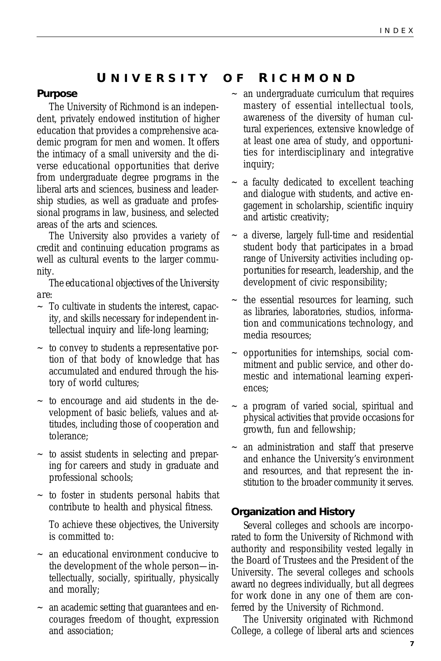### **U NIVERSITY O F R ICHMOND**

#### **Purpose**

The University of Richmond is an independent, privately endowed institution of higher education that provides a comprehensive academic program for men and women. It offers the intimacy of a small university and the diverse educational opportunities that derive from undergraduate degree programs in the liberal arts and sciences, business and leadership studies, as well as graduate and professional programs in law, business, and selected areas of the arts and sciences.

The University also provides a variety of credit and continuing education programs as well as cultural events to the larger community.

*The educational objectives of the University are:*

- ~ To cultivate in students the interest, capacity, and skills necessary for independent intellectual inquiry and life-long learning;
- ~ to convey to students a representative portion of that body of knowledge that has accumulated and endured through the history of world cultures;
- $\sim$  to encourage and aid students in the development of basic beliefs, values and attitudes, including those of cooperation and tolerance;
- $\sim$  to assist students in selecting and preparing for careers and study in graduate and professional schools;
- ~ to foster in students personal habits that contribute to health and physical fitness.

To achieve these objectives, the University is committed to:

- ~ an educational environment conducive to the development of the whole person—intellectually, socially, spiritually, physically and morally;
- ~ an academic setting that guarantees and encourages freedom of thought, expression and association;
- an undergraduate curriculum that requires mastery of essential intellectual tools, awareness of the diversity of human cultural experiences, extensive knowledge of at least one area of study, and opportunities for interdisciplinary and integrative inquiry;
- a faculty dedicated to excellent teaching and dialogue with students, and active engagement in scholarship, scientific inquiry and artistic creativity;
- a diverse, largely full-time and residential student body that participates in a broad range of University activities including opportunities for research, leadership, and the development of civic responsibility;
- the essential resources for learning, such as libraries, laboratories, studios, information and communications technology, and media resources;
- ~ opportunities for internships, social commitment and public service, and other domestic and international learning experiences;
- a program of varied social, spiritual and physical activities that provide occasions for growth, fun and fellowship;
- an administration and staff that preserve and enhance the University's environment and resources, and that represent the institution to the broader community it serves.

#### **Organization and History**

Several colleges and schools are incorporated to form the University of Richmond with authority and responsibility vested legally in the Board of Trustees and the President of the University. The several colleges and schools award no degrees individually, but all degrees for work done in any one of them are conferred by the University of Richmond.

The University originated with Richmond College, a college of liberal arts and sciences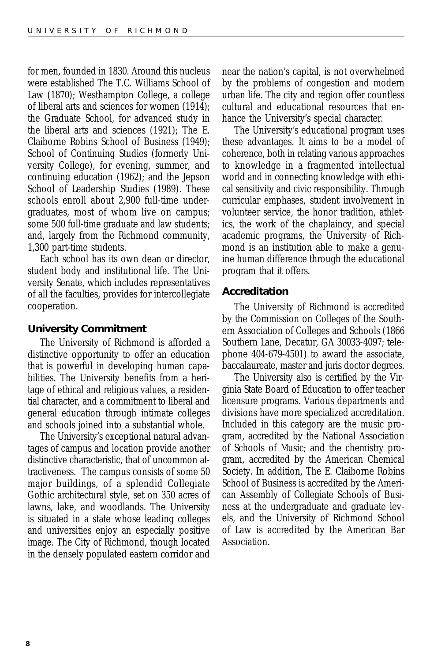for men, founded in 1830. Around this nucleus were established The T.C. Williams School of Law (1870); Westhampton College, a college of liberal arts and sciences for women (1914); the Graduate School, for advanced study in the liberal arts and sciences (1921); The E. Claiborne Robins School of Business (1949); School of Continuing Studies (formerly University College), for evening, summer, and continuing education (1962); and the Jepson School of Leadership Studies (1989). These schools enroll about 2,900 full-time undergraduates, most of whom live on campus; some 500 full-time graduate and law students; and, largely from the Richmond community, 1,300 part-time students.

Each school has its own dean or director, student body and institutional life. The University Senate, which includes representatives of all the faculties, provides for intercollegiate cooperation.

### **University Commitment**

The University of Richmond is afforded a distinctive opportunity to offer an education that is powerful in developing human capabilities. The University benefits from a heritage of ethical and religious values, a residential character, and a commitment to liberal and general education through intimate colleges and schools joined into a substantial whole.

The University's exceptional natural advantages of campus and location provide another distinctive characteristic, that of uncommon attractiveness. The campus consists of some 50 major buildings, of a splendid Collegiate Gothic architectural style, set on 350 acres of lawns, lake, and woodlands. The University is situated in a state whose leading colleges and universities enjoy an especially positive image. The City of Richmond, though located in the densely populated eastern corridor and near the nation's capital, is not overwhelmed by the problems of congestion and modern urban life. The city and region offer countless cultural and educational resources that enhance the University's special character.

The University's educational program uses these advantages. It aims to be a model of coherence, both in relating various approaches to knowledge in a fragmented intellectual world and in connecting knowledge with ethical sensitivity and civic responsibility. Through curricular emphases, student involvement in volunteer service, the honor tradition, athletics, the work of the chaplaincy, and special academic programs, the University of Richmond is an institution able to make a genuine human difference through the educational program that it offers.

#### **Accreditation**

The University of Richmond is accredited by the Commission on Colleges of the Southern Association of Colleges and Schools (1866 Southern Lane, Decatur, GA 30033-4097; telephone 404-679-4501) to award the associate, baccalaureate, master and juris doctor degrees.

The University also is certified by the Virginia State Board of Education to offer teacher licensure programs. Various departments and divisions have more specialized accreditation. Included in this category are the music program, accredited by the National Association of Schools of Music; and the chemistry program, accredited by the American Chemical Society. In addition, The E. Claiborne Robins School of Business is accredited by the American Assembly of Collegiate Schools of Business at the undergraduate and graduate levels, and the University of Richmond School of Law is accredited by the American Bar Association.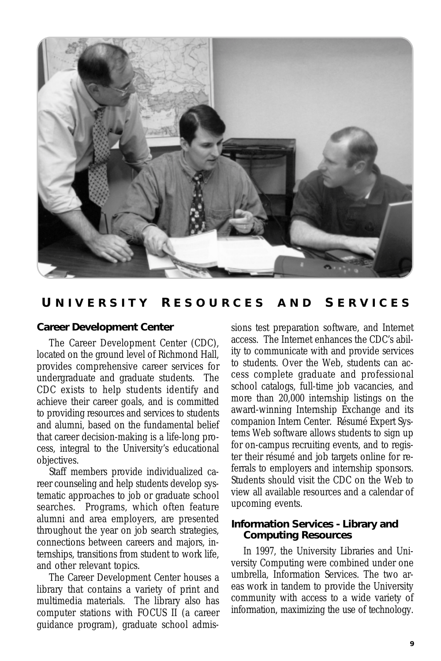

### **U NIVERSITY R ESOURCES AND S ERVICES**

### **Career Development Center**

The Career Development Center (CDC), located on the ground level of Richmond Hall, provides comprehensive career services for undergraduate and graduate students. The CDC exists to help students identify and achieve their career goals, and is committed to providing resources and services to students and alumni, based on the fundamental belief that career decision-making is a life-long process, integral to the University's educational objectives.

Staff members provide individualized career counseling and help students develop systematic approaches to job or graduate school searches. Programs, which often feature alumni and area employers, are presented throughout the year on job search strategies, connections between careers and majors, internships, transitions from student to work life, and other relevant topics.

The Career Development Center houses a library that contains a variety of print and multimedia materials. The library also has computer stations with FOCUS II (a career guidance program), graduate school admissions test preparation software, and Internet access. The Internet enhances the CDC's ability to communicate with and provide services to students. Over the Web, students can access complete graduate and professional school catalogs, full-time job vacancies, and more than 20,000 internship listings on the award-winning Internship Exchange and its companion Intern Center. Résumé Expert Systems Web software allows students to sign up for on-campus recruiting events, and to register their résumé and job targets online for referrals to employers and internship sponsors. Students should visit the CDC on the Web to view all available resources and a calendar of upcoming events.

#### **Information Services - Library and Computing Resources**

In 1997, the University Libraries and University Computing were combined under one umbrella, Information Services. The two areas work in tandem to provide the University community with access to a wide variety of information, maximizing the use of technology.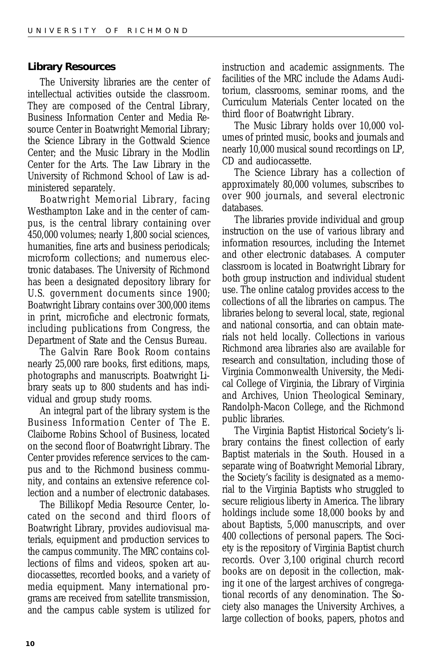#### **Library Resources**

The University libraries are the center of intellectual activities outside the classroom. They are composed of the Central Library, Business Information Center and Media Resource Center in Boatwright Memorial Library; the Science Library in the Gottwald Science Center; and the Music Library in the Modlin Center for the Arts. The Law Library in the University of Richmond School of Law is administered separately.

Boatwright Memorial Library, facing Westhampton Lake and in the center of campus, is the central library containing over 450,000 volumes; nearly 1,800 social sciences, humanities, fine arts and business periodicals; microform collections; and numerous electronic databases. The University of Richmond has been a designated depository library for U.S. government documents since 1900; Boatwright Library contains over 300,000 items in print, microfiche and electronic formats, including publications from Congress, the Department of State and the Census Bureau.

The Galvin Rare Book Room contains nearly 25,000 rare books, first editions, maps, photographs and manuscripts. Boatwright Library seats up to 800 students and has individual and group study rooms.

An integral part of the library system is the Business Information Center of The E. Claiborne Robins School of Business, located on the second floor of Boatwright Library. The Center provides reference services to the campus and to the Richmond business community, and contains an extensive reference collection and a number of electronic databases.

The Billikopf Media Resource Center, located on the second and third floors of Boatwright Library, provides audiovisual materials, equipment and production services to the campus community. The MRC contains collections of films and videos, spoken art audiocassettes, recorded books, and a variety of media equipment. Many international programs are received from satellite transmission, and the campus cable system is utilized for

instruction and academic assignments. The facilities of the MRC include the Adams Auditorium, classrooms, seminar rooms, and the Curriculum Materials Center located on the third floor of Boatwright Library.

The Music Library holds over 10,000 volumes of printed music, books and journals and nearly 10,000 musical sound recordings on LP, CD and audiocassette.

The Science Library has a collection of approximately 80,000 volumes, subscribes to over 900 journals, and several electronic databases.

The libraries provide individual and group instruction on the use of various library and information resources, including the Internet and other electronic databases. A computer classroom is located in Boatwright Library for both group instruction and individual student use. The online catalog provides access to the collections of all the libraries on campus. The libraries belong to several local, state, regional and national consortia, and can obtain materials not held locally. Collections in various Richmond area libraries also are available for research and consultation, including those of Virginia Commonwealth University, the Medical College of Virginia, the Library of Virginia and Archives, Union Theological Seminary, Randolph-Macon College, and the Richmond public libraries.

The Virginia Baptist Historical Society's library contains the finest collection of early Baptist materials in the South. Housed in a separate wing of Boatwright Memorial Library, the Society's facility is designated as a memorial to the Virginia Baptists who struggled to secure religious liberty in America. The library holdings include some 18,000 books by and about Baptists, 5,000 manuscripts, and over 400 collections of personal papers. The Society is the repository of Virginia Baptist church records. Over 3,100 original church record books are on deposit in the collection, making it one of the largest archives of congregational records of any denomination. The Society also manages the University Archives, a large collection of books, papers, photos and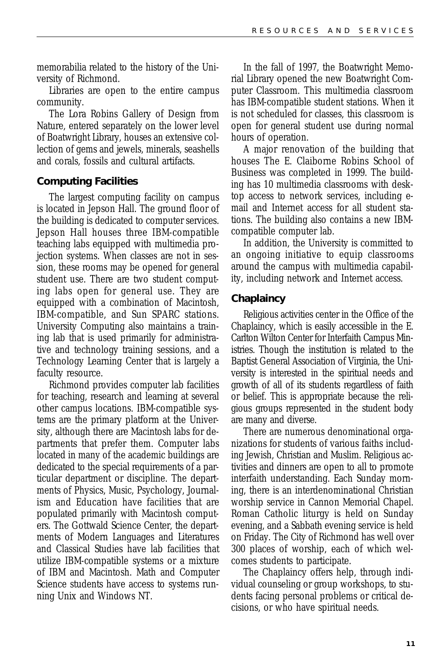memorabilia related to the history of the University of Richmond.

Libraries are open to the entire campus community.

The Lora Robins Gallery of Design from Nature, entered separately on the lower level of Boatwright Library, houses an extensive collection of gems and jewels, minerals, seashells and corals, fossils and cultural artifacts.

### **Computing Facilities**

The largest computing facility on campus is located in Jepson Hall. The ground floor of the building is dedicated to computer services. Jepson Hall houses three IBM-compatible teaching labs equipped with multimedia projection systems. When classes are not in session, these rooms may be opened for general student use. There are two student computing labs open for general use. They are equipped with a combination of Macintosh, IBM-compatible, and Sun SPARC stations. University Computing also maintains a training lab that is used primarily for administrative and technology training sessions, and a Technology Learning Center that is largely a faculty resource.

Richmond provides computer lab facilities for teaching, research and learning at several other campus locations. IBM-compatible systems are the primary platform at the University, although there are Macintosh labs for departments that prefer them. Computer labs located in many of the academic buildings are dedicated to the special requirements of a particular department or discipline. The departments of Physics, Music, Psychology, Journalism and Education have facilities that are populated primarily with Macintosh computers. The Gottwald Science Center, the departments of Modern Languages and Literatures and Classical Studies have lab facilities that utilize IBM-compatible systems or a mixture of IBM and Macintosh. Math and Computer Science students have access to systems running Unix and Windows NT.

In the fall of 1997, the Boatwright Memorial Library opened the new Boatwright Computer Classroom. This multimedia classroom has IBM-compatible student stations. When it is not scheduled for classes, this classroom is open for general student use during normal hours of operation.

A major renovation of the building that houses The E. Claiborne Robins School of Business was completed in 1999. The building has 10 multimedia classrooms with desktop access to network services, including email and Internet access for all student stations. The building also contains a new IBMcompatible computer lab.

In addition, the University is committed to an ongoing initiative to equip classrooms around the campus with multimedia capability, including network and Internet access.

### **Chaplaincy**

Religious activities center in the Office of the Chaplaincy, which is easily accessible in the E. Carlton Wilton Center for Interfaith Campus Ministries. Though the institution is related to the Baptist General Association of Virginia, the University is interested in the spiritual needs and growth of all of its students regardless of faith or belief. This is appropriate because the religious groups represented in the student body are many and diverse.

There are numerous denominational organizations for students of various faiths including Jewish, Christian and Muslim. Religious activities and dinners are open to all to promote interfaith understanding. Each Sunday morning, there is an interdenominational Christian worship service in Cannon Memorial Chapel. Roman Catholic liturgy is held on Sunday evening, and a Sabbath evening service is held on Friday. The City of Richmond has well over 300 places of worship, each of which welcomes students to participate.

The Chaplaincy offers help, through individual counseling or group workshops, to students facing personal problems or critical decisions, or who have spiritual needs.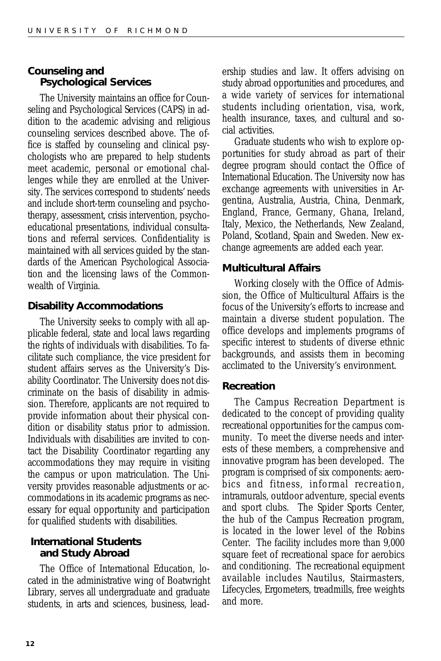### **Counseling and Psychological Services**

The University maintains an office for Counseling and Psychological Services (CAPS) in addition to the academic advising and religious counseling services described above. The office is staffed by counseling and clinical psychologists who are prepared to help students meet academic, personal or emotional challenges while they are enrolled at the University. The services correspond to students' needs and include short-term counseling and psychotherapy, assessment, crisis intervention, psychoeducational presentations, individual consultations and referral services. Confidentiality is maintained with all services guided by the standards of the American Psychological Association and the licensing laws of the Commonwealth of Virginia.

### **Disability Accommodations**

The University seeks to comply with all applicable federal, state and local laws regarding the rights of individuals with disabilities. To facilitate such compliance, the vice president for student affairs serves as the University's Disability Coordinator. The University does not discriminate on the basis of disability in admission. Therefore, applicants are not required to provide information about their physical condition or disability status prior to admission. Individuals with disabilities are invited to contact the Disability Coordinator regarding any accommodations they may require in visiting the campus or upon matriculation. The University provides reasonable adjustments or accommodations in its academic programs as necessary for equal opportunity and participation for qualified students with disabilities.

### **International Students and Study Abroad**

The Office of International Education, located in the administrative wing of Boatwright Library, serves all undergraduate and graduate students, in arts and sciences, business, leadership studies and law. It offers advising on study abroad opportunities and procedures, and a wide variety of services for international students including orientation, visa, work, health insurance, taxes, and cultural and social activities.

Graduate students who wish to explore opportunities for study abroad as part of their degree program should contact the Office of International Education. The University now has exchange agreements with universities in Argentina, Australia, Austria, China, Denmark, England, France, Germany, Ghana, Ireland, Italy, Mexico, the Netherlands, New Zealand, Poland, Scotland, Spain and Sweden. New exchange agreements are added each year.

### **Multicultural Affairs**

Working closely with the Office of Admission, the Office of Multicultural Affairs is the focus of the University's efforts to increase and maintain a diverse student population. The office develops and implements programs of specific interest to students of diverse ethnic backgrounds, and assists them in becoming acclimated to the University's environment.

### **Recreation**

The Campus Recreation Department is dedicated to the concept of providing quality recreational opportunities for the campus community. To meet the diverse needs and interests of these members, a comprehensive and innovative program has been developed. The program is comprised of six components: aerobics and fitness, informal recreation, intramurals, outdoor adventure, special events and sport clubs. The Spider Sports Center, the hub of the Campus Recreation program, is located in the lower level of the Robins Center. The facility includes more than 9,000 square feet of recreational space for aerobics and conditioning. The recreational equipment available includes Nautilus, Stairmasters, Lifecycles, Ergometers, treadmills, free weights and more.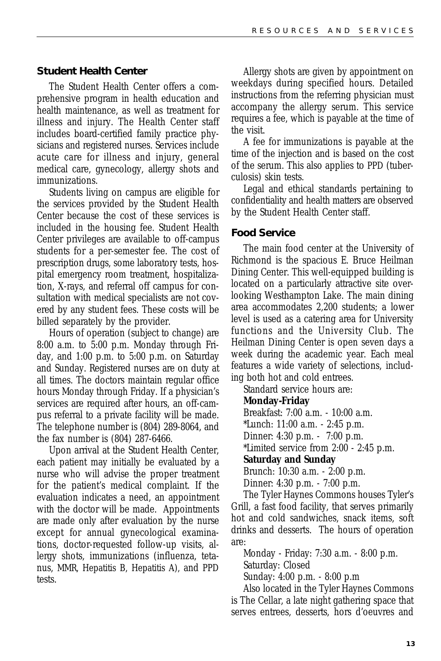#### **Student Health Center**

The Student Health Center offers a comprehensive program in health education and health maintenance, as well as treatment for illness and injury. The Health Center staff includes board-certified family practice physicians and registered nurses. Services include acute care for illness and injury, general medical care, gynecology, allergy shots and immunizations.

Students living on campus are eligible for the services provided by the Student Health Center because the cost of these services is included in the housing fee. Student Health Center privileges are available to off-campus students for a per-semester fee. The cost of prescription drugs, some laboratory tests, hospital emergency room treatment, hospitalization, X-rays, and referral off campus for consultation with medical specialists are not covered by any student fees. These costs will be billed separately by the provider.

Hours of operation (subject to change) are 8:00 a.m. to 5:00 p.m. Monday through Friday, and 1:00 p.m. to 5:00 p.m. on Saturday and Sunday. Registered nurses are on duty at all times. The doctors maintain regular office hours Monday through Friday. If a physician's services are required after hours, an off-campus referral to a private facility will be made. The telephone number is (804) 289-8064, and the fax number is (804) 287-6466.

Upon arrival at the Student Health Center, each patient may initially be evaluated by a nurse who will advise the proper treatment for the patient's medical complaint. If the evaluation indicates a need, an appointment with the doctor will be made. Appointments are made only after evaluation by the nurse except for annual gynecological examinations, doctor-requested follow-up visits, allergy shots, immunizations (influenza, tetanus, MMR, Hepatitis B, Hepatitis A), and PPD tests.

Allergy shots are given by appointment on weekdays during specified hours. Detailed instructions from the referring physician must accompany the allergy serum. This service requires a fee, which is payable at the time of the visit.

A fee for immunizations is payable at the time of the injection and is based on the cost of the serum. This also applies to PPD (tuberculosis) skin tests.

Legal and ethical standards pertaining to confidentiality and health matters are observed by the Student Health Center staff.

#### **Food Service**

The main food center at the University of Richmond is the spacious E. Bruce Heilman Dining Center. This well-equipped building is located on a particularly attractive site overlooking Westhampton Lake. The main dining area accommodates 2,200 students; a lower level is used as a catering area for University functions and the University Club. The Heilman Dining Center is open seven days a week during the academic year. Each meal features a wide variety of selections, including both hot and cold entrees.

Standard service hours are:

#### **Monday-Friday**

Breakfast: 7:00 a.m. - 10:00 a.m. \*Lunch: 11:00 a.m. - 2:45 p.m. Dinner: 4:30 p.m. - 7:00 p.m. \*Limited service from 2:00 - 2:45 p.m. **Saturday and Sunday**

Brunch: 10:30 a.m. - 2:00 p.m. Dinner: 4:30 p.m. - 7:00 p.m.

The Tyler Haynes Commons houses Tyler's Grill, a fast food facility, that serves primarily hot and cold sandwiches, snack items, soft drinks and desserts. The hours of operation are:

Monday - Friday: 7:30 a.m. - 8:00 p.m. Saturday: Closed

Sunday: 4:00 p.m. - 8:00 p.m

Also located in the Tyler Haynes Commons is The Cellar, a late night gathering space that serves entrees, desserts, hors d'oeuvres and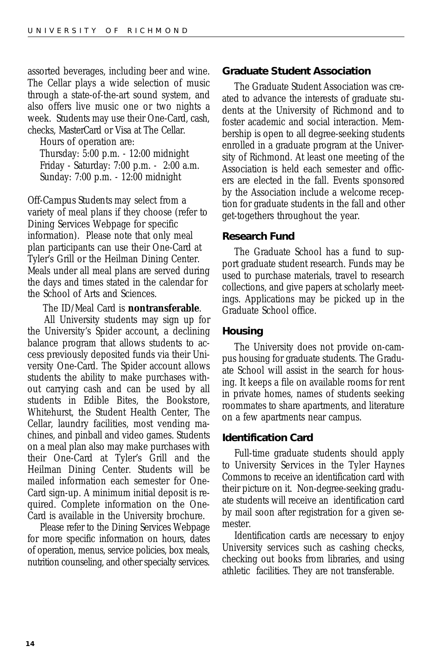assorted beverages, including beer and wine. The Cellar plays a wide selection of music through a state-of-the-art sound system, and also offers live music one or two nights a week. Students may use their One-Card, cash, checks, MasterCard or Visa at The Cellar.

Hours of operation are: Thursday: 5:00 p.m. - 12:00 midnight Friday - Saturday: 7:00 p.m. - 2:00 a.m. Sunday: 7:00 p.m. - 12:00 midnight

*Off-Campus Students* may select from a variety of meal plans if they choose (refer to Dining Services Webpage for specific information). Please note that only meal plan participants can use their One-Card at Tyler's Grill or the Heilman Dining Center. Meals under all meal plans are served during the days and times stated in the calendar for the School of Arts and Sciences.

#### The ID/Meal Card is **nontransferable**.

 All University students may sign up for the University's Spider account, a declining balance program that allows students to access previously deposited funds via their University One-Card. The Spider account allows students the ability to make purchases without carrying cash and can be used by all students in Edible Bites, the Bookstore, Whitehurst, the Student Health Center, The Cellar, laundry facilities, most vending machines, and pinball and video games. Students on a meal plan also may make purchases with their One-Card at Tyler's Grill and the Heilman Dining Center. Students will be mailed information each semester for One-Card sign-up. A minimum initial deposit is required. Complete information on the One-Card is available in the University brochure.

Please refer to the Dining Services Webpage for more specific information on hours, dates of operation, menus, service policies, box meals, nutrition counseling, and other specialty services.

#### **Graduate Student Association**

The Graduate Student Association was created to advance the interests of graduate students at the University of Richmond and to foster academic and social interaction. Membership is open to all degree-seeking students enrolled in a graduate program at the University of Richmond. At least one meeting of the Association is held each semester and officers are elected in the fall. Events sponsored by the Association include a welcome reception for graduate students in the fall and other get-togethers throughout the year.

#### **Research Fund**

The Graduate School has a fund to support graduate student research. Funds may be used to purchase materials, travel to research collections, and give papers at scholarly meetings. Applications may be picked up in the Graduate School office.

#### **Housing**

The University does not provide on-campus housing for graduate students. The Graduate School will assist in the search for housing. It keeps a file on available rooms for rent in private homes, names of students seeking roommates to share apartments, and literature on a few apartments near campus.

#### **Identification Card**

Full-time graduate students should apply to University Services in the Tyler Haynes Commons to receive an identification card with their picture on it. Non-degree-seeking graduate students will receive an identification card by mail soon after registration for a given semester.

Identification cards are necessary to enjoy University services such as cashing checks, checking out books from libraries, and using athletic facilities. They are not transferable.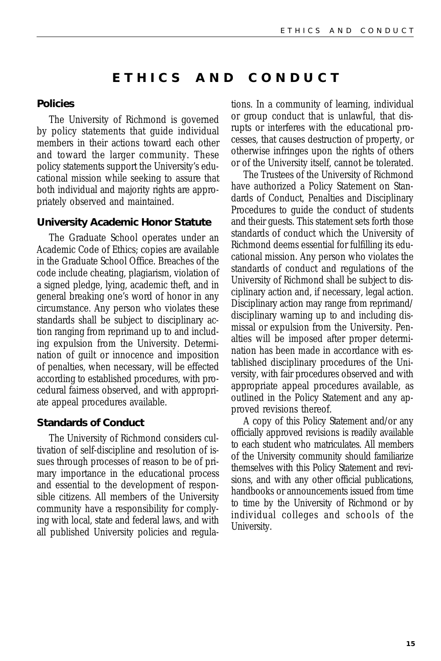### **ETHICS AND CONDUCT**

#### **Policies**

The University of Richmond is governed by policy statements that guide individual members in their actions toward each other and toward the larger community. These policy statements support the University's educational mission while seeking to assure that both individual and majority rights are appropriately observed and maintained.

#### **University Academic Honor Statute**

The Graduate School operates under an Academic Code of Ethics; copies are available in the Graduate School Office. Breaches of the code include cheating, plagiarism, violation of a signed pledge, lying, academic theft, and in general breaking one's word of honor in any circumstance. Any person who violates these standards shall be subject to disciplinary action ranging from reprimand up to and including expulsion from the University. Determination of guilt or innocence and imposition of penalties, when necessary, will be effected according to established procedures, with procedural fairness observed, and with appropriate appeal procedures available.

#### **Standards of Conduct**

The University of Richmond considers cultivation of self-discipline and resolution of issues through processes of reason to be of primary importance in the educational process and essential to the development of responsible citizens. All members of the University community have a responsibility for complying with local, state and federal laws, and with all published University policies and regulations. In a community of learning, individual or group conduct that is unlawful, that disrupts or interferes with the educational processes, that causes destruction of property, or otherwise infringes upon the rights of others or of the University itself, cannot be tolerated.

The Trustees of the University of Richmond have authorized a Policy Statement on Standards of Conduct, Penalties and Disciplinary Procedures to guide the conduct of students and their guests. This statement sets forth those standards of conduct which the University of Richmond deems essential for fulfilling its educational mission. Any person who violates the standards of conduct and regulations of the University of Richmond shall be subject to disciplinary action and, if necessary, legal action. Disciplinary action may range from reprimand/ disciplinary warning up to and including dismissal or expulsion from the University. Penalties will be imposed after proper determination has been made in accordance with established disciplinary procedures of the University, with fair procedures observed and with appropriate appeal procedures available, as outlined in the Policy Statement and any approved revisions thereof.

A copy of this Policy Statement and/or any officially approved revisions is readily available to each student who matriculates. All members of the University community should familiarize themselves with this Policy Statement and revisions, and with any other official publications, handbooks or announcements issued from time to time by the University of Richmond or by individual colleges and schools of the University.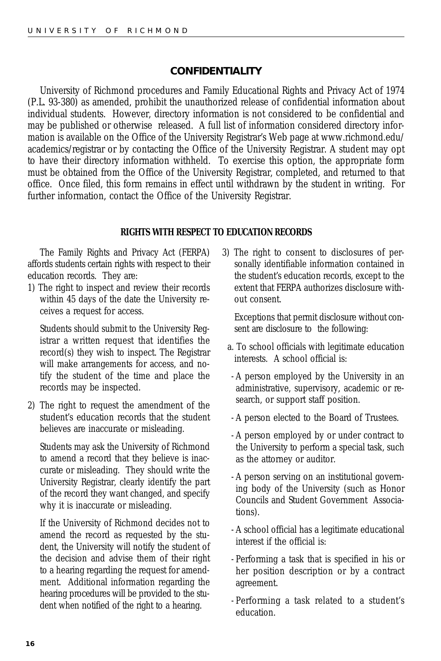### **CONFIDENTIALITY**

University of Richmond procedures and Family Educational Rights and Privacy Act of 1974 (P.L. 93-380) as amended, prohibit the unauthorized release of confidential information about individual students. However, directory information is not considered to be confidential and may be published or otherwise released. A full list of information considered directory information is available on the Office of the University Registrar's Web page at www.richmond.edu/ academics/registrar or by contacting the Office of the University Registrar. A student may opt to have their directory information withheld. To exercise this option, the appropriate form must be obtained from the Office of the University Registrar, completed, and returned to that office. Once filed, this form remains in effect until withdrawn by the student in writing. For further information, contact the Office of the University Registrar.

#### *RIGHTS WITH RESPECT TO EDUCATION RECORDS*

The Family Rights and Privacy Act (FERPA) affords students certain rights with respect to their education records. They are:

1) The right to inspect and review their records within 45 days of the date the University receives a request for access.

Students should submit to the University Registrar a written request that identifies the record(s) they wish to inspect. The Registrar will make arrangements for access, and notify the student of the time and place the records may be inspected.

2) The right to request the amendment of the student's education records that the student believes are inaccurate or misleading.

Students may ask the University of Richmond to amend a record that they believe is inaccurate or misleading. They should write the University Registrar, clearly identify the part of the record they want changed, and specify why it is inaccurate or misleading.

If the University of Richmond decides not to amend the record as requested by the student, the University will notify the student of the decision and advise them of their right to a hearing regarding the request for amendment. Additional information regarding the hearing procedures will be provided to the student when notified of the right to a hearing.

3) The right to consent to disclosures of personally identifiable information contained in the student's education records, except to the extent that FERPA authorizes disclosure without consent.

Exceptions that permit disclosure without consent are disclosure to the following:

- a. To school officials with legitimate education interests. A school official is:
- A person employed by the University in an administrative, supervisory, academic or research, or support staff position.
- A person elected to the Board of Trustees.
- A person employed by or under contract to the University to perform a special task, such as the attorney or auditor.
- A person serving on an institutional governing body of the University (such as Honor Councils and Student Government Associations).
- A school official has a legitimate educational interest if the official is:
- Performing a task that is specified in his or her position description or by a contract agreement.
- Performing a task related to a student's education.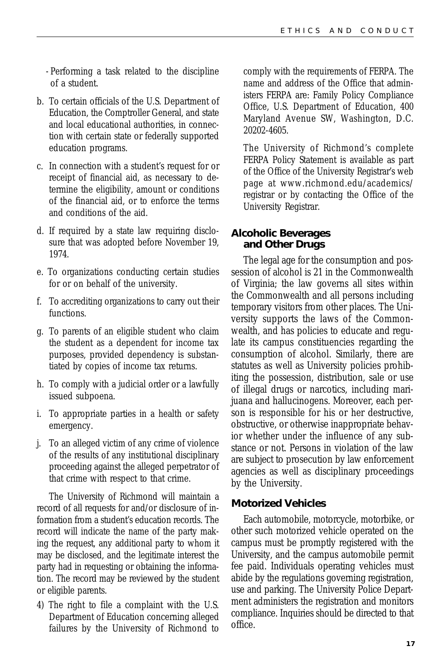- Performing a task related to the discipline of a student.

- b. To certain officials of the U.S. Department of Education, the Comptroller General, and state and local educational authorities, in connection with certain state or federally supported education programs.
- c. In connection with a student's request for or receipt of financial aid, as necessary to determine the eligibility, amount or conditions of the financial aid, or to enforce the terms and conditions of the aid.
- d. If required by a state law requiring disclosure that was adopted before November 19, 1974.
- e. To organizations conducting certain studies for or on behalf of the university.
- f. To accrediting organizations to carry out their functions.
- g. To parents of an eligible student who claim the student as a dependent for income tax purposes, provided dependency is substantiated by copies of income tax returns.
- h. To comply with a judicial order or a lawfully issued subpoena.
- i. To appropriate parties in a health or safety emergency.
- j. To an alleged victim of any crime of violence of the results of any institutional disciplinary proceeding against the alleged perpetrator of that crime with respect to that crime.

The University of Richmond will maintain a record of all requests for and/or disclosure of information from a student's education records. The record will indicate the name of the party making the request, any additional party to whom it may be disclosed, and the legitimate interest the party had in requesting or obtaining the information. The record may be reviewed by the student or eligible parents.

4) The right to file a complaint with the U.S. Department of Education concerning alleged failures by the University of Richmond to comply with the requirements of FERPA. The name and address of the Office that administers FERPA are: Family Policy Compliance Office, U.S. Department of Education, 400 Maryland Avenue SW, Washington, D.C. 20202-4605.

The University of Richmond's complete FERPA Policy Statement is available as part of the Office of the University Registrar's web page at www.richmond.edu/academics/ registrar or by contacting the Office of the University Registrar.

### **Alcoholic Beverages and Other Drugs**

The legal age for the consumption and possession of alcohol is 21 in the Commonwealth of Virginia; the law governs all sites within the Commonwealth and all persons including temporary visitors from other places. The University supports the laws of the Commonwealth, and has policies to educate and regulate its campus constituencies regarding the consumption of alcohol. Similarly, there are statutes as well as University policies prohibiting the possession, distribution, sale or use of illegal drugs or narcotics, including marijuana and hallucinogens. Moreover, each person is responsible for his or her destructive, obstructive, or otherwise inappropriate behavior whether under the influence of any substance or not. Persons in violation of the law are subject to prosecution by law enforcement agencies as well as disciplinary proceedings by the University.

### **Motorized Vehicles**

Each automobile, motorcycle, motorbike, or other such motorized vehicle operated on the campus must be promptly registered with the University, and the campus automobile permit fee paid. Individuals operating vehicles must abide by the regulations governing registration, use and parking. The University Police Department administers the registration and monitors compliance. Inquiries should be directed to that office.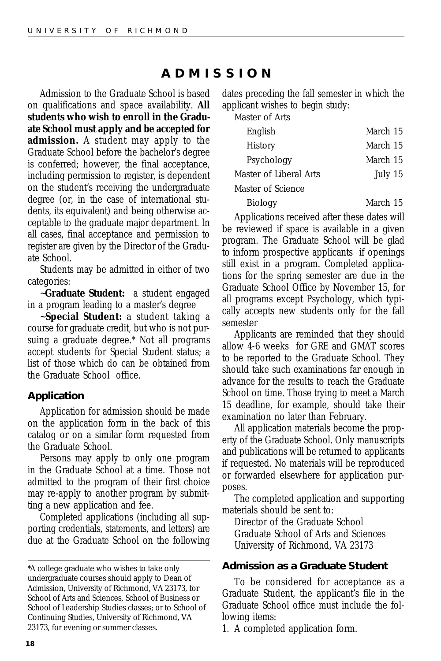### **ADMISSION**

<span id="page-17-0"></span>Admission to the Graduate School is based on qualifications and space availability. **All students who wish to enroll in the Graduate School must apply and be accepted for admission.** A student may apply to the Graduate School before the bachelor's degree is conferred; however, the final acceptance, including permission to register, is dependent on the student's receiving the undergraduate degree (or, in the case of international students, its equivalent) and being otherwise acceptable to the graduate major department. In all cases, final acceptance and permission to register are given by the Director of the Graduate School.

Students may be admitted in either of two categories:

~**Graduate Student:** a student engaged in a program leading to a master's degree

~**Special Student:** a student taking a course for graduate credit, but who is not pursuing a graduate degree.\* Not all programs accept students for Special Student status; a list of those which do can be obtained from the Graduate School office.

### **Application**

Application for admission should be made on the application form in the back of this catalog or on a similar form requested from the Graduate School.

Persons may apply to only one program in the Graduate School at a time. Those not admitted to the program of their first choice may re-apply to another program by submitting a new application and fee.

Completed applications (including all supporting credentials, statements, and letters) are due at the Graduate School on the following dates preceding the fall semester in which the applicant wishes to begin study:

Master of Arts

| English                | March 15 |
|------------------------|----------|
| <b>History</b>         | March 15 |
| Psychology             | March 15 |
| Master of Liberal Arts | July 15  |
| Master of Science      |          |
| <b>Biology</b>         | March 15 |

Applications received after these dates will be reviewed if space is available in a given program. The Graduate School will be glad to inform prospective applicants if openings still exist in a program. Completed applications for the spring semester are due in the Graduate School Office by November 15, for all programs except Psychology, which typically accepts new students only for the fall semester

Applicants are reminded that they should allow 4-6 weeks for GRE and GMAT scores to be reported to the Graduate School. They should take such examinations far enough in advance for the results to reach the Graduate School on time. Those trying to meet a March 15 deadline, for example, should take their examination no later than February.

All application materials become the property of the Graduate School. Only manuscripts and publications will be returned to applicants if requested. No materials will be reproduced or forwarded elsewhere for application purposes.

The completed application and supporting materials should be sent to:

Director of the Graduate School Graduate School of Arts and Sciences University of Richmond, VA 23173

### **Admission as a Graduate Student**

To be considered for acceptance as a Graduate Student, the applicant's file in the Graduate School office must include the following items:

1. A completed application form.

<sup>\*</sup>A college graduate who wishes to take only undergraduate courses should apply to Dean of Admission, University of Richmond, VA 23173, for School of Arts and Sciences, School of Business or School of Leadership Studies classes; or to School of Continuing Studies, University of Richmond, VA 23173, for evening or summer classes.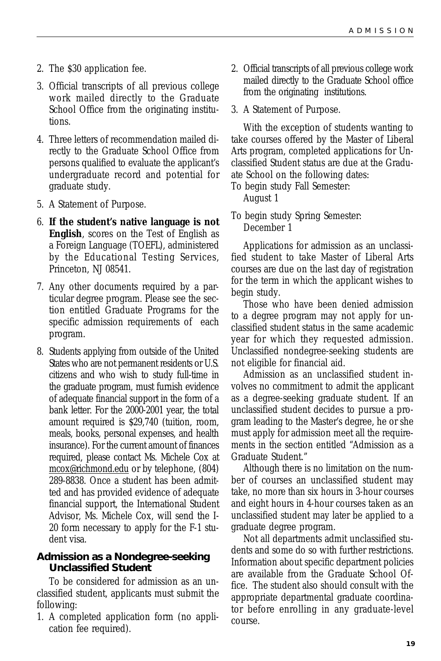- 2. The \$30 application fee.
- 3. Official transcripts of all previous college work mailed directly to the Graduate School Office from the originating institutions.
- 4. Three letters of recommendation mailed directly to the Graduate School Office from persons qualified to evaluate the applicant's undergraduate record and potential for graduate study.
- 5. A Statement of Purpose.
- 6. **If the student's native language is not English**, scores on the Test of English as a Foreign Language (TOEFL), administered by the Educational Testing Services, Princeton, NJ 08541.
- 7. Any other documents required by a particular degree program. Please see the section entitled Graduate Programs for the specific admission requirements of each program.
- 8. Students applying from outside of the United States who are not permanent residents or U.S. citizens and who wish to study full-time in the graduate program, must furnish evidence of adequate financial support in the form of a bank letter. For the 2000-2001 year, the total amount required is \$29,740 (tuition, room, meals, books, personal expenses, and health insurance). For the current amount of finances required, please contact Ms. Michele Cox at mcox@richmond.edu or by telephone, (804) 289-8838. Once a student has been admitted and has provided evidence of adequate financial support, the International Student Advisor, Ms. Michele Cox, will send the I-20 form necessary to apply for the F-1 student visa.

### **Admission as a Nondegree-seeking Unclassified Student**

To be considered for admission as an unclassified student, applicants must submit the following:

1. A completed application form (no application fee required).

- 2. Official transcripts of all previous college work mailed directly to the Graduate School office from the originating institutions.
- 3. A Statement of Purpose.

With the exception of students wanting to take courses offered by the Master of Liberal Arts program, completed applications for Unclassified Student status are due at the Graduate School on the following dates:

To begin study Fall Semester:

August 1

To begin study Spring Semester: December 1

Applications for admission as an unclassified student to take Master of Liberal Arts courses are due on the last day of registration for the term in which the applicant wishes to begin study.

Those who have been denied admission to a degree program may not apply for unclassified student status in the same academic year for which they requested admission. Unclassified nondegree-seeking students are not eligible for financial aid.

Admission as an unclassified student involves no commitment to admit the applicant as a degree-seeking graduate student. If an unclassified student decides to pursue a program leading to the Master's degree, he or she must apply for admission meet all the requirements in the section entitled "Admission as a Graduate Student."

Although there is no limitation on the number of courses an unclassified student may take, no more than six hours in 3-hour courses and eight hours in 4-hour courses taken as an unclassified student may later be applied to a graduate degree program.

Not all departments admit unclassified students and some do so with further restrictions. Information about specific department policies are available from the Graduate School Office. The student also should consult with the appropriate departmental graduate coordinator before enrolling in any graduate-level course.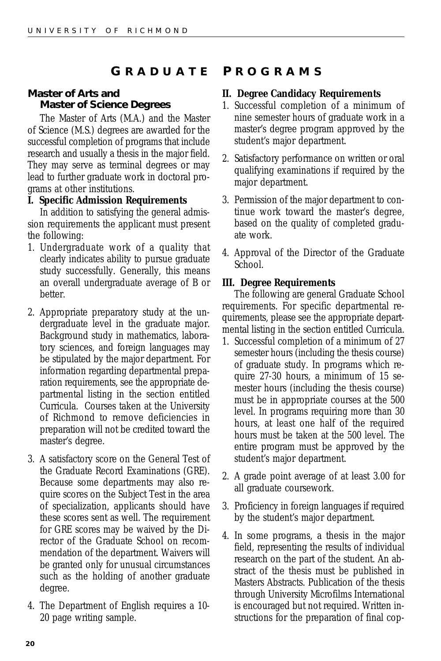### <span id="page-19-0"></span>**Master of Arts and Master of Science Degrees**

The Master of Arts (M.A.) and the Master of Science (M.S.) degrees are awarded for the successful completion of programs that include research and usually a thesis in the major field. They may serve as terminal degrees or may lead to further graduate work in doctoral programs at other institutions.

### **I. Specific Admission Requirements**

In addition to satisfying the general admission requirements the applicant must present the following:

- 1. Undergraduate work of a quality that clearly indicates ability to pursue graduate study successfully. Generally, this means an overall undergraduate average of *B* or better.
- 2. Appropriate preparatory study at the undergraduate level in the graduate major. Background study in mathematics, laboratory sciences, and foreign languages may be stipulated by the major department. For information regarding departmental preparation requirements, see the appropriate departmental listing in the section entitled Curricula. Courses taken at the University of Richmond to remove deficiencies in preparation will not be credited toward the master's degree.
- 3. A satisfactory score on the General Test of the Graduate Record Examinations (GRE). Because some departments may also require scores on the Subject Test in the area of specialization, applicants should have these scores sent as well. The requirement for GRE scores may be waived by the Director of the Graduate School on recommendation of the department. Waivers will be granted only for unusual circumstances such as the holding of another graduate degree.
- 4. The Department of English requires a 10- 20 page writing sample.

### **G RADUATE P ROGRAMS**

### **II. Degree Candidacy Requirements**

- 1. Successful completion of a minimum of nine semester hours of graduate work in a master's degree program approved by the student's major department.
- 2. Satisfactory performance on written or oral qualifying examinations if required by the major department.
- 3. Permission of the major department to continue work toward the master's degree, based on the quality of completed graduate work.
- 4. Approval of the Director of the Graduate School.

### **III. Degree Requirements**

The following are general Graduate School requirements. For specific departmental requirements, please see the appropriate departmental listing in the section entitled Curricula.

- 1. Successful completion of a minimum of 27 semester hours (including the thesis course) of graduate study. In programs which require 27-30 hours, a minimum of 15 semester hours (including the thesis course) must be in appropriate courses at the 500 level. In programs requiring more than 30 hours, at least one half of the required hours must be taken at the 500 level. The entire program must be approved by the student's major department.
- 2. A grade point average of at least 3.00 for all graduate coursework.
- 3. Proficiency in foreign languages if required by the student's major department.
- 4. In some programs, a thesis in the major field, representing the results of individual research on the part of the student. An abstract of the thesis must be published in Masters Abstracts. Publication of the thesis through University Microfilms International is encouraged but not required. Written instructions for the preparation of final cop-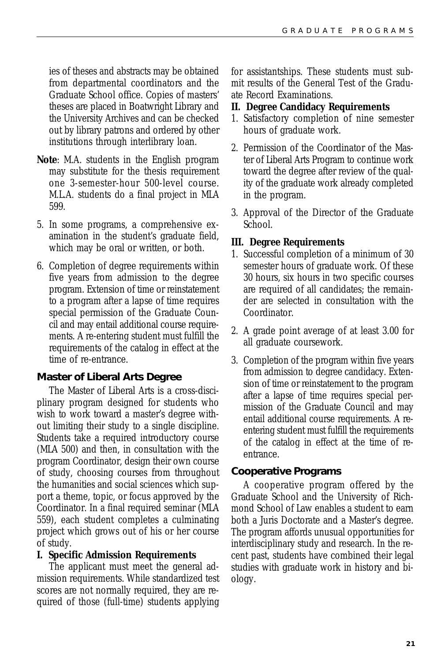ies of theses and abstracts may be obtained from departmental coordinators and the Graduate School office. Copies of masters' theses are placed in Boatwright Library and the University Archives and can be checked out by library patrons and ordered by other institutions through interlibrary loan.

- **Note**: M.A. students in the English program may substitute for the thesis requirement one 3-semester-hour 500-level course. M.L.A. students do a final project in MLA 599.
- 5. In some programs, a comprehensive examination in the student's graduate field, which may be oral or written, or both.
- 6. Completion of degree requirements within five years from admission to the degree program. Extension of time or reinstatement to a program after a lapse of time requires special permission of the Graduate Council and may entail additional course requirements. A re-entering student must fulfill the requirements of the catalog in effect at the time of re-entrance.

### **Master of Liberal Arts Degree**

The Master of Liberal Arts is a cross-disciplinary program designed for students who wish to work toward a master's degree without limiting their study to a single discipline. Students take a required introductory course (MLA 500) and then, in consultation with the program Coordinator, design their own course of study, choosing courses from throughout the humanities and social sciences which support a theme, topic, or focus approved by the Coordinator. In a final required seminar (MLA 559), each student completes a culminating project which grows out of his or her course of study.

### **I. Specific Admission Requirements**

The applicant must meet the general admission requirements. While standardized test scores are not normally required, they are required of those (full-time) students applying for assistantships. These students must submit results of the General Test of the Graduate Record Examinations.

#### **II. Degree Candidacy Requirements**

- 1. Satisfactory completion of nine semester hours of graduate work.
- 2. Permission of the Coordinator of the Master of Liberal Arts Program to continue work toward the degree after review of the quality of the graduate work already completed in the program.
- 3. Approval of the Director of the Graduate School.

### **III. Degree Requirements**

- 1. Successful completion of a minimum of 30 semester hours of graduate work. Of these 30 hours, six hours in two specific courses are required of all candidates; the remainder are selected in consultation with the Coordinator.
- 2. A grade point average of at least 3.00 for all graduate coursework.
- 3. Completion of the program within five years from admission to degree candidacy. Extension of time or reinstatement to the program after a lapse of time requires special permission of the Graduate Council and may entail additional course requirements. A reentering student must fulfill the requirements of the catalog in effect at the time of reentrance.

### **Cooperative Programs**

A cooperative program offered by the Graduate School and the University of Richmond School of Law enables a student to earn both a Juris Doctorate and a Master's degree. The program affords unusual opportunities for interdisciplinary study and research. In the recent past, students have combined their legal studies with graduate work in history and biology.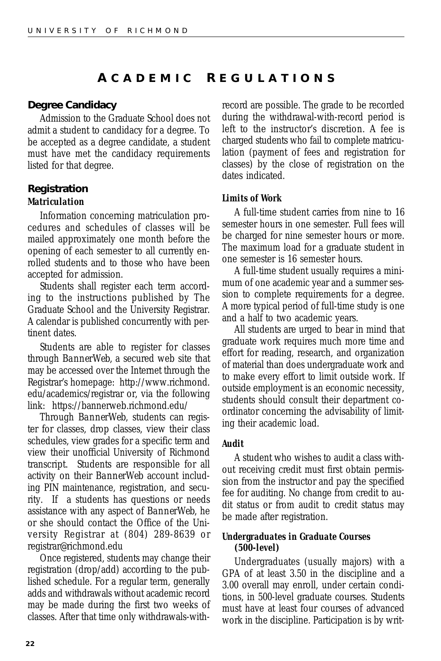### **A CADEMIC R EGULATIONS**

### **Degree Candidacy**

Admission to the Graduate School does not admit a student to candidacy for a degree. To be accepted as a degree candidate, a student must have met the candidacy requirements listed for that degree.

### **Registration** *Matriculation*

Information concerning matriculation procedures and schedules of classes will be mailed approximately one month before the opening of each semester to all currently enrolled students and to those who have been accepted for admission.

Students shall register each term according to the instructions published by The Graduate School and the University Registrar. A calendar is published concurrently with pertinent dates.

Students are able to register for classes through *BannerWeb,* a secured web site that may be accessed over the Internet through the Registrar's homepage: http://www.richmond. edu/academics/registrar or, via the following link: https://bannerweb.richmond.edu/

Through *BannerWeb*, students can register for classes, drop classes, view their class schedules, view grades for a specific term and view their unofficial University of Richmond transcript. Students are responsible for all activity on their *BannerWeb* account including PIN maintenance, registration, and security. If a students has questions or needs assistance with any aspect of *BannerWeb*, he or she should contact the Office of the University Registrar at (804) 289-8639 or registrar@richmond.edu

Once registered, students may change their registration (drop/add) according to the published schedule. For a regular term, generally adds and withdrawals without academic record may be made during the first two weeks of classes. After that time only withdrawals-withrecord are possible. The grade to be recorded during the withdrawal-with-record period is left to the instructor's discretion. A fee is charged students who fail to complete matriculation (payment of fees and registration for classes) by the close of registration on the dates indicated.

### *Limits of Work*

A full-time student carries from nine to 16 semester hours in one semester. Full fees will be charged for nine semester hours or more. The maximum load for a graduate student in one semester is 16 semester hours.

A full-time student usually requires a minimum of one academic year and a summer session to complete requirements for a degree. A more typical period of full-time study is one and a half to two academic years.

All students are urged to bear in mind that graduate work requires much more time and effort for reading, research, and organization of material than does undergraduate work and to make every effort to limit outside work. If outside employment is an economic necessity, students should consult their department coordinator concerning the advisability of limiting their academic load.

### *Audit*

A student who wishes to audit a class without receiving credit must first obtain permission from the instructor and pay the specified fee for auditing. No change from credit to audit status or from audit to credit status may be made after registration.

#### *Undergraduates in Graduate Courses (500-level)*

Undergraduates (usually majors) with a GPA of at least 3.50 in the discipline and a 3.00 overall may enroll, under certain conditions, in 500-level graduate courses. Students must have at least four courses of advanced work in the discipline. Participation is by writ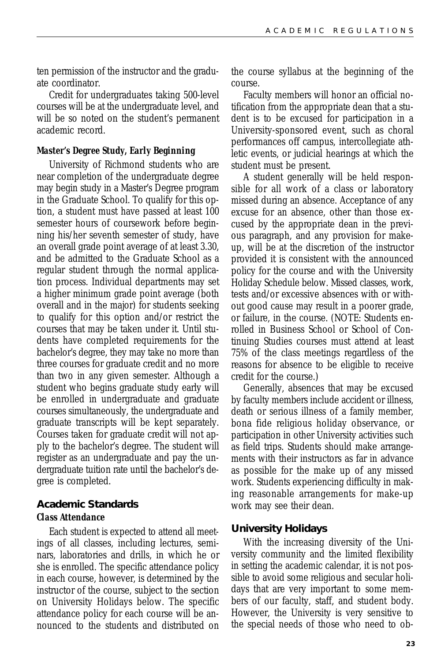ten permission of the instructor and the graduate coordinator.

Credit for undergraduates taking 500-level courses will be at the undergraduate level, and will be so noted on the student's permanent academic record.

#### *Master's Degree Study, Early Beginning*

University of Richmond students who are near completion of the undergraduate degree may begin study in a Master's Degree program in the Graduate School. To qualify for this option, a student must have passed at least 100 semester hours of coursework before beginning his/her seventh semester of study, have an overall grade point average of at least 3.30, and be admitted to the Graduate School as a regular student through the normal application process. Individual departments may set a higher minimum grade point average (both overall and in the major) for students seeking to qualify for this option and/or restrict the courses that may be taken under it. Until students have completed requirements for the bachelor's degree, they may take no more than three courses for graduate credit and no more than two in any given semester. Although a student who begins graduate study early will be enrolled in undergraduate and graduate courses simultaneously, the undergraduate and graduate transcripts will be kept separately. Courses taken for graduate credit will not apply to the bachelor's degree. The student will register as an undergraduate and pay the undergraduate tuition rate until the bachelor's degree is completed.

### **Academic Standards** *Class Attendance*

Each student is expected to attend all meetings of all classes, including lectures, seminars, laboratories and drills, in which he or she is enrolled. The specific attendance policy in each course, however, is determined by the instructor of the course, subject to the section on University Holidays below. The specific attendance policy for each course will be announced to the students and distributed on the course syllabus at the beginning of the course.

Faculty members will honor an official notification from the appropriate dean that a student is to be excused for participation in a University-sponsored event, such as choral performances off campus, intercollegiate athletic events, or judicial hearings at which the student must be present.

A student generally will be held responsible for all work of a class or laboratory missed during an absence. Acceptance of any excuse for an absence, other than those excused by the appropriate dean in the previous paragraph, and any provision for makeup, will be at the discretion of the instructor provided it is consistent with the announced policy for the course and with the University Holiday Schedule below. Missed classes, work, tests and/or excessive absences with or without good cause may result in a poorer grade, or failure, in the course. (NOTE: Students enrolled in Business School or School of Continuing Studies courses must attend at least 75% of the class meetings regardless of the reasons for absence to be eligible to receive credit for the course.)

Generally, absences that may be excused by faculty members include accident or illness, death or serious illness of a family member, bona fide religious holiday observance, or participation in other University activities such as field trips. Students should make arrangements with their instructors as far in advance as possible for the make up of any missed work. Students experiencing difficulty in making reasonable arrangements for make-up work may see their dean.

#### **University Holidays**

With the increasing diversity of the University community and the limited flexibility in setting the academic calendar, it is not possible to avoid some religious and secular holidays that are very important to some members of our faculty, staff, and student body. However, the University is very sensitive to the special needs of those who need to ob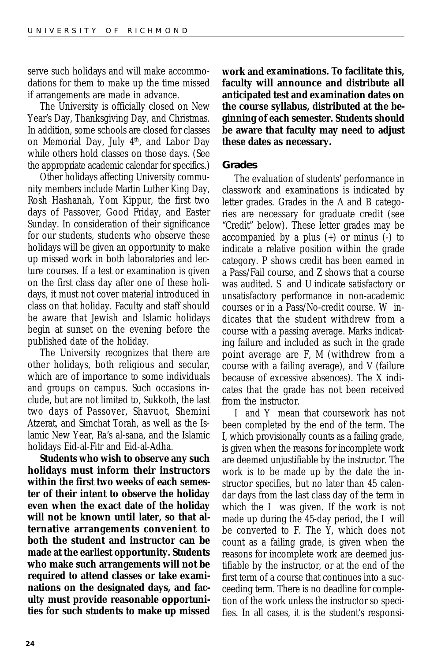serve such holidays and will make accommodations for them to make up the time missed if arrangements are made in advance.

The University is officially closed on New Year's Day, Thanksgiving Day, and Christmas. In addition, some schools are closed for classes on Memorial Day, July 4<sup>th</sup>, and Labor Day while others hold classes on those days. (See the appropriate academic calendar for specifics.)

Other holidays affecting University community members include Martin Luther King Day, Rosh Hashanah, Yom Kippur, the first two days of Passover, Good Friday, and Easter Sunday. In consideration of their significance for our students, students who observe these holidays will be given an opportunity to make up missed work in both laboratories and lecture courses. If a test or examination is given on the first class day after one of these holidays, it must not cover material introduced in class on that holiday. Faculty and staff should be aware that Jewish and Islamic holidays begin at sunset on the evening before the published date of the holiday.

The University recognizes that there are other holidays, both religious and secular, which are of importance to some individuals and groups on campus. Such occasions include, but are not limited to, Sukkoth, the last two days of Passover, Shavuot, Shemini Atzerat, and Simchat Torah, as well as the Islamic New Year, Ra's al-sana, and the Islamic holidays Eid-al-Fitr and Eid-al-Adha.

**Students who wish to observe any such holidays must inform their instructors within the first two weeks of each semester of their intent to observe the holiday even when the exact date of the holiday will not be known until later, so that alternative arrangements convenient to both the student and instructor can be made at the earliest opportunity. Students who make such arrangements will not be required to attend classes or take examinations on the designated days, and faculty must provide reasonable opportunities for such students to make up missed**

**work and examinations. To facilitate this, faculty will announce and distribute all anticipated test and examination dates on the course syllabus, distributed at the beginning of each semester. Students should be aware that faculty may need to adjust these dates as necessary.**

#### **Grades**

The evaluation of students' performance in classwork and examinations is indicated by letter grades. Grades in the *A* and *B* categories are necessary for graduate credit (see "Credit" below). These letter grades may be accompanied by a plus (+) or minus (-) to indicate a relative position within the grade category. *P* shows credit has been earned in a Pass/Fail course, and *Z* shows that a course was audited. *S* and *U* indicate satisfactory or unsatisfactory performance in non-academic courses or in a Pass/No-credit course. *W* indicates that the student withdrew from a course with a passing average. Marks indicating failure and included as such in the grade point average are *F, M* (withdrew from a course with a failing average), and *V* (failure because of excessive absences). The *X* indicates that the grade has not been received from the instructor.

*I* and *Y* mean that coursework has not been completed by the end of the term. The *I,* which provisionally counts as a failing grade, is given when the reasons for incomplete work are deemed unjustifiable by the instructor. The work is to be made up by the date the instructor specifies, but no later than 45 calendar days from the last class day of the term in which the *I* was given. If the work is not made up during the 45-day period, the *I* will be converted to *F*. The *Y,* which does not count as a failing grade, is given when the reasons for incomplete work are deemed justifiable by the instructor, or at the end of the first term of a course that continues into a succeeding term. There is no deadline for completion of the work unless the instructor so specifies. In all cases, it is the student's responsi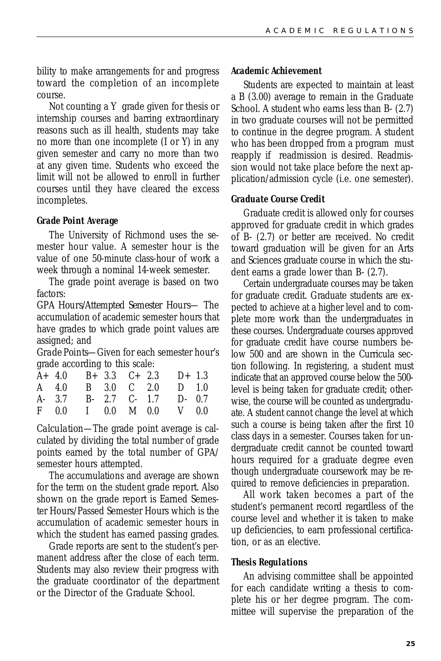bility to make arrangements for and progress toward the completion of an incomplete course.

Not counting a *Y* grade given for thesis or internship courses and barring extraordinary reasons such as ill health, students may take no more than one incomplete (*I* or *Y*) in any given semester and carry no more than two at any given time. Students who exceed the limit will not be allowed to enroll in further courses until they have cleared the excess incompletes.

#### *Grade Point Average*

The University of Richmond uses the semester hour value. A semester hour is the value of one 50-minute class-hour of work a week through a nominal 14-week semester.

The grade point average is based on two factors:

*GPA Hours/Attempted Semester Hours*— The accumulation of academic semester hours that have grades to which grade point values are assigned; and

*Grade Points*—Given for each semester hour's grade according to this scale:

|  |  | $A+ 4.0$ $B+ 3.3$ $C+ 2.3$ $D+ 1.3$ |  |
|--|--|-------------------------------------|--|
|  |  | A 4.0 B 3.0 C 2.0 D 1.0             |  |
|  |  | A- 3.7 B- 2.7 C- 1.7 D- 0.7         |  |
|  |  | F 0.0 I 0.0 M 0.0 V 0.0             |  |

*Calculation*—The grade point average is calculated by dividing the total number of grade points earned by the total number of GPA/ semester hours attempted.

The accumulations and average are shown for the term on the student grade report. Also shown on the grade report is Earned Semester Hours/Passed Semester Hours which is the accumulation of academic semester hours in which the student has earned passing grades.

Grade reports are sent to the student's permanent address after the close of each term. Students may also review their progress with the graduate coordinator of the department or the Director of the Graduate School.

#### *Academic Achievement*

Students are expected to maintain at least a *B* (3.00) average to remain in the Graduate School. A student who earns less than *B-* (2.7) in two graduate courses will not be permitted to continue in the degree program. A student who has been dropped from a program must reapply if readmission is desired. Readmission would not take place before the next application/admission cycle (i.e. one semester).

#### *Graduate Course Credit*

Graduate credit is allowed only for courses approved for graduate credit in which grades of *B-* (2.7) or better are received. No credit toward graduation will be given for an Arts and Sciences graduate course in which the student earns a grade lower than *B-* (2.7).

Certain undergraduate courses may be taken for graduate credit. Graduate students are expected to achieve at a higher level and to complete more work than the undergraduates in these courses. Undergraduate courses approved for graduate credit have course numbers below 500 and are shown in the Curricula section following. In registering, a student must indicate that an approved course below the 500 level is being taken for graduate credit; otherwise, the course will be counted as undergraduate. A student cannot change the level at which such a course is being taken after the first 10 class days in a semester. Courses taken for undergraduate credit cannot be counted toward hours required for a graduate degree even though undergraduate coursework may be required to remove deficiencies in preparation.

All work taken becomes a part of the student's permanent record regardless of the course level and whether it is taken to make up deficiencies, to earn professional certification, or as an elective.

#### *Thesis Regulations*

An advising committee shall be appointed for each candidate writing a thesis to complete his or her degree program. The committee will supervise the preparation of the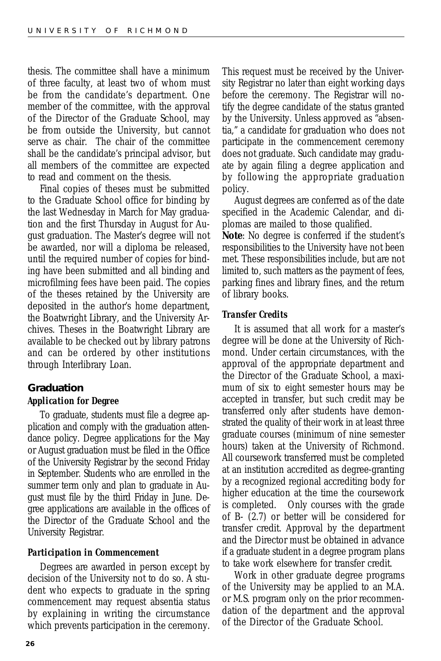thesis. The committee shall have a minimum of three faculty, at least two of whom must be from the candidate's department. One member of the committee, with the approval of the Director of the Graduate School, may be from outside the University, but cannot serve as chair. The chair of the committee shall be the candidate's principal advisor, but all members of the committee are expected to read and comment on the thesis.

Final copies of theses must be submitted to the Graduate School office for binding by the last Wednesday in March for May graduation and the first Thursday in August for August graduation. The Master's degree will not be awarded, nor will a diploma be released, until the required number of copies for binding have been submitted and all binding and microfilming fees have been paid. The copies of the theses retained by the University are deposited in the author's home department, the Boatwright Library, and the University Archives. Theses in the Boatwright Library are available to be checked out by library patrons and can be ordered by other institutions through Interlibrary Loan.

### **Graduation** *Application for Degree*

To graduate, students must file a degree application and comply with the graduation attendance policy. Degree applications for the May or August graduation must be filed in the Office of the University Registrar by the second Friday in September. Students who are enrolled in the summer term only and plan to graduate in August must file by the third Friday in June. Degree applications are available in the offices of the Director of the Graduate School and the University Registrar.

#### *Participation in Commencement*

Degrees are awarded in person except by decision of the University not to do so. A student who expects to graduate in the spring commencement may request absentia status by explaining in writing the circumstance which prevents participation in the ceremony. This request must be received by the University Registrar no later than eight working days before the ceremony. The Registrar will notify the degree candidate of the status granted by the University. Unless approved as "absentia," a candidate for graduation who does not participate in the commencement ceremony does not graduate. Such candidate may graduate by again filing a degree application and by following the appropriate graduation policy.

August degrees are conferred as of the date specified in the Academic Calendar, and diplomas are mailed to those qualified.

**Note**: No degree is conferred if the student's responsibilities to the University have not been met. These responsibilities include, but are not limited to, such matters as the payment of fees, parking fines and library fines, and the return of library books.

#### *Transfer Credits*

It is assumed that all work for a master's degree will be done at the University of Richmond. Under certain circumstances, with the approval of the appropriate department and the Director of the Graduate School, a maximum of six to eight semester hours may be accepted in transfer, but such credit may be transferred only after students have demonstrated the quality of their work in at least three graduate courses (minimum of nine semester hours) taken at the University of Richmond. All coursework transferred must be completed at an institution accredited as degree-granting by a recognized regional accrediting body for higher education at the time the coursework is completed. Only courses with the grade of *B-* (2.7) or better will be considered for transfer credit. Approval by the department and the Director must be obtained in advance if a graduate student in a degree program plans to take work elsewhere for transfer credit.

Work in other graduate degree programs of the University may be applied to an M.A. or M.S. program only on the prior recommendation of the department and the approval of the Director of the Graduate School.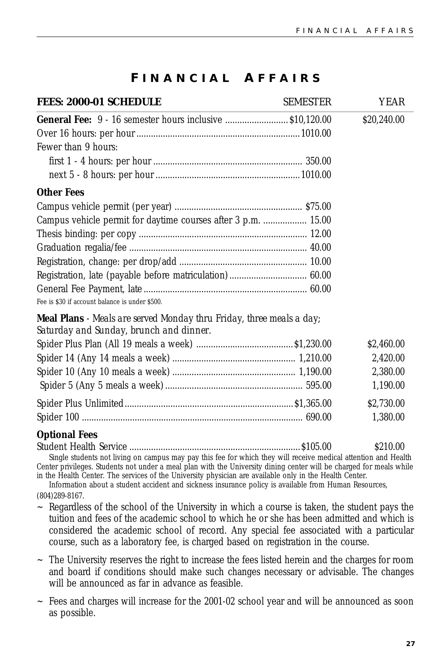### **F INANCIAL A FFAIRS**

| <b>FEES: 2000-01 SCHEDULE</b><br><b>SEMESTER</b>                                                                       | <b>YEAR</b> |
|------------------------------------------------------------------------------------------------------------------------|-------------|
| <b>General Fee:</b> 9 - 16 semester hours inclusive  \$10,120.00                                                       | \$20,240.00 |
|                                                                                                                        |             |
| Fewer than 9 hours:                                                                                                    |             |
|                                                                                                                        |             |
|                                                                                                                        |             |
| <b>Other Fees</b>                                                                                                      |             |
|                                                                                                                        |             |
| Campus vehicle permit for daytime courses after 3 p.m.  15.00                                                          |             |
|                                                                                                                        |             |
|                                                                                                                        |             |
|                                                                                                                        |             |
|                                                                                                                        |             |
| Fee is \$30 if account balance is under \$500.                                                                         |             |
| <b>Meal Plans</b> - Meals are served Monday thru Friday, three meals a day;<br>Saturday and Sunday, brunch and dinner. |             |
|                                                                                                                        | \$2,460.00  |
|                                                                                                                        | 2,420.00    |
|                                                                                                                        | 2,380.00    |
|                                                                                                                        | 1,190.00    |
|                                                                                                                        | \$2,730.00  |
|                                                                                                                        | 1,380.00    |

**Optional Fees**

Student Health Service .......................................................................\$105.00 \$210.00 Single students not living on campus may pay this fee for which they will receive medical attention and Health Center privileges. Students not under a meal plan with the University dining center will be charged for meals while

in the Health Center. The services of the University physician are available only in the Health Center. Information about a student accident and sickness insurance policy is available from Human Resources,

(804)289-8167.

- $\sim$  Regardless of the school of the University in which a course is taken, the student pays the tuition and fees of the academic school to which he or she has been admitted and which is considered the academic school of record. Any special fee associated with a particular course, such as a laboratory fee, is charged based on registration in the course.
- $\sim$  The University reserves the right to increase the fees listed herein and the charges for room and board if conditions should make such changes necessary or advisable. The changes will be announced as far in advance as feasible.
- $\sim$  Fees and charges will increase for the 2001-02 school year and will be announced as soon as possible.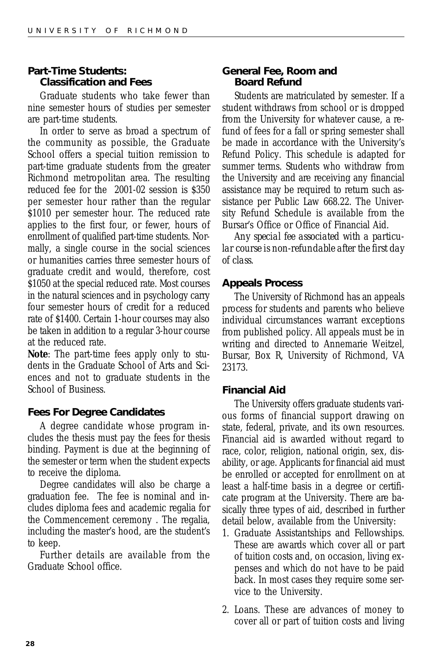### **Part-Time Students: Classification and Fees**

Graduate students who take fewer than nine semester hours of studies per semester are part-time students.

In order to serve as broad a spectrum of the community as possible, the Graduate School offers a special tuition remission to part-time graduate students from the greater Richmond metropolitan area. The resulting reduced fee for the 2001-02 session is \$350 per semester hour rather than the regular \$1010 per semester hour. The reduced rate applies to the first four, or fewer, hours of enrollment of qualified part-time students. Normally, a single course in the social sciences or humanities carries three semester hours of graduate credit and would, therefore, cost \$1050 at the special reduced rate. Most courses in the natural sciences and in psychology carry four semester hours of credit for a reduced rate of \$1400. Certain 1-hour courses may also be taken in addition to a regular 3-hour course at the reduced rate.

**Note**: The part-time fees apply only to students in the Graduate School of Arts and Sciences and not to graduate students in the School of Business.

### **Fees For Degree Candidates**

A degree candidate whose program includes the thesis must pay the fees for thesis binding. Payment is due at the beginning of the semester or term when the student expects to receive the diploma.

Degree candidates will also be charge a graduation fee. The fee is nominal and includes diploma fees and academic regalia for the Commencement ceremony . The regalia, including the master's hood, are the student's to keep.

Further details are available from the Graduate School office.

### **General Fee, Room and Board Refund**

Students are matriculated by semester. If a student withdraws from school or is dropped from the University for whatever cause, a refund of fees for a fall or spring semester shall be made in accordance with the University's Refund Policy. This schedule is adapted for summer terms. Students who withdraw from the University and are receiving any financial assistance may be required to return such assistance per Public Law 668.22. The University Refund Schedule is available from the Bursar's Office or Office of Financial Aid.

*Any special fee associated with a particular course is non-refundable after the first day of class.*

### **Appeals Process**

The University of Richmond has an appeals process for students and parents who believe individual circumstances warrant exceptions from published policy. All appeals must be in writing and directed to Annemarie Weitzel, Bursar, Box R, University of Richmond, VA 23173.

#### **Financial Aid**

The University offers graduate students various forms of financial support drawing on state, federal, private, and its own resources. Financial aid is awarded without regard to race, color, religion, national origin, sex, disability, or age. Applicants for financial aid must be enrolled or accepted for enrollment on at least a half-time basis in a degree or certificate program at the University. There are basically three types of aid, described in further detail below, available from the University:

- 1. Graduate Assistantships and Fellowships. These are awards which cover all or part of tuition costs and, on occasion, living expenses and which do not have to be paid back. In most cases they require some service to the University.
- 2. Loans. These are advances of money to cover all or part of tuition costs and living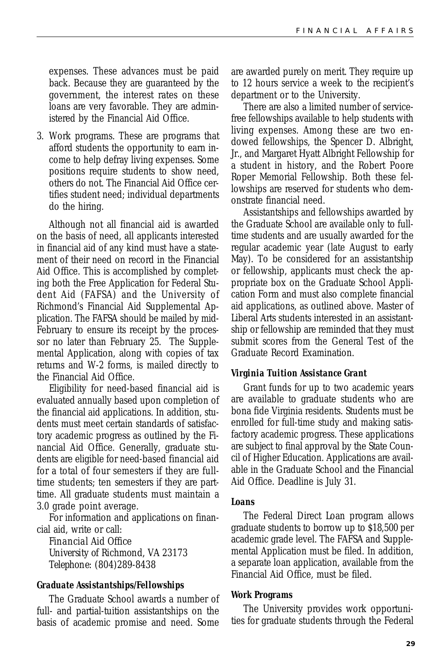expenses. These advances must be paid back. Because they are guaranteed by the government, the interest rates on these loans are very favorable. They are administered by the Financial Aid Office.

3. Work programs. These are programs that afford students the opportunity to earn income to help defray living expenses. Some positions require students to show need, others do not. The Financial Aid Office certifies student need; individual departments do the hiring.

Although not all financial aid is awarded on the basis of need, all applicants interested in financial aid of any kind must have a statement of their need on record in the Financial Aid Office. This is accomplished by completing both the Free Application for Federal Student Aid (FAFSA) and the University of Richmond's Financial Aid Supplemental Application. The FAFSA should be mailed by mid-February to ensure its receipt by the processor no later than February 25. The Supplemental Application, along with copies of tax returns and W-2 forms, is mailed directly to the Financial Aid Office.

Eligibility for need-based financial aid is evaluated annually based upon completion of the financial aid applications. In addition, students must meet certain standards of satisfactory academic progress as outlined by the Financial Aid Office. Generally, graduate students are eligible for need-based financial aid for a total of four semesters if they are fulltime students; ten semesters if they are parttime. All graduate students must maintain a 3.0 grade point average.

For information and applications on financial aid, write or call:

*Financial Aid Office University of Richmond, VA 23173 Telephone: (804)289-8438*

#### *Graduate Assistantships/Fellowships*

The Graduate School awards a number of full- and partial-tuition assistantships on the basis of academic promise and need. Some

are awarded purely on merit. They require up to 12 hours service a week to the recipient's department or to the University.

There are also a limited number of servicefree fellowships available to help students with living expenses. Among these are two endowed fellowships, the Spencer D. Albright, Jr., and Margaret Hyatt Albright Fellowship for a student in history, and the Robert Poore Roper Memorial Fellowship. Both these fellowships are reserved for students who demonstrate financial need.

Assistantships and fellowships awarded by the Graduate School are available only to fulltime students and are usually awarded for the regular academic year (late August to early May). To be considered for an assistantship or fellowship, applicants must check the appropriate box on the Graduate School Application Form and must also complete financial aid applications, as outlined above. Master of Liberal Arts students interested in an assistantship or fellowship are reminded that they must submit scores from the General Test of the Graduate Record Examination.

#### *Virginia Tuition Assistance Grant*

Grant funds for up to two academic years are available to graduate students who are bona fide Virginia residents. Students must be enrolled for full-time study and making satisfactory academic progress. These applications are subject to final approval by the State Council of Higher Education. Applications are available in the Graduate School and the Financial Aid Office. Deadline is July 31.

#### *Loans*

The Federal Direct Loan program allows graduate students to borrow up to \$18,500 per academic grade level. The FAFSA and Supplemental Application must be filed. In addition, a separate loan application, available from the Financial Aid Office, must be filed.

#### *Work Programs*

The University provides work opportunities for graduate students through the Federal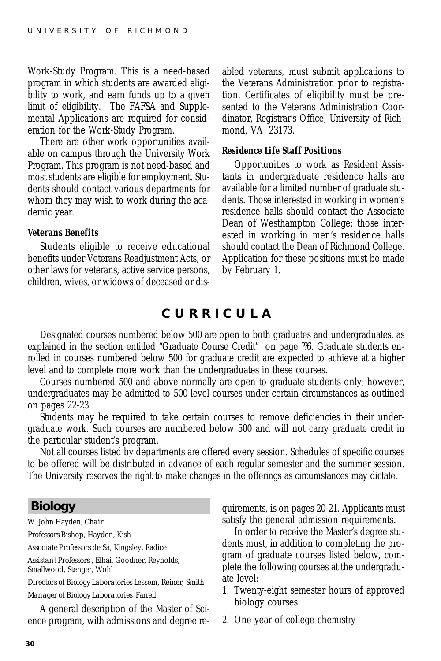<span id="page-29-0"></span>Work-Study Program. This is a need-based program in which students are awarded eligibility to work, and earn funds up to a given limit of eligibility. The FAFSA and Supplemental Applications are required for consideration for the Work-Study Program.

There are other work opportunities available on campus through the University Work Program. This program is not need-based and most students are eligible for employment. Students should contact various departments for whom they may wish to work during the academic year.

#### *Veterans Benefits*

Students eligible to receive educational benefits under Veterans Readjustment Acts, or other laws for veterans, active service persons, children, wives, or widows of deceased or disabled veterans, must submit applications to the Veterans Administration prior to registration. Certificates of eligibility must be presented to the Veterans Administration Coordinator, Registrar's Office, University of Richmond, VA 23173.

#### *Residence Life Staff Positions*

Opportunities to work as Resident Assistants in undergraduate residence halls are available for a limited number of graduate students. Those interested in working in women's residence halls should contact the Associate Dean of Westhampton College; those interested in working in men's residence halls should contact the Dean of Richmond College. Application for these positions must be made by February 1.

### **CURRICULA**

Designated courses numbered below 500 are open to both graduates and undergraduates, as explained in the section entitled "Graduate Course Credit" on page ??6. Graduate students enrolled in courses numbered below 500 for graduate credit are expected to achieve at a higher level and to complete more work than the undergraduates in these courses.

Courses numbered 500 and above normally are open to graduate students only; however, undergraduates may be admitted to 500-level courses under certain circumstances as outlined on pages 22-23.

Students may be required to take certain courses to remove deficiencies in their undergraduate work. Such courses are numbered below 500 and will not carry graduate credit in the particular student's program.

Not all courses listed by departments are offered every session. Schedules of specific courses to be offered will be distributed in advance of each regular semester and the summer session. The University reserves the right to make changes in the offerings as circumstances may dictate.

### **Biology**

W. John Hayden, *Chair*

*Professors* Bishop, Hayden, Kish

*Associate Professors* de Sá, Kingsley, Radice

*Assistant Professors* , Elhai, Goodner, Reynolds, Smallwood, Stenger, Wohl

*Directors of Biology Laboratories* Lessem, Reiner, Smith

#### *Manager of Biology Laboratories* Farrell

A general description of the Master of Science program, with admissions and degree requirements, is on pages 20-21. Applicants must satisfy the general admission requirements.

In order to receive the Master's degree students must, in addition to completing the program of graduate courses listed below, complete the following courses at the undergraduate level:

- 1. Twenty-eight semester hours of approved biology courses
- 2. One year of college chemistry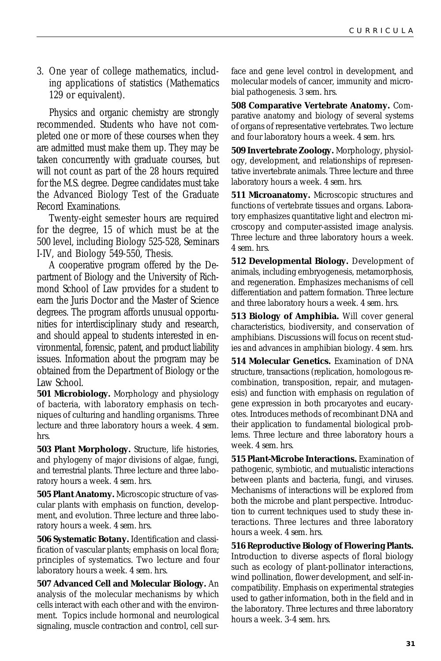3. One year of college mathematics, including applications of statistics (Mathematics 129 or equivalent).

Physics and organic chemistry are strongly recommended. Students who have not completed one or more of these courses when they are admitted must make them up. They may be taken concurrently with graduate courses, but will not count as part of the 28 hours required for the M.S. degree. Degree candidates must take the Advanced Biology Test of the Graduate Record Examinations.

Twenty-eight semester hours are required for the degree, 15 of which must be at the 500 level, including Biology 525-528, Seminars I-IV, and Biology 549-550, Thesis.

A cooperative program offered by the Department of Biology and the University of Richmond School of Law provides for a student to earn the Juris Doctor and the Master of Science degrees. The program affords unusual opportunities for interdisciplinary study and research, and should appeal to students interested in environmental, forensic, patent, and product liability issues. Information about the program may be obtained from the Department of Biology or the Law School.

**501 Microbiology.** Morphology and physiology of bacteria, with laboratory emphasis on techniques of culturing and handling organisms. Three lecture and three laboratory hours a week. *4 sem. hrs.*

**503 Plant Morphology.** Structure, life histories, and phylogeny of major divisions of algae, fungi, and terrestrial plants. Three lecture and three laboratory hours a week. *4 sem. hrs.*

**505 Plant Anatomy.** Microscopic structure of vascular plants with emphasis on function, development, and evolution. Three lecture and three laboratory hours a week. *4 sem. hrs.*

**506 Systematic Botany.** Identification and classification of vascular plants; emphasis on local flora; principles of systematics. Two lecture and four laboratory hours a week. *4 sem. hrs.*

**507 Advanced Cell and Molecular Biology.** An analysis of the molecular mechanisms by which cells interact with each other and with the environment. Topics include hormonal and neurological signaling, muscle contraction and control, cell surface and gene level control in development, and molecular models of cancer, immunity and microbial pathogenesis. *3 sem. hrs.*

**508 Comparative Vertebrate Anatomy.** Comparative anatomy and biology of several systems of organs of representative vertebrates. Two lecture and four laboratory hours a week. *4 sem. hrs.*

**509 Invertebrate Zoology.** Morphology, physiology, development, and relationships of representative invertebrate animals. Three lecture and three laboratory hours a week. *4 sem. hrs.*

**511 Microanatomy.** Microscopic structures and functions of vertebrate tissues and organs. Laboratory emphasizes quantitative light and electron microscopy and computer-assisted image analysis. Three lecture and three laboratory hours a week. *4 sem. hrs.*

**512 Developmental Biology.** Development of animals, including embryogenesis, metamorphosis, and regeneration. Emphasizes mechanisms of cell differentiation and pattern formation. Three lecture and three laboratory hours a week. *4 sem. hrs.*

**513 Biology of Amphibia.** Will cover general characteristics, biodiversity, and conservation of amphibians. Discussions will focus on recent studies and advances in amphibian biology. *4 sem. hrs.*

**514 Molecular Genetics.** Examination of DNA structure, transactions (replication, homologous recombination, transposition, repair, and mutagenesis) and function with emphasis on regulation of gene expression in both procaryotes and eucaryotes. Introduces methods of recombinant DNA and their application to fundamental biological problems. Three lecture and three laboratory hours a week. *4 sem. hrs.*

**515 Plant-Microbe Interactions.** Examination of pathogenic, symbiotic, and mutualistic interactions between plants and bacteria, fungi, and viruses. Mechanisms of interactions will be explored from both the microbe and plant perspective. Introduction to current techniques used to study these interactions. Three lectures and three laboratory hours a week. *4 sem. hrs.*

**516 Reproductive Biology of Flowering Plants.** Introduction to diverse aspects of floral biology such as ecology of plant-pollinator interactions, wind pollination, flower development, and self-incompatibility. Emphasis on experimental strategies used to gather information, both in the field and in the laboratory. Three lectures and three laboratory hours a week. *3-4 sem. hrs.*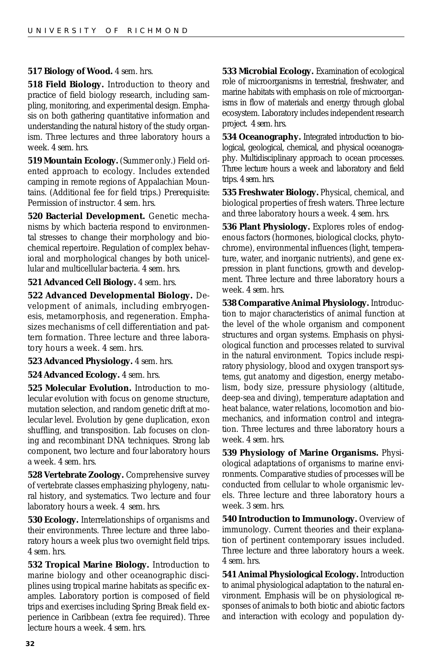#### **517 Biology of Wood.** *4 sem. hrs.*

**518 Field Biology.** Introduction to theory and practice of field biology research, including sampling, monitoring, and experimental design. Emphasis on both gathering quantitative information and understanding the natural history of the study organism. Three lectures and three laboratory hours a week. *4 sem. hrs.*

**519 Mountain Ecology.** (Summer only.) Field oriented approach to ecology. Includes extended camping in remote regions of Appalachian Mountains. (Additional fee for field trips.) *Prerequisite:* Permission of instructor. *4 sem. hrs.*

**520 Bacterial Development.** Genetic mechanisms by which bacteria respond to environmental stresses to change their morphology and biochemical repertoire. Regulation of complex behavioral and morphological changes by both unicellular and multicellular bacteria. *4 sem. hrs.*

#### **521 Advanced Cell Biology.** *4 sem. hrs.*

**522 Advanced Developmental Biology.** Development of animals, including embryogenesis, metamorphosis, and regeneration. Emphasizes mechanisms of cell differentiation and pattern formation. Three lecture and three laboratory hours a week. *4 sem. hrs.*

#### **523 Advanced Physiology.** *4 sem. hrs.*

#### **524 Advanced Ecology.** *4 sem. hrs.*

**525 Molecular Evolution.** Introduction to molecular evolution with focus on genome structure, mutation selection, and random genetic drift at molecular level. Evolution by gene duplication, exon shuffling, and transposition. Lab focuses on cloning and recombinant DNA techniques. Strong lab component, two lecture and four laboratory hours a week. *4 sem. hrs.*

**528 Vertebrate Zoology.** Comprehensive survey of vertebrate classes emphasizing phylogeny, natural history, and systematics. Two lecture and four laboratory hours a week. *4 sem. hrs.*

**530 Ecology.** Interrelationships of organisms and their environments. Three lecture and three laboratory hours a week plus two overnight field trips. *4 sem. hrs.*

**532 Tropical Marine Biology.** Introduction to marine biology and other oceanographic disciplines using tropical marine habitats as specific examples. Laboratory portion is composed of field trips and exercises including Spring Break field experience in Caribbean (extra fee required). Three lecture hours a week. *4 sem. hrs.*

**533 Microbial Ecology.** Examination of ecological role of microorganisms in terrestrial, freshwater, and marine habitats with emphasis on role of microorganisms in flow of materials and energy through global ecosystem. Laboratory includes independent research project. *4 sem. hrs.*

**534 Oceanography.** Integrated introduction to biological, geological, chemical, and physical oceanography. Multidisciplinary approach to ocean processes. Three lecture hours a week and laboratory and field trips. *4 sem. hrs.*

**535 Freshwater Biology.** Physical, chemical, and biological properties of fresh waters. Three lecture and three laboratory hours a week. *4 sem. hrs.*

**536 Plant Physiology.** Explores roles of endogenous factors (hormones, biological clocks, phytochrome), environmental influences (light, temperature, water, and inorganic nutrients), and gene expression in plant functions, growth and development. Three lecture and three laboratory hours a week. *4 sem. hrs.*

**538 Comparative Animal Physiology.** Introduction to major characteristics of animal function at the level of the whole organism and component structures and organ systems. Emphasis on physiological function and processes related to survival in the natural environment. Topics include respiratory physiology, blood and oxygen transport systems, gut anatomy and digestion, energy metabolism, body size, pressure physiology (altitude, deep-sea and diving), temperature adaptation and heat balance, water relations, locomotion and biomechanics, and information control and integration. Three lectures and three laboratory hours a week. *4 sem. hrs.*

**539 Physiology of Marine Organisms.** Physiological adaptations of organisms to marine environments. Comparative studies of processes will be conducted from cellular to whole organismic levels. Three lecture and three laboratory hours a week. *3 sem. hrs.*

**540 Introduction to Immunology.** Overview of immunology. Current theories and their explanation of pertinent contemporary issues included. Three lecture and three laboratory hours a week. *4 sem. hrs.*

**541 Animal Physiological Ecology.** Introduction to animal physiological adaptation to the natural environment. Emphasis will be on physiological responses of animals to both biotic and abiotic factors and interaction with ecology and population dy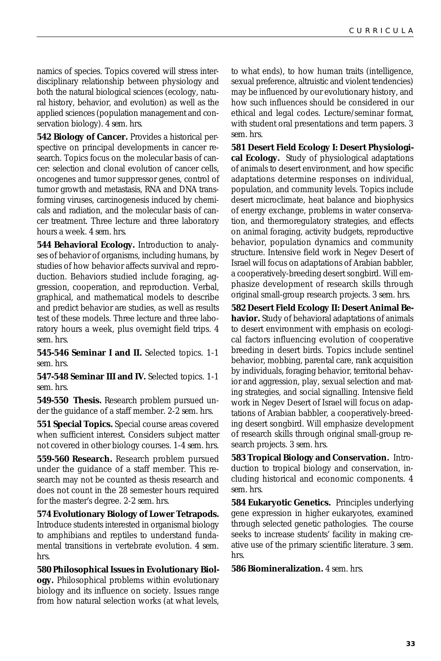namics of species. Topics covered will stress interdisciplinary relationship between physiology and both the natural biological sciences (ecology, natural history, behavior, and evolution) as well as the applied sciences (population management and conservation biology). *4 sem. hrs.*

**542 Biology of Cancer.** Provides a historical perspective on principal developments in cancer research. Topics focus on the molecular basis of cancer: selection and clonal evolution of cancer cells, oncogenes and tumor suppressor genes, control of tumor growth and metastasis, RNA and DNA transforming viruses, carcinogenesis induced by chemicals and radiation, and the molecular basis of cancer treatment. Three lecture and three laboratory hours a week. *4 sem. hrs.*

**544 Behavioral Ecology.** Introduction to analyses of behavior of organisms, including humans, by studies of how behavior affects survival and reproduction. Behaviors studied include foraging, aggression, cooperation, and reproduction. Verbal, graphical, and mathematical models to describe and predict behavior are studies, as well as results test of these models. Three lecture and three laboratory hours a week, plus overnight field trips. *4 sem. hrs.*

**545-546 Seminar I and II.** Selected topics. *1-1 sem. hrs.*

**547-548 Seminar III and IV.** Selected topics. *1-1 sem. hrs.*

**549-550 Thesis.** Research problem pursued under the guidance of a staff member. *2-2 sem. hrs.*

**551 Special Topics.** Special course areas covered when sufficient interest. Considers subject matter not covered in other biology courses. *1-4 sem. hrs.*

**559-560 Research.** Research problem pursued under the guidance of a staff member. This research may not be counted as thesis research and does not count in the 28 semester hours required for the master's degree. *2-2 sem. hrs.*

**574 Evolutionary Biology of Lower Tetrapods.** Introduce students interested in organismal biology to amphibians and reptiles to understand fundamental transitions in vertebrate evolution. *4 sem. hrs.*

**580 Philosophical Issues in Evolutionary Biology.** Philosophical problems within evolutionary biology and its influence on society. Issues range from how natural selection works (at what levels,

to what ends), to how human traits (intelligence, sexual preference, altruistic and violent tendencies) may be influenced by our evolutionary history, and how such influences should be considered in our ethical and legal codes. Lecture/seminar format, with student oral presentations and term papers. *3 sem. hrs.*

**581 Desert Field Ecology I: Desert Physiological Ecology.** Study of physiological adaptations of animals to desert environment, and how specific adaptations determine responses on individual, population, and community levels. Topics include desert microclimate, heat balance and biophysics of energy exchange, problems in water conservation, and thermoregulatory strategies, and effects on animal foraging, activity budgets, reproductive behavior, population dynamics and community structure. Intensive field work in Negev Desert of Israel will focus on adaptations of Arabian babbler, a cooperatively-breeding desert songbird. Will emphasize development of research skills through original small-group research projects. *3 sem. hrs.*

**582 Desert Field Ecology II: Desert Animal Behavior.** Study of behavioral adaptations of animals to desert environment with emphasis on ecological factors influencing evolution of cooperative breeding in desert birds. Topics include sentinel behavior, mobbing, parental care, rank acquisition by individuals, foraging behavior, territorial behavior and aggression, play, sexual selection and mating strategies, and social signalling. Intensive field work in Negev Desert of Israel will focus on adaptations of Arabian babbler, a cooperatively-breeding desert songbird. Will emphasize development of research skills through original small-group research projects. *3 sem. hrs.*

**583 Tropical Biology and Conservation.** Introduction to tropical biology and conservation, including historical and economic components. *4 sem. hrs.*

**584 Eukaryotic Genetics.** Principles underlying gene expression in higher eukaryotes, examined through selected genetic pathologies. The course seeks to increase students' facility in making creative use of the primary scientific literature. *3 sem. hrs.*

**586 Biomineralization.** *4 sem. hrs.*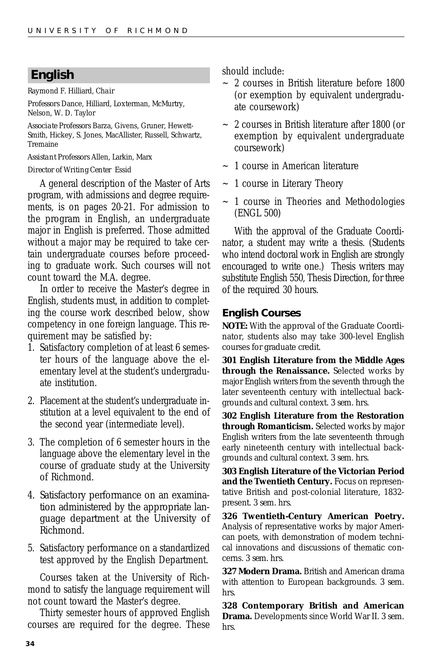### <span id="page-33-0"></span>**English**

Raymond F. Hilliard, *Chair*

*Professors* Dance, Hilliard, Loxterman, McMurtry, Nelson, W. D. Taylor

*Associate Professors* Barza, Givens, Gruner, Hewett-Smith, Hickey, S. Jones, MacAllister, Russell, Schwartz, Tremaine

*Assistant Professors* Allen, Larkin, Marx

#### *Director of Writing Center* Essid

A general description of the Master of Arts program, with admissions and degree requirements, is on pages 20-21. For admission to the program in English, an undergraduate major in English is preferred. Those admitted without a major may be required to take certain undergraduate courses before proceeding to graduate work. Such courses will not count toward the M.A. degree.

In order to receive the Master's degree in English, students must, in addition to completing the course work described below, show competency in one foreign language. This requirement may be satisfied by:

- 1. Satisfactory completion of at least 6 semester hours of the language above the elementary level at the student's undergraduate institution.
- 2. Placement at the student's undergraduate institution at a level equivalent to the end of the second year (intermediate level).
- 3. The completion of 6 semester hours in the language above the elementary level in the course of graduate study at the University of Richmond.
- 4. Satisfactory performance on an examination administered by the appropriate language department at the University of Richmond.
- 5. Satisfactory performance on a standardized test approved by the English Department.

Courses taken at the University of Richmond to satisfy the language requirement will not count toward the Master's degree.

Thirty semester hours of approved English courses are required for the degree. These

should include:

- $\sim$  2 courses in British literature before 1800 (or exemption by equivalent undergraduate coursework)
- ~ 2 courses in British literature after 1800 (or exemption by equivalent undergraduate coursework)
- ~ 1 course in American literature
- ~ 1 course in Literary Theory
- ~ 1 course in Theories and Methodologies (ENGL 500)

With the approval of the Graduate Coordinator, a student may write a thesis. (Students who intend doctoral work in English are strongly encouraged to write one.) Thesis writers may substitute English 550, Thesis Direction, for three of the required 30 hours.

### **English Courses**

**NOTE:** With the approval of the Graduate Coordinator, students also may take 300-level English courses for graduate credit.

**301 English Literature from the Middle Ages through the Renaissance.** Selected works by major English writers from the seventh through the later seventeenth century with intellectual backgrounds and cultural context. *3 sem. hrs.*

**302 English Literature from the Restoration through Romanticism.** Selected works by major English writers from the late seventeenth through early nineteenth century with intellectual backgrounds and cultural context. *3 sem. hrs.*

**303 English Literature of the Victorian Period and the Twentieth Century.** Focus on representative British and post-colonial literature, 1832 present. *3 sem. hrs.*

**326 Twentieth-Century American Poetry.** Analysis of representative works by major American poets, with demonstration of modern technical innovations and discussions of thematic concerns. *3 sem. hrs.*

**327 Modern Drama.** British and American drama with attention to European backgrounds. *3 sem. hrs.*

**328 Contemporary British and American Drama.** Developments since World War II. *3 sem. hrs.*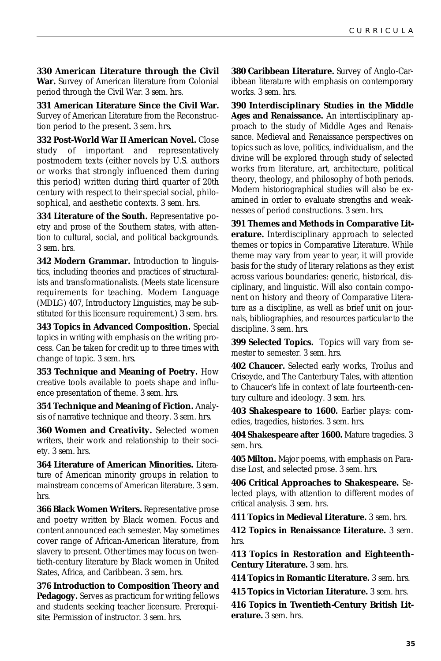**330 American Literature through the Civil War.** Survey of American literature from Colonial period through the Civil War. *3 sem. hrs.*

**331 American Literature Since the Civil War.** Survey of American Literature from the Reconstruction period to the present. *3 sem. hrs.*

**332 Post-World War II American Novel.** Close study of important and representatively postmodern texts (either novels by U.S. authors or works that strongly influenced them during this period) written during third quarter of 20th century with respect to their special social, philosophical, and aesthetic contexts. *3 sem. hrs.*

**334 Literature of the South.** Representative poetry and prose of the Southern states, with attention to cultural, social, and political backgrounds. *3 sem. hrs.*

**342 Modern Grammar.** Introduction to linguistics, including theories and practices of structuralists and transformationalists. (Meets state licensure requirements for teaching. Modern Language (MDLG) 407, Introductory Linguistics, may be substituted for this licensure requirement.) *3 sem. hrs.*

**343 Topics in Advanced Composition.** Special topics in writing with emphasis on the writing process. Can be taken for credit up to three times with change of topic. *3 sem. hrs.*

**353 Technique and Meaning of Poetry.** How creative tools available to poets shape and influence presentation of theme. *3 sem. hrs.*

**354 Technique and Meaning of Fiction.** Analysis of narrative technique and theory. *3 sem. hrs.*

**360 Women and Creativity.** Selected women writers, their work and relationship to their society. *3 sem. hrs.*

**364 Literature of American Minorities.** Literature of American minority groups in relation to mainstream concerns of American literature. *3 sem. hrs.*

**366 Black Women Writers.** Representative prose and poetry written by Black women. Focus and content announced each semester. May sometimes cover range of African-American literature, from slavery to present. Other times may focus on twentieth-century literature by Black women in United States, Africa, and Caribbean. *3 sem. hrs.*

**376 Introduction to Composition Theory and Pedagogy.** Serves as practicum for writing fellows and students seeking teacher licensure. *Prerequisite*: Permission of instructor. *3 sem. hrs.*

**380 Caribbean Literature.** Survey of Anglo-Caribbean literature with emphasis on contemporary works. *3 sem. hrs.*

**390 Interdisciplinary Studies in the Middle Ages and Renaissance.** An interdisciplinary approach to the study of Middle Ages and Renaissance. Medieval and Renaissance perspectives on topics such as love, politics, individualism, and the divine will be explored through study of selected works from literature, art, architecture, political theory, theology, and philosophy of both periods. Modern historiographical studies will also be examined in order to evaluate strengths and weaknesses of period constructions. *3 sem. hrs.*

**391 Themes and Methods in Comparative Literature.** Interdisciplinary approach to selected themes or topics in Comparative Literature. While theme may vary from year to year, it will provide basis for the study of literary relations as they exist across various boundaries: generic, historical, disciplinary, and linguistic. Will also contain component on history and theory of Comparative Literature as a discipline, as well as brief unit on journals, bibliographies, and resources particular to the discipline. *3 sem. hrs.*

**399 Selected Topics.** Topics will vary from semester to semester. *3 sem. hrs.*

**402 Chaucer.** Selected early works, Troilus and Criseyde, and The Canterbury Tales, with attention to Chaucer's life in context of late fourteenth-century culture and ideology. *3 sem. hrs.*

**403 Shakespeare to 1600.** Earlier plays: comedies, tragedies, histories. *3 sem. hrs.*

**404 Shakespeare after 1600.** Mature tragedies. *3 sem. hrs.*

**405 Milton.** Major poems, with emphasis on Paradise Lost, and selected prose. *3 sem. hrs.*

**406 Critical Approaches to Shakespeare.** Selected plays, with attention to different modes of critical analysis. *3 sem. hrs.*

**411 Topics in Medieval Literature.** *3 sem. hrs.* **412 Topics in Renaissance Literature.** *3 sem.*

*hrs.*

**413 Topics in Restoration and Eighteenth-Century Literature.** *3 sem. hrs.*

**414 Topics in Romantic Literature.** *3 sem. hrs.*

**415 Topics in Victorian Literature.** *3 sem. hrs.*

**416 Topics in Twentieth-Century British Literature.** *3 sem. hrs.*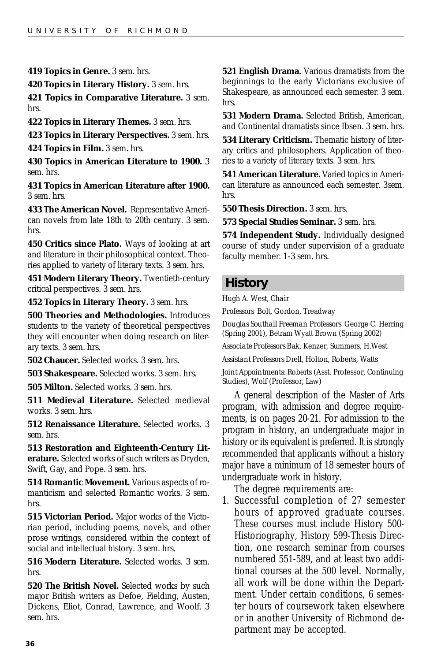<span id="page-35-0"></span>**419 Topics in Genre.** *3 sem. hrs.*

**420 Topics in Literary History.** *3 sem. hrs.*

**421 Topics in Comparative Literature.** *3 sem. hrs.*

**422 Topics in Literary Themes.** *3 sem. hrs.*

**423 Topics in Literary Perspectives.** *3 sem. hrs.*

**424 Topics in Film.** *3 sem. hrs.*

**430 Topics in American Literature to 1900.** *3 sem. hrs.*

**431 Topics in American Literature after 1900.** *3 sem. hrs.*

**433 The American Novel.** Representative American novels from late 18th to 20th century. *3 sem. hrs.*

**450 Critics since Plato.** Ways of looking at art and literature in their philosophical context. Theories applied to variety of literary texts. *3 sem. hrs.*

**451 Modern Literary Theory.** Twentieth-century critical perspectives. *3 sem. hrs.*

**452 Topics in Literary Theory.** *3 sem. hrs.*

**500 Theories and Methodologies.** Introduces students to the variety of theoretical perspectives they will encounter when doing research on literary texts. *3 sem. hrs.*

**502 Chaucer.** Selected works. *3 sem. hrs.*

**503 Shakespeare.** Selected works. *3 sem. hrs.*

**505 Milton.** Selected works. *3 sem. hrs.*

**511 Medieval Literature.** Selected medieval works. *3 sem. hrs.*

**512 Renaissance Literature.** Selected works. *3 sem. hrs.*

**513 Restoration and Eighteenth-Century Literature.** Selected works of such writers as Dryden, Swift, Gay, and Pope. *3 sem. hrs.*

**514 Romantic Movement.** Various aspects of romanticism and selected Romantic works. *3 sem. hrs.*

**515 Victorian Period.** Major works of the Victorian period, including poems, novels, and other prose writings, considered within the context of social and intellectual history. *3 sem. hrs.*

**516 Modern Literature.** Selected works. *3 sem. hrs.*

**520 The British Novel.** Selected works by such major British writers as Defoe, Fielding, Austen, Dickens, Eliot, Conrad, Lawrence, and Woolf. *3 sem. hrs.*

**521 English Drama.** Various dramatists from the beginnings to the early Victorians exclusive of Shakespeare, as announced each semester. *3 sem. hrs.*

**531 Modern Drama.** Selected British, American, and Continental dramatists since Ibsen. *3 sem. hrs.*

**534 Literary Criticism.** Thematic history of literary critics and philosophers. Application of theories to a variety of literary texts. *3 sem. hrs.*

**541 American Literature.** Varied topics in American literature as announced each semester. *3sem. hrs.*

**550 Thesis Direction.** *3 sem. hrs.*

**573 Special Studies Seminar.** *3 sem. hrs.*

**574 Independent Study.** Individually designed course of study under supervision of a graduate faculty member. *1-3 sem. hrs.*

### **History**

Hugh A. West, *Chair*

*Professors* Bolt, Gordon, Treadway

*Douglas Southall Freeman Professors* George C. Herring (Spring 2001), Betram Wyatt Brown (Spring 2002)

*Associate Professors* Bak, Kenzer, Summers, H.West

*Assistant Professors* Drell, Holton, Roberts, Watts

*Joint Appointments:* Roberts (Asst. Professor, Continuing Studies), Wolf (Professor, Law)

A general description of the Master of Arts program, with admission and degree requirements, is on pages 20-21. For admission to the program in history, an undergraduate major in history or its equivalent is preferred. It is strongly recommended that applicants without a history major have a minimum of 18 semester hours of undergraduate work in history.

The degree requirements are:

1. Successful completion of 27 semester hours of approved graduate courses. These courses must include History 500- Historiography, History 599-Thesis Direction, one research seminar from courses numbered 551-589, and at least two additional courses at the 500 level. Normally, all work will be done within the Department. Under certain conditions, 6 semester hours of coursework taken elsewhere or in another University of Richmond department may be accepted.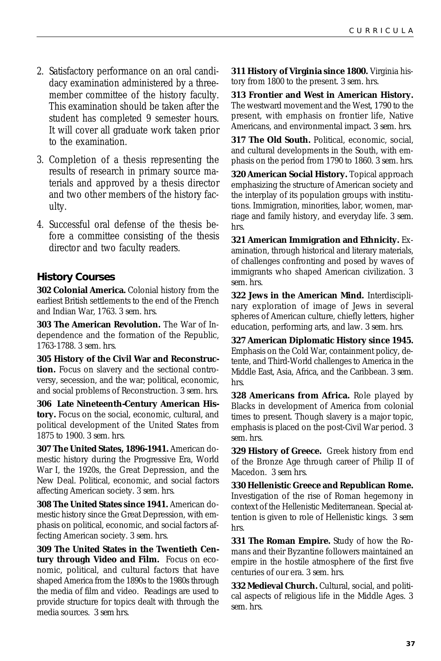- 2. Satisfactory performance on an oral candidacy examination administered by a threemember committee of the history faculty. This examination should be taken after the student has completed 9 semester hours. It will cover all graduate work taken prior to the examination.
- 3. Completion of a thesis representing the results of research in primary source materials and approved by a thesis director and two other members of the history faculty.
- 4. Successful oral defense of the thesis before a committee consisting of the thesis director and two faculty readers.

### **History Courses**

**302 Colonial America.** Colonial history from the earliest British settlements to the end of the French and Indian War, 1763. *3 sem. hrs.*

**303 The American Revolution.** The War of Independence and the formation of the Republic, 1763-1788. *3 sem. hrs.*

**305 History of the Civil War and Reconstruction.** Focus on slavery and the sectional controversy, secession, and the war; political, economic, and social problems of Reconstruction. *3 sem. hrs.*

**306 Late Nineteenth-Century American History.** Focus on the social, economic, cultural, and political development of the United States from 1875 to 1900. *3 sem. hrs.*

**307 The United States, 1896-1941.** American domestic history during the Progressive Era, World War I, the 1920s, the Great Depression, and the New Deal. Political, economic, and social factors affecting American society. *3 sem. hrs.*

**308 The United States since 1941.** American domestic history since the Great Depression, with emphasis on political, economic, and social factors affecting American society. *3 sem. hrs.*

**309 The United States in the Twentieth Century through Video and Film.** Focus on economic, political, and cultural factors that have shaped America from the 1890s to the 1980s through the media of film and video. Readings are used to provide structure for topics dealt with through the media sources. *3 sem hrs.*

**311 History of Virginia since 1800.** Virginia history from 1800 to the present. *3 sem. hrs.*

**313 Frontier and West in American History.** The westward movement and the West, 1790 to the present, with emphasis on frontier life, Native Americans, and environmental impact. *3 sem. hrs.*

**317 The Old South.** Political, economic, social, and cultural developments in the South, with emphasis on the period from 1790 to 1860. *3 sem. hrs.*

**320 American Social History.** Topical approach emphasizing the structure of American society and the interplay of its population groups with institutions. Immigration, minorities, labor, women, marriage and family history, and everyday life. *3 sem. hrs.*

**321 American Immigration and Ethnicity.** Examination, through historical and literary materials, of challenges confronting and posed by waves of immigrants who shaped American civilization. *3 sem. hrs.*

**322 Jews in the American Mind.** Interdisciplinary exploration of image of Jews in several spheres of American culture, chiefly letters, higher education, performing arts, and law. *3 sem. hrs.*

**327 American Diplomatic History since 1945.** Emphasis on the Cold War, containment policy, detente, and Third-World challenges to America in the Middle East, Asia, Africa, and the Caribbean. *3 sem. hrs.*

**328 Americans from Africa.** Role played by Blacks in development of America from colonial times to present. Though slavery is a major topic, emphasis is placed on the post-Civil War period. *3 sem. hrs.*

**329 History of Greece.** Greek history from end of the Bronze Age through career of Philip II of Macedon. *3 sem hrs.*

**330 Hellenistic Greece and Republican Rome.** Investigation of the rise of Roman hegemony in context of the Hellenistic Mediterranean. Special attention is given to role of Hellenistic kings. *3 sem hrs.*

**331 The Roman Empire.** Study of how the Romans and their Byzantine followers maintained an empire in the hostile atmosphere of the first five centuries of our era. *3 sem. hrs.*

**332 Medieval Church.** Cultural, social, and political aspects of religious life in the Middle Ages. *3 sem. hrs.*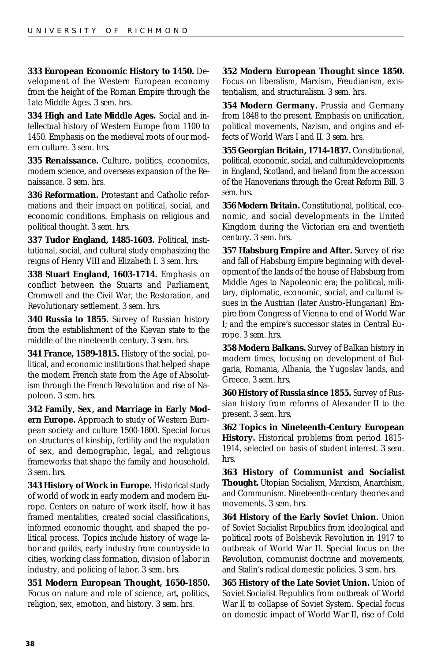**333 European Economic History to 1450.** Development of the Western European economy from the height of the Roman Empire through the Late Middle Ages. *3 sem. hrs.*

**334 High and Late Middle Ages.** Social and intellectual history of Western Europe from 1100 to 1450. Emphasis on the medieval roots of our modern culture. *3 sem. hrs.*

**335 Renaissance.** Culture, politics, economics, modern science, and overseas expansion of the Renaissance. *3 sem. hrs.*

**336 Reformation.** Protestant and Catholic reformations and their impact on political, social, and economic conditions. Emphasis on religious and political thought. *3 sem. hrs.*

**337 Tudor England, 1485-1603.** Political, institutional, social, and cultural study emphasizing the reigns of Henry VIII and Elizabeth I. *3 sem. hrs.*

**338 Stuart England, 1603-1714.** Emphasis on conflict between the Stuarts and Parliament, Cromwell and the Civil War, the Restoration, and Revolutionary settlement. *3 sem. hrs.*

**340 Russia to 1855.** Survey of Russian history from the establishment of the Kievan state to the middle of the nineteenth century. *3 sem. hrs.*

**341 France, 1589-1815.** History of the social, political, and economic institutions that helped shape the modern French state from the Age of Absolutism through the French Revolution and rise of Napoleon. *3 sem. hrs.*

**342 Family, Sex, and Marriage in Early Modern Europe.** Approach to study of Western European society and culture 1500-1800. Special focus on structures of kinship, fertility and the regulation of sex, and demographic, legal, and religious frameworks that shape the family and household. *3 sem. hrs.*

**343 History of Work in Europe.** Historical study of world of work in early modern and modern Europe. Centers on nature of work itself, how it has framed mentalities, created social classifications, informed economic thought, and shaped the political process. Topics include history of wage labor and guilds, early industry from countryside to cities, working class formation, division of labor in industry, and policing of labor. *3 sem. hrs.*

**351 Modern European Thought, 1650-1850.** Focus on nature and role of science, art, politics, religion, sex, emotion, and history. *3 sem. hrs.*

**352 Modern European Thought since 1850.**

Focus on liberalism, Marxism, Freudianism, existentialism, and structuralism. *3 sem. hrs.*

**354 Modern Germany.** Prussia and Germany from 1848 to the present. Emphasis on unification, political movements, Nazism, and origins and effects of World Wars I and II. *3 sem. hrs.*

**355 Georgian Britain, 1714-1837.** Constitutional, political, economic, social, and culturaldevelopments in England, Scotland, and Ireland from the accession of the Hanoverians through the Great Reform Bill. *3 sem. hrs.*

**356 Modern Britain.** Constitutional, political, economic, and social developments in the United Kingdom during the Victorian era and twentieth century. *3 sem. hrs.*

**357 Habsburg Empire and After.** Survey of rise and fall of Habsburg Empire beginning with development of the lands of the house of Habsburg from Middle Ages to Napoleonic era; the political, military, diplomatic, economic, social, and cultural issues in the Austrian (later Austro-Hungarian) Empire from Congress of Vienna to end of World War I; and the empire's successor states in Central Europe. *3 sem. hrs.*

**358 Modern Balkans.** Survey of Balkan history in modern times, focusing on development of Bulgaria, Romania, Albania, the Yugoslav lands, and Greece. *3 sem. hrs.*

**360 History of Russia since 1855.** Survey of Russian history from reforms of Alexander II to the present. *3 sem. hrs.*

**362 Topics in Nineteenth-Century European History.** Historical problems from period 1815- 1914, selected on basis of student interest. *3 sem. hrs.*

**363 History of Communist and Socialist Thought.** Utopian Socialism, Marxism, Anarchism, and Communism. Nineteenth-century theories and movements. *3 sem. hrs.*

**364 History of the Early Soviet Union.** Union of Soviet Socialist Republics from ideological and political roots of Bolshevik Revolution in 1917 to outbreak of World War II. Special focus on the Revolution, communist doctrine and movements, and Stalin's radical domestic policies. *3 sem. hrs.*

**365 History of the Late Soviet Union.** Union of Soviet Socialist Republics from outbreak of World War II to collapse of Soviet System. Special focus on domestic impact of World War II, rise of Cold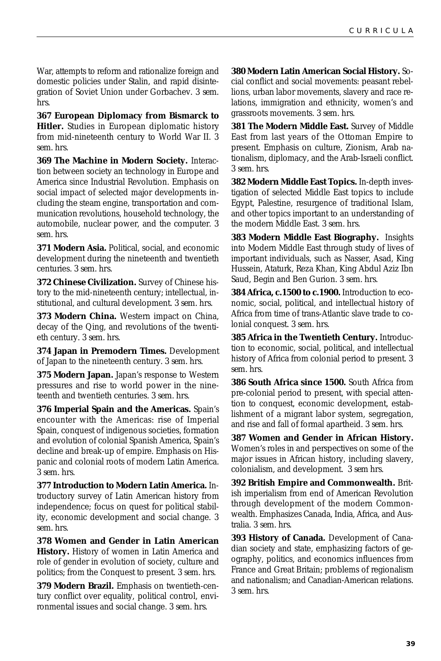War, attempts to reform and rationalize foreign and domestic policies under Stalin, and rapid disintegration of Soviet Union under Gorbachev. *3 sem. hrs.*

**367 European Diplomacy from Bismarck to Hitler.** Studies in European diplomatic history from mid-nineteenth century to World War II. *3 sem. hrs.*

**369 The Machine in Modern Society.** Interaction between society an technology in Europe and America since Industrial Revolution. Emphasis on social impact of selected major developments including the steam engine, transportation and communication revolutions, household technology, the automobile, nuclear power, and the computer. *3 sem. hrs.*

**371 Modern Asia.** Political, social, and economic development during the nineteenth and twentieth centuries. *3 sem. hrs.*

**372 Chinese Civilization.** Survey of Chinese history to the mid-nineteenth century; intellectual, institutional, and cultural development. *3 sem. hrs.*

**373 Modern China.** Western impact on China, decay of the Qing, and revolutions of the twentieth century. *3 sem. hrs.*

**374 Japan in Premodern Times.** Development of Japan to the nineteenth century. *3 sem. hrs.*

**375 Modern Japan.** Japan's response to Western pressures and rise to world power in the nineteenth and twentieth centuries. *3 sem. hrs.*

**376 Imperial Spain and the Americas.** Spain's encounter with the Americas: rise of Imperial Spain, conquest of indigenous societies, formation and evolution of colonial Spanish America, Spain's decline and break-up of empire. Emphasis on Hispanic and colonial roots of modern Latin America. *3 sem. hrs.*

**377 Introduction to Modern Latin America.** Introductory survey of Latin American history from independence; focus on quest for political stability, economic development and social change. *3 sem. hrs.*

**378 Women and Gender in Latin American History.** History of women in Latin America and role of gender in evolution of society, culture and politics; from the Conquest to present. *3 sem. hrs.*

**379 Modern Brazil.** Emphasis on twentieth-century conflict over equality, political control, environmental issues and social change. *3 sem. hrs.*

**380 Modern Latin American Social History.** Social conflict and social movements: peasant rebellions, urban labor movements, slavery and race relations, immigration and ethnicity, women's and grassroots movements. *3 sem. hrs.*

**381 The Modern Middle East.** Survey of Middle East from last years of the Ottoman Empire to present. Emphasis on culture, Zionism, Arab nationalism, diplomacy, and the Arab-Israeli conflict. *3 sem. hrs.*

**382 Modern Middle East Topics.** In-depth investigation of selected Middle East topics to include Egypt, Palestine, resurgence of traditional Islam, and other topics important to an understanding of the modern Middle East. *3 sem. hrs.*

**383 Modern Middle East Biography.** Insights into Modern Middle East through study of lives of important individuals, such as Nasser, Asad, King Hussein, Ataturk, Reza Khan, King Abdul Aziz Ibn Saud, Begin and Ben Gurion. *3 sem. hrs.*

**384 Africa, c.1500 to c.1900.** Introduction to economic, social, political, and intellectual history of Africa from time of trans-Atlantic slave trade to colonial conquest. *3 sem. hrs.*

**385 Africa in the Twentieth Century.** Introduction to economic, social, political, and intellectual history of Africa from colonial period to present. *3 sem. hrs.*

**386 South Africa since 1500.** South Africa from pre-colonial period to present, with special attention to conquest, economic development, establishment of a migrant labor system, segregation, and rise and fall of formal apartheid. *3 sem. hrs.*

**387 Women and Gender in African History.** Women's roles in and perspectives on some of the major issues in African history, including slavery, colonialism, and development. *3 sem hrs.*

**392 British Empire and Commonwealth.** British imperialism from end of American Revolution through development of the modern Commonwealth. Emphasizes Canada, India, Africa, and Australia. *3 sem. hrs.*

**393 History of Canada.** Development of Canadian society and state, emphasizing factors of geography, politics, and economics influences from France and Great Britain; problems of regionalism and nationalism; and Canadian-American relations. *3 sem. hrs.*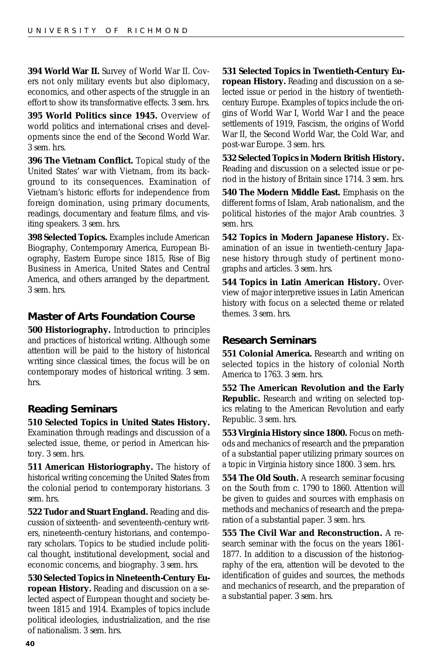**394 World War II.** Survey of World War II. Covers not only military events but also diplomacy, economics, and other aspects of the struggle in an effort to show its transformative effects. *3 sem. hrs.*

**395 World Politics since 1945.** Overview of world politics and international crises and developments since the end of the Second World War. *3 sem. hrs.*

**396 The Vietnam Conflict.** Topical study of the United States' war with Vietnam, from its background to its consequences. Examination of Vietnam's historic efforts for independence from foreign domination, using primary documents, readings, documentary and feature films, and visiting speakers. *3 sem. hrs.*

**398 Selected Topics.** Examples include American Biography, Contemporary America, European Biography, Eastern Europe since 1815, Rise of Big Business in America, United States and Central America, and others arranged by the department. *3 sem. hrs.*

### **Master of Arts Foundation Course**

**500 Historiography.** Introduction to principles and practices of historical writing. Although some attention will be paid to the history of historical writing since classical times, the focus will be on contemporary modes of historical writing. *3 sem. hrs.*

### **Reading Seminars**

tory. *3 sem. hrs.*

**510 Selected Topics in United States History.** Examination through readings and discussion of a selected issue, theme, or period in American his-

**511 American Historiography.** The history of historical writing concerning the United States from the colonial period to contemporary historians. *3 sem. hrs.*

**522 Tudor and Stuart England.** Reading and discussion of sixteenth- and seventeenth-century writers, nineteenth-century historians, and contemporary scholars. Topics to be studied include political thought, institutional development, social and economic concerns, and biography. *3 sem. hrs.*

**530 Selected Topics in Nineteenth-Century European History.** Reading and discussion on a selected aspect of European thought and society between 1815 and 1914. Examples of topics include political ideologies, industrialization, and the rise of nationalism. *3 sem. hrs.*

**531 Selected Topics in Twentieth-Century European History.** Reading and discussion on a selected issue or period in the history of twentiethcentury Europe. Examples of topics include the origins of World War I, World War I and the peace settlements of 1919, Fascism, the origins of World War II, the Second World War, the Cold War, and post-war Europe. *3 sem. hrs.*

**532 Selected Topics in Modern British History.** Reading and discussion on a selected issue or period in the history of Britain since 1714. *3 sem. hrs.*

**540 The Modern Middle East.** Emphasis on the different forms of Islam, Arab nationalism, and the political histories of the major Arab countries. *3 sem. hrs.*

**542 Topics in Modern Japanese History.** Examination of an issue in twentieth-century Japanese history through study of pertinent monographs and articles. *3 sem. hrs.*

**544 Topics in Latin American History.** Overview of major interpretive issues in Latin American history with focus on a selected theme or related themes. *3 sem. hrs.*

### **Research Seminars**

**551 Colonial America.** Research and writing on selected topics in the history of colonial North America to 1763. *3 sem. hrs.*

**552 The American Revolution and the Early Republic.** Research and writing on selected topics relating to the American Revolution and early Republic. *3 sem. hrs.*

**553 Virginia History since 1800.** Focus on methods and mechanics of research and the preparation of a substantial paper utilizing primary sources on a topic in Virginia history since 1800. *3 sem. hrs.*

**554 The Old South.** A research seminar focusing on the South from c. 1790 to 1860. Attention will be given to guides and sources with emphasis on methods and mechanics of research and the preparation of a substantial paper. *3 sem. hrs.*

**555 The Civil War and Reconstruction.** A research seminar with the focus on the years 1861- 1877. In addition to a discussion of the historiography of the era, attention will be devoted to the identification of guides and sources, the methods and mechanics of research, and the preparation of a substantial paper. *3 sem. hrs.*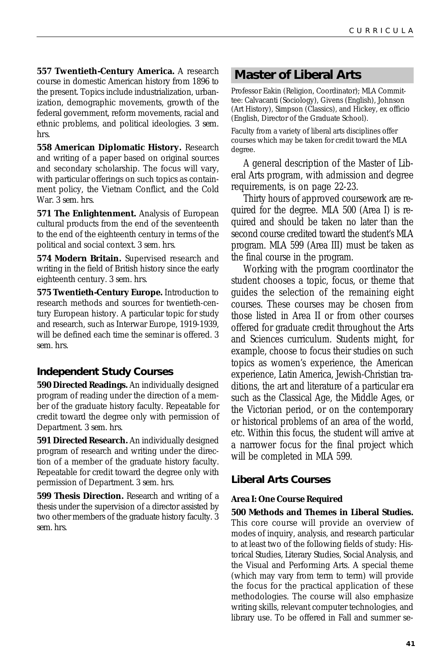<span id="page-40-0"></span>**557 Twentieth-Century America.** A research course in domestic American history from 1896 to the present. Topics include industrialization, urbanization, demographic movements, growth of the federal government, reform movements, racial and ethnic problems, and political ideologies. *3 sem. hrs.*

**558 American Diplomatic History.** Research and writing of a paper based on original sources and secondary scholarship. The focus will vary, with particular offerings on such topics as containment policy, the Vietnam Conflict, and the Cold War. *3 sem. hrs.*

**571 The Enlightenment.** Analysis of European cultural products from the end of the seventeenth to the end of the eighteenth century in terms of the political and social context. *3 sem. hrs.*

**574 Modern Britain.** Supervised research and writing in the field of British history since the early eighteenth century. *3 sem. hrs.*

**575 Twentieth-Century Europe.** Introduction to research methods and sources for twentieth-century European history. A particular topic for study and research, such as Interwar Europe, 1919-1939, will be defined each time the seminar is offered. *3 sem. hrs.*

### **Independent Study Courses**

**590 Directed Readings.** An individually designed program of reading under the direction of a member of the graduate history faculty. Repeatable for credit toward the degree only with permission of Department. *3 sem. hrs.*

**591 Directed Research.** An individually designed program of research and writing under the direction of a member of the graduate history faculty. Repeatable for credit toward the degree only with permission of Department. *3 sem. hrs.*

**599 Thesis Direction.** Research and writing of a thesis under the supervision of a director assisted by two other members of the graduate history faculty. *3 sem. hrs.*

### **Master of Liberal Arts**

Professor Eakin (Religion, Coordinator); MLA Committee: Calvacanti (Sociology), Givens (English), Johnson (Art History), Simpson (Classics), and Hickey, ex officio (English, Director of the Graduate School).

Faculty from a variety of liberal arts disciplines offer courses which may be taken for credit toward the MLA degree.

A general description of the Master of Liberal Arts program, with admission and degree requirements, is on page 22-23.

Thirty hours of approved coursework are required for the degree. MLA 500 (Area I) is required and should be taken no later than the second course credited toward the student's MLA program. MLA 599 (Area III) must be taken as the final course in the program.

Working with the program coordinator the student chooses a topic, focus, or theme that guides the selection of the remaining eight courses. These courses may be chosen from those listed in Area II or from other courses offered for graduate credit throughout the Arts and Sciences curriculum. Students might, for example, choose to focus their studies on such topics as women's experience, the American experience, Latin America, Jewish-Christian traditions, the art and literature of a particular era such as the Classical Age, the Middle Ages, or the Victorian period, or on the contemporary or historical problems of an area of the world, etc. Within this focus, the student will arrive at a narrower focus for the final project which will be completed in MLA 599.

### **Liberal Arts Courses**

#### **Area I: One Course Required**

#### **500 Methods and Themes in Liberal Studies.**

This core course will provide an overview of modes of inquiry, analysis, and research particular to at least two of the following fields of study: Historical Studies, Literary Studies, Social Analysis, and the Visual and Performing Arts. A special theme (which may vary from term to term) will provide the focus for the practical application of these methodologies. The course will also emphasize writing skills, relevant computer technologies, and library use. To be offered in Fall and summer se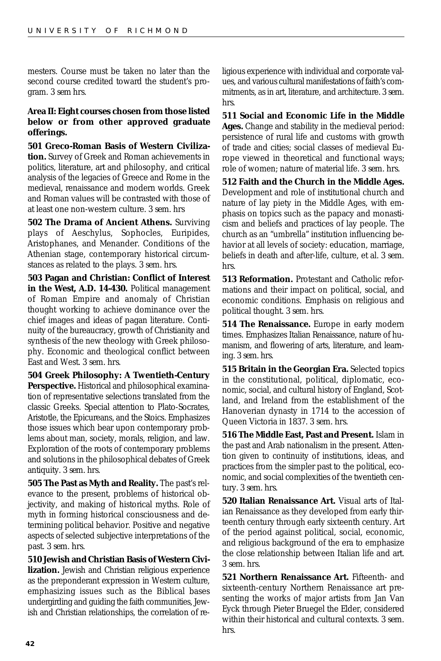mesters. Course must be taken no later than the second course credited toward the student's program. *3 sem hrs.*

#### **Area II: Eight courses chosen from those listed below or from other approved graduate offerings.**

**501 Greco-Roman Basis of Western Civilization.** Survey of Greek and Roman achievements in politics, literature, art and philosophy, and critical analysis of the legacies of Greece and Rome in the medieval, renaissance and modern worlds. Greek and Roman values will be contrasted with those of at least one non-western culture. *3 sem. hrs*

**502 The Drama of Ancient Athens.** Surviving plays of Aeschylus, Sophocles, Euripides, Aristophanes, and Menander. Conditions of the Athenian stage, contemporary historical circumstances as related to the plays. *3 sem. hrs.*

**503 Pagan and Christian: Conflict of Interest in the West, A.D. 14-430.** Political management of Roman Empire and anomaly of Christian thought working to achieve dominance over the chief images and ideas of pagan literature. Continuity of the bureaucracy, growth of Christianity and synthesis of the new theology with Greek philosophy. Economic and theological conflict between East and West. *3 sem. hrs.*

**504 Greek Philosophy: A Twentieth-Century Perspective.** Historical and philosophical examination of representative selections translated from the classic Greeks. Special attention to Plato-Socrates, Aristotle, the Epicureans, and the Stoics. Emphasizes those issues which bear upon contemporary problems about man, society, morals, religion, and law. Exploration of the roots of contemporary problems and solutions in the philosophical debates of Greek antiquity. *3 sem. hrs.*

**505 The Past as Myth and Reality.** The past's relevance to the present, problems of historical objectivity, and making of historical myths. Role of myth in forming historical consciousness and determining political behavior. Positive and negative aspects of selected subjective interpretations of the past. *3 sem. hrs.*

**510 Jewish and Christian Basis of Western Civilization.** Jewish and Christian religious experience as the preponderant expression in Western culture, emphasizing issues such as the Biblical bases undergirding and guiding the faith communities, Jewish and Christian relationships, the correlation of religious experience with individual and corporate values, and various cultural manifestations of faith's commitments, as in art, literature, and architecture. *3 sem. hrs.*

**511 Social and Economic Life in the Middle Ages.** Change and stability in the medieval period: persistence of rural life and customs with growth of trade and cities; social classes of medieval Europe viewed in theoretical and functional ways; role of women; nature of material life. *3 sem. hrs.*

**512 Faith and the Church in the Middle Ages.** Development and role of institutional church and nature of lay piety in the Middle Ages, with emphasis on topics such as the papacy and monasticism and beliefs and practices of lay people. The church as an "umbrella" institution influencing behavior at all levels of society: education, marriage, beliefs in death and after-life, culture, et al. *3 sem. hrs.*

**513 Reformation.** Protestant and Catholic reformations and their impact on political, social, and economic conditions. Emphasis on religious and political thought. *3 sem. hrs.*

**514 The Renaissance.** Europe in early modern times. Emphasizes Italian Renaissance, nature of humanism, and flowering of arts, literature, and learning. *3 sem. hrs.*

**515 Britain in the Georgian Era.** Selected topics in the constitutional, political, diplomatic, economic, social, and cultural history of England, Scotland, and Ireland from the establishment of the Hanoverian dynasty in 1714 to the accession of Queen Victoria in 1837. *3 sem. hrs.*

**516 The Middle East, Past and Present.** Islam in the past and Arab nationalism in the present. Attention given to continuity of institutions, ideas, and practices from the simpler past to the political, economic, and social complexities of the twentieth century. *3 sem. hrs.*

**520 Italian Renaissance Art.** Visual arts of Italian Renaissance as they developed from early thirteenth century through early sixteenth century. Art of the period against political, social, economic, and religious background of the era to emphasize the close relationship between Italian life and art. *3 sem. hrs.*

**521 Northern Renaissance Art.** Fifteenth- and sixteenth-century Northern Renaissance art presenting the works of major artists from Jan Van Eyck through Pieter Bruegel the Elder, considered within their historical and cultural contexts. *3 sem. hrs.*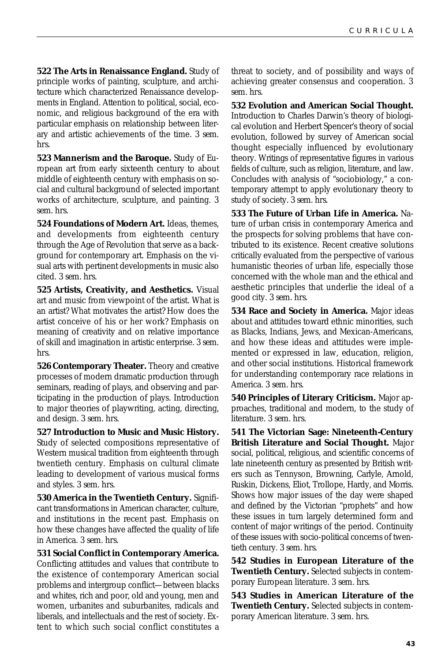**522 The Arts in Renaissance England.** Study of principle works of painting, sculpture, and architecture which characterized Renaissance developments in England. Attention to political, social, economic, and religious background of the era with particular emphasis on relationship between literary and artistic achievements of the time. *3 sem. hrs.*

**523 Mannerism and the Baroque.** Study of European art from early sixteenth century to about middle of eighteenth century with emphasis on social and cultural background of selected important works of architecture, sculpture, and painting. *3 sem. hrs.*

**524 Foundations of Modern Art.** Ideas, themes, and developments from eighteenth century through the Age of Revolution that serve as a background for contemporary art. Emphasis on the visual arts with pertinent developments in music also cited. *3 sem. hrs.*

**525 Artists, Creativity, and Aesthetics.** Visual art and music from viewpoint of the artist. What is an artist? What motivates the artist? How does the artist conceive of his or her work? Emphasis on meaning of creativity and on relative importance of skill and imagination in artistic enterprise. *3 sem. hrs.*

**526 Contemporary Theater.** Theory and creative processes of modern dramatic production through seminars, reading of plays, and observing and participating in the production of plays. Introduction to major theories of playwriting, acting, directing, and design. *3 sem. hrs.*

**527 Introduction to Music and Music History.** Study of selected compositions representative of Western musical tradition from eighteenth through twentieth century. Emphasis on cultural climate leading to development of various musical forms and styles. *3 sem. hrs.*

**530 America in the Twentieth Century.** Significant transformations in American character, culture, and institutions in the recent past. Emphasis on how these changes have affected the quality of life in America. *3 sem. hrs.*

**531 Social Conflict in Contemporary America.**

Conflicting attitudes and values that contribute to the existence of contemporary American social problems and intergroup conflict—between blacks and whites, rich and poor, old and young, men and women, urbanites and suburbanites, radicals and liberals, and intellectuals and the rest of society. Extent to which such social conflict constitutes a

threat to society, and of possibility and ways of achieving greater consensus and cooperation. *3 sem. hrs.*

**532 Evolution and American Social Thought.** Introduction to Charles Darwin's theory of biological evolution and Herbert Spencer's theory of social evolution, followed by survey of American social thought especially influenced by evolutionary theory. Writings of representative figures in various fields of culture, such as religion, literature, and law. Concludes with analysis of "sociobiology," a contemporary attempt to apply evolutionary theory to study of society. *3 sem. hrs.*

**533 The Future of Urban Life in America.** Nature of urban crisis in contemporary America and the prospects for solving problems that have contributed to its existence. Recent creative solutions critically evaluated from the perspective of various humanistic theories of urban life, especially those concerned with the whole man and the ethical and aesthetic principles that underlie the ideal of a good city. *3 sem. hrs.*

**534 Race and Society in America.** Major ideas about and attitudes toward ethnic minorities, such as Blacks, Indians, Jews, and Mexican-Americans, and how these ideas and attitudes were implemented or expressed in law, education, religion, and other social institutions. Historical framework for understanding contemporary race relations in America. *3 sem. hrs.*

**540 Principles of Literary Criticism.** Major approaches, traditional and modern, to the study of literature. *3 sem. hrs.*

**541 The Victorian Sage: Nineteenth-Century British Literature and Social Thought.** Major social, political, religious, and scientific concerns of late nineteenth century as presented by British writers such as Tennyson, Browning, Carlyle, Arnold, Ruskin, Dickens, Eliot, Trollope, Hardy, and Morris. Shows how major issues of the day were shaped and defined by the Victorian "prophets" and how these issues in turn largely determined form and content of major writings of the period. Continuity of these issues with socio-political concerns of twentieth century. *3 sem. hrs.*

**542 Studies in European Literature of the Twentieth Century.** Selected subjects in contemporary European literature. *3 sem. hrs.*

**543 Studies in American Literature of the Twentieth Century.** Selected subjects in contemporary American literature. *3 sem. hrs.*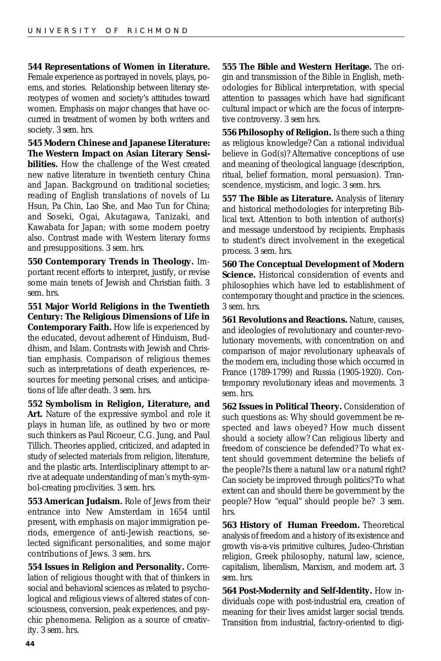**544 Representations of Women in Literature.** Female experience as portrayed in novels, plays, poems, and stories. Relationship between literary stereotypes of women and society's attitudes toward women. Emphasis on major changes that have occurred in treatment of women by both writers and society. *3 sem. hrs.*

**545 Modern Chinese and Japanese Literature: The Western Impact on Asian Literary Sensibilities.** How the challenge of the West created new native literature in twentieth century China and Japan. Background on traditional societies; reading of English translations of novels of Lu Hsun, Pa Chin, Lao She, and Mao Tun for China; and Soseki, Ogai, Akutagawa, Tanizaki, and Kawabata for Japan; with some modern poetry also. Contrast made with Western literary forms and presuppositions. *3 sem. hrs.*

**550 Contemporary Trends in Theology.** Important recent efforts to interpret, justify, or revise some main tenets of Jewish and Christian faith. *3 sem. hrs.*

**551 Major World Religions in the Twentieth Century: The Religious Dimensions of Life in Contemporary Faith.** How life is experienced by the educated, devout adherent of Hinduism, Buddhism, and Islam. Contrasts with Jewish and Christian emphasis. Comparison of religious themes such as interpretations of death experiences, resources for meeting personal crises, and anticipations of life after death. *3 sem. hrs.*

**552 Symbolism in Religion, Literature, and Art.** Nature of the expressive symbol and role it plays in human life, as outlined by two or more such thinkers as Paul Ricoeur, C.G. Jung, and Paul Tillich. Theories applied, criticized, and adapted in study of selected materials from religion, literature, and the plastic arts. Interdisciplinary attempt to arrive at adequate understanding of man's myth-symbol-creating proclivities. *3 sem. hrs.*

**553 American Judaism.** Role of Jews from their entrance into New Amsterdam in 1654 until present, with emphasis on major immigration periods, emergence of anti-Jewish reactions, selected significant personalities, and some major contributions of Jews. *3 sem. hrs.*

**554 Issues in Religion and Personality.** Correlation of religious thought with that of thinkers in social and behavioral sciences as related to psychological and religious views of altered states of consciousness, conversion, peak experiences, and psychic phenomena. Religion as a source of creativity. *3 sem. hrs.*

**555 The Bible and Western Heritage.** The origin and transmission of the Bible in English, methodologies for Biblical interpretation, with special attention to passages which have had significant cultural impact or which are the focus of interpretive controversy. *3 sem hrs.*

**556 Philosophy of Religion.** Is there such a thing as religious knowledge? Can a rational individual believe in God(s)? Alternative conceptions of use and meaning of theological language (description, ritual, belief formation, moral persuasion). Transcendence, mysticism, and logic. *3 sem. hrs.*

**557 The Bible as Literature.** Analysis of literary and historical methodologies for interpreting Biblical text. Attention to both intention of author(s) and message understood by recipients. Emphasis to student's direct involvement in the exegetical process. *3 sem. hrs.*

**560 The Conceptual Development of Modern Science.** Historical consideration of events and philosophies which have led to establishment of contemporary thought and practice in the sciences. *3 sem. hrs.*

**561 Revolutions and Reactions.** Nature, causes, and ideologies of revolutionary and counter-revolutionary movements, with concentration on and comparison of major revolutionary upheavals of the modern era, including those which occurred in France (1789-1799) and Russia (1905-1920). Contemporary revolutionary ideas and movements. *3 sem. hrs.*

**562 Issues in Political Theory.** Consideration of such questions as: Why should government be respected and laws obeyed? How much dissent should a society allow? Can religious liberty and freedom of conscience be defended? To what extent should government determine the beliefs of the people? Is there a natural law or a natural right? Can society be improved through politics? To what extent can and should there be government by the people? How "equal" should people be? *3 sem. hrs.*

**563 History of Human Freedom.** Theoretical analysis of freedom and a history of its existence and growth vis-a-vis primitive cultures, Judeo-Christian religion, Greek philosophy, natural law, science, capitalism, liberalism, Marxism, and modern art. *3 sem. hrs.*

**564 Post-Modernity and Self-Identity.** How individuals cope with post-industrial era, creation of meaning for their lives amidst larger social trends. Transition from industrial, factory-oriented to digi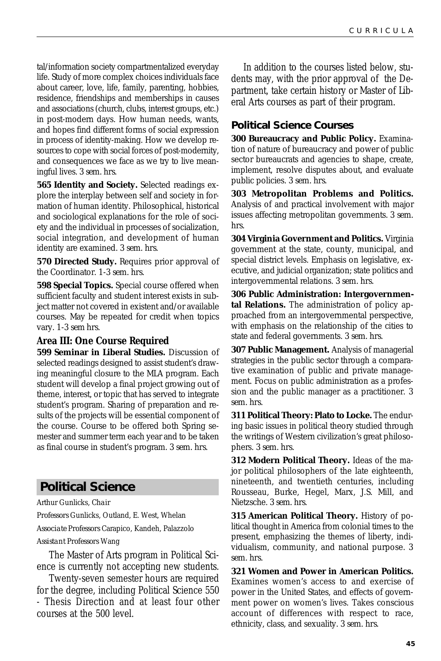<span id="page-44-0"></span>tal/information society compartmentalized everyday life. Study of more complex choices individuals face about career, love, life, family, parenting, hobbies, residence, friendships and memberships in causes and associations (church, clubs, interest groups, etc.) in post-modern days. How human needs, wants, and hopes find different forms of social expression in process of identity-making. How we develop resources to cope with social forces of post-modernity, and consequences we face as we try to live meaningful lives. *3 sem. hrs.*

**565 Identity and Society.** Selected readings explore the interplay between self and society in formation of human identity. Philosophical, historical and sociological explanations for the role of society and the individual in processes of socialization, social integration, and development of human identity are examined. *3 sem. hrs.*

**570 Directed Study.** Requires prior approval of the Coordinator. *1-3 sem. hrs.*

**598 Special Topics.** Special course offered when sufficient faculty and student interest exists in subject matter not covered in existent and/or available courses. May be repeated for credit when topics vary. *1-3 sem hrs.*

### **Area III: One Course Required**

**599 Seminar in Liberal Studies.** Discussion of selected readings designed to assist student's drawing meaningful closure to the MLA program. Each student will develop a final project growing out of theme, interest, or topic that has served to integrate student's program. Sharing of preparation and results of the projects will be essential component of the course. Course to be offered both Spring semester and summer term each year and to be taken as final course in student's program. *3 sem. hrs.*

### **Political Science**

Arthur Gunlicks, *Chair Professors* Gunlicks, Outland, E. West, Whelan *Associate Professors* Carapico, Kandeh, Palazzolo *Assistant Professors* Wang

The Master of Arts program in Political Science is currently not accepting new students.

Twenty-seven semester hours are required for the degree, including Political Science 550 - Thesis Direction and at least four other courses at the 500 level.

In addition to the courses listed below, students may, with the prior approval of the Department, take certain history or Master of Liberal Arts courses as part of their program.

### **Political Science Courses**

**300 Bureaucracy and Public Policy.** Examination of nature of bureaucracy and power of public sector bureaucrats and agencies to shape, create, implement, resolve disputes about, and evaluate public policies. *3 sem. hrs.*

**303 Metropolitan Problems and Politics.** Analysis of and practical involvement with major issues affecting metropolitan governments. *3 sem. hrs.*

**304 Virginia Government and Politics.** Virginia government at the state, county, municipal, and special district levels. Emphasis on legislative, executive, and judicial organization; state politics and intergovernmental relations. *3 sem. hrs.*

**306 Public Administration: Intergovernmental Relations.** The administration of policy approached from an intergovernmental perspective, with emphasis on the relationship of the cities to state and federal governments. *3 sem. hrs.*

**307 Public Management.** Analysis of managerial strategies in the public sector through a comparative examination of public and private management. Focus on public administration as a profession and the public manager as a practitioner. *3 sem. hrs.*

**311 Political Theory: Plato to Locke.** The enduring basic issues in political theory studied through the writings of Western civilization's great philosophers. *3 sem. hrs.*

**312 Modern Political Theory.** Ideas of the major political philosophers of the late eighteenth, nineteenth, and twentieth centuries, including Rousseau, Burke, Hegel, Marx, J.S. Mill, and Nietzsche. *3 sem. hrs.*

**315 American Political Theory.** History of political thought in America from colonial times to the present, emphasizing the themes of liberty, individualism, community, and national purpose. *3 sem. hrs.*

**321 Women and Power in American Politics.** Examines women's access to and exercise of power in the United States, and effects of government power on women's lives. Takes conscious account of differences with respect to race, ethnicity, class, and sexuality. *3 sem. hrs.*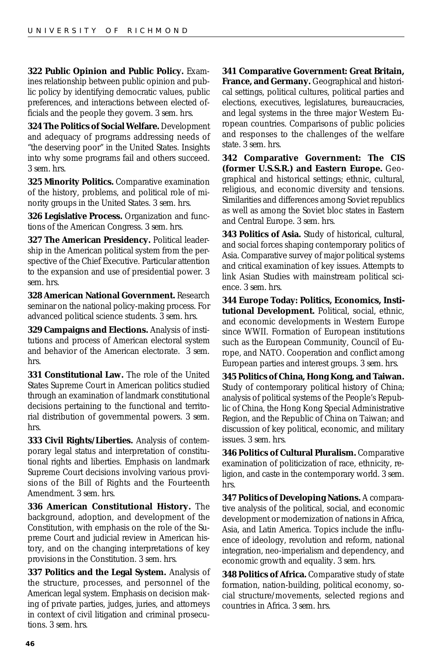**322 Public Opinion and Public Policy.** Examines relationship between public opinion and public policy by identifying democratic values, public preferences, and interactions between elected officials and the people they govern. *3 sem. hrs.*

**324 The Politics of Social Welfare.** Development and adequacy of programs addressing needs of "the deserving poor" in the United States. Insights into why some programs fail and others succeed. *3 sem. hrs.*

**325 Minority Politics.** Comparative examination of the history, problems, and political role of minority groups in the United States. *3 sem. hrs.*

**326 Legislative Process.** Organization and functions of the American Congress. *3 sem. hrs.*

**327 The American Presidency.** Political leadership in the American political system from the perspective of the Chief Executive. Particular attention to the expansion and use of presidential power. *3 sem. hrs.*

**328 American National Government.** Research seminar on the national policy-making process. For advanced political science students. *3 sem. hrs.*

**329 Campaigns and Elections.** Analysis of institutions and process of American electoral system and behavior of the American electorate. *3 sem. hrs.*

**331 Constitutional Law.** The role of the United States Supreme Court in American politics studied through an examination of landmark constitutional decisions pertaining to the functional and territorial distribution of governmental powers. *3 sem. hrs.*

**333 Civil Rights/Liberties.** Analysis of contemporary legal status and interpretation of constitutional rights and liberties. Emphasis on landmark Supreme Court decisions involving various provisions of the Bill of Rights and the Fourteenth Amendment. *3 sem. hrs.*

**336 American Constitutional History.** The background, adoption, and development of the Constitution, with emphasis on the role of the Supreme Court and judicial review in American history, and on the changing interpretations of key provisions in the Constitution. *3 sem. hrs.*

**337 Politics and the Legal System.** Analysis of the structure, processes, and personnel of the American legal system. Emphasis on decision making of private parties, judges, juries, and attorneys in context of civil litigation and criminal prosecutions. *3 sem. hrs.*

**341 Comparative Government: Great Britain, France, and Germany.** Geographical and historical settings, political cultures, political parties and elections, executives, legislatures, bureaucracies, and legal systems in the three major Western European countries. Comparisons of public policies and responses to the challenges of the welfare state. *3 sem. hrs.*

**342 Comparative Government: The CIS (former U.S.S.R.) and Eastern Europe.** Geographical and historical settings; ethnic, cultural, religious, and economic diversity and tensions. Similarities and differences among Soviet republics as well as among the Soviet bloc states in Eastern and Central Europe. *3 sem. hrs.*

**343 Politics of Asia.** Study of historical, cultural, and social forces shaping contemporary politics of Asia. Comparative survey of major political systems and critical examination of key issues. Attempts to link Asian Studies with mainstream political science. *3 sem. hrs.*

**344 Europe Today: Politics, Economics, Institutional Development.** Political, social, ethnic, and economic developments in Western Europe since WWII. Formation of European institutions such as the European Community, Council of Europe, and NATO. Cooperation and conflict among European parties and interest groups. *3 sem. hrs.*

**345 Politics of China, Hong Kong, and Taiwan.** Study of contemporary political history of China; analysis of political systems of the People's Republic of China, the Hong Kong Special Administrative Region, and the Republic of China on Taiwan; and discussion of key political, economic, and military issues. *3 sem. hrs.*

**346 Politics of Cultural Pluralism.** Comparative examination of politicization of race, ethnicity, religion, and caste in the contemporary world. *3 sem. hrs.*

**347 Politics of Developing Nations.** A comparative analysis of the political, social, and economic development or modernization of nations in Africa, Asia, and Latin America. Topics include the influence of ideology, revolution and reform, national integration, neo-imperialism and dependency, and economic growth and equality. *3 sem. hrs.*

**348 Politics of Africa.** Comparative study of state formation, nation-building, political economy, social structure/movements, selected regions and countries in Africa. *3 sem. hrs.*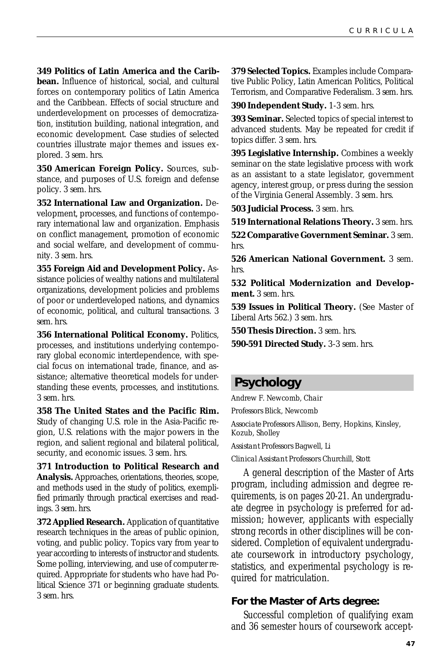<span id="page-46-0"></span>**349 Politics of Latin America and the Carib-**

**bean.** Influence of historical, social, and cultural forces on contemporary politics of Latin America and the Caribbean. Effects of social structure and underdevelopment on processes of democratization, institution building, national integration, and economic development. Case studies of selected countries illustrate major themes and issues explored. *3 sem. hrs.*

**350 American Foreign Policy.** Sources, substance, and purposes of U.S. foreign and defense policy. *3 sem. hrs.*

**352 International Law and Organization.** Development, processes, and functions of contemporary international law and organization. Emphasis on conflict management, promotion of economic and social welfare, and development of community. *3 sem. hrs.*

**355 Foreign Aid and Development Policy.** Assistance policies of wealthy nations and multilateral organizations, development policies and problems of poor or underdeveloped nations, and dynamics of economic, political, and cultural transactions. *3 sem. hrs.*

**356 International Political Economy.** Politics, processes, and institutions underlying contemporary global economic interdependence, with special focus on international trade, finance, and assistance; alternative theoretical models for understanding these events, processes, and institutions. *3 sem. hrs.*

**358 The United States and the Pacific Rim.** Study of changing U.S. role in the Asia-Pacific region, U.S. relations with the major powers in the region, and salient regional and bilateral political, security, and economic issues. *3 sem. hrs.*

**371 Introduction to Political Research and Analysis.** Approaches, orientations, theories, scope, and methods used in the study of politics, exemplified primarily through practical exercises and readings. *3 sem. hrs.*

**372 Applied Research.** Application of quantitative research techniques in the areas of public opinion, voting, and public policy. Topics vary from year to year according to interests of instructor and students. Some polling, interviewing, and use of computer required. Appropriate for students who have had Political Science 371 or beginning graduate students. *3 sem. hrs.*

**379 Selected Topics.** Examples include Comparative Public Policy, Latin American Politics, Political Terrorism, and Comparative Federalism. *3 sem. hrs.*

**390 Independent Study.** *1-3 sem. hrs.*

**393 Seminar.** Selected topics of special interest to advanced students. May be repeated for credit if topics differ. *3 sem. hrs.*

**395 Legislative Internship.** Combines a weekly seminar on the state legislative process with work as an assistant to a state legislator, government agency, interest group, or press during the session of the Virginia General Assembly. *3 sem. hrs.*

**503 Judicial Process.** *3 sem. hrs.*

**519 International Relations Theory.** *3 sem. hrs.*

**522 Comparative Government Seminar.** *3 sem. hrs.*

**526 American National Government.** *3 sem. hrs.*

**532 Political Modernization and Development.** *3 sem. hrs.*

**539 Issues in Political Theory.** (See Master of Liberal Arts 562.) *3 sem. hrs.*

**550 Thesis Direction.** *3 sem. hrs.*

**590-591 Directed Study.** *3-3 sem. hrs.*

### **Psychology**

Andrew F. Newcomb, *Chair*

*Professors* Blick, Newcomb

*Associate Professors* Allison, Berry, Hopkins, Kinsley, Kozub, Sholley

*Assistant Professors* Bagwell, Li

*Clinical Assistant Professors* Churchill, Stott

A general description of the Master of Arts program, including admission and degree requirements, is on pages 20-21. An undergraduate degree in psychology is preferred for admission; however, applicants with especially strong records in other disciplines will be considered. Completion of equivalent undergraduate coursework in introductory psychology, statistics, and experimental psychology is required for matriculation.

#### **For the Master of Arts degree:**

Successful completion of qualifying exam and 36 semester hours of coursework accept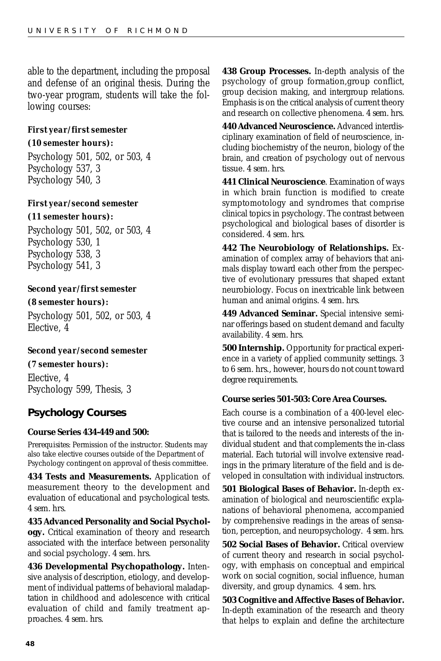able to the department, including the proposal and defense of an original thesis. During the two-year program, students will take the following courses:

#### *First year/first semester*

#### *(10 semester hours):*

Psychology 501, 502, or 503, 4 Psychology 537, 3 Psychology 540, 3

### *First year/second semester*

#### *(11 semester hours):*

Psychology 501, 502, or 503, 4 Psychology 530, 1 Psychology 538, 3 Psychology 541, 3

#### *Second year/first semester*

*(8 semester hours):* Psychology 501, 502, or 503, 4 Elective, 4

#### *Second year/second semester*

#### *(7 semester hours):*

Elective, 4 Psychology 599, Thesis, 3

### **Psychology Courses**

#### **Course Series 434-449 and 500:**

*Prerequisites*: Permission of the instructor. Students may also take elective courses outside of the Department of Psychology contingent on approval of thesis committee.

**434 Tests and Measurements.** Application of measurement theory to the development and evaluation of educational and psychological tests. *4 sem. hrs.*

**435 Advanced Personality and Social Psychology.** Critical examination of theory and research associated with the interface between personality and social psychology. *4 sem. hrs.*

**436 Developmental Psychopathology.** Intensive analysis of description, etiology, and development of individual patterns of behavioral maladaptation in childhood and adolescence with critical evaluation of child and family treatment approaches. *4 sem. hrs.*

**438 Group Processes.** In-depth analysis of the psychology of group formation,group conflict, group decision making, and intergroup relations. Emphasis is on the critical analysis of current theory and research on collective phenomena. *4 sem. hrs.*

**440 Advanced Neuroscience.** Advanced interdisciplinary examination of field of neuroscience, including biochemistry of the neuron, biology of the brain, and creation of psychology out of nervous tissue. *4 sem. hrs.*

**441 Clinical Neuroscience**. Examination of ways in which brain function is modified to create symptomotology and syndromes that comprise clinical topics in psychology. The contrast between psychological and biological bases of disorder is considered. *4 sem. hrs.*

**442 The Neurobiology of Relationships.** Examination of complex array of behaviors that animals display toward each other from the perspective of evolutionary pressures that shaped extant neurobiology. Focus on inextricable link between human and animal origins. *4 sem. hrs.*

**449 Advanced Seminar.** Special intensive seminar offerings based on student demand and faculty availability. *4 sem. hrs.*

**500 Internship.** Opportunity for practical experience in a variety of applied community settings. *3 to 6 sem. hrs., however, hours do not count toward degree requirements.*

#### **Course series 501-503: Core Area Courses.**

Each course is a combination of a 400-level elective course and an intensive personalized tutorial that is tailored to the needs and interests of the individual student and that complements the in-class material. Each tutorial will involve extensive readings in the primary literature of the field and is developed in consultation with individual instructors.

**501 Biological Bases of Behavior.** In-depth examination of biological and neuroscientific explanations of behavioral phenomena, accompanied by comprehensive readings in the areas of sensation, perception, and neuropsychology. *4 sem. hrs.*

**502 Social Bases of Behavior.** Critical overview of current theory and research in social psychology, with emphasis on conceptual and empirical work on social cognition, social influence, human diversity, and group dynamics. *4 sem. hrs.*

**503 Cognitive and Affective Bases of Behavior.** In-depth examination of the research and theory that helps to explain and define the architecture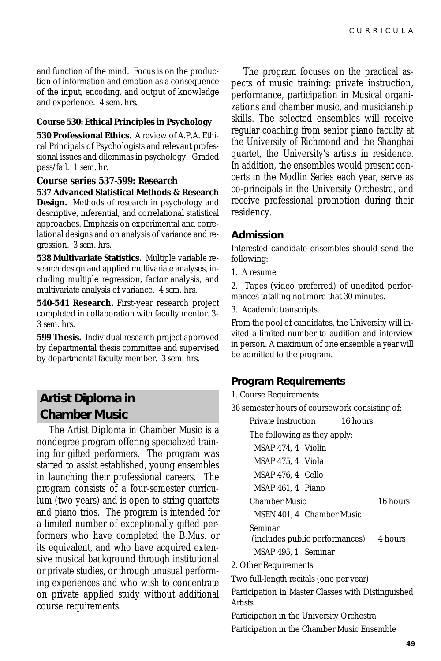<span id="page-48-0"></span>and function of the mind. Focus is on the production of information and emotion as a consequence of the input, encoding, and output of knowledge and experience. *4 sem. hrs.*

#### **Course 530: Ethical Principles in Psychology**

**530 Professional Ethics.** A review of A.P.A. Ethical Principals of Psychologists and relevant professional issues and dilemmas in psychology. Graded pass/fail. *1 sem. hr.*

**Course series 537-599: Research 537 Advanced Statistical Methods & Research Design.** Methods of research in psychology and descriptive, inferential, and correlational statistical approaches. Emphasis on experimental and correlational designs and on analysis of variance and regression. *3 sem. hrs.*

**538 Multivariate Statistics.** Multiple variable research design and applied multivariate analyses, including multiple regression, factor analysis, and multivariate analysis of variance. *4 sem. hrs.*

**540-541 Research.** First-year research project completed in collaboration with faculty mentor. *3- 3 sem. hrs.*

**599 Thesis.** Individual research project approved by departmental thesis committee and supervised by departmental faculty member. *3 sem. hrs.*

### **Artist Diploma in Chamber Music**

The Artist Diploma in Chamber Music is a nondegree program offering specialized training for gifted performers. The program was started to assist established, young ensembles in launching their professional careers. The program consists of a four-semester curriculum (two years) and is open to string quartets and piano trios. The program is intended for a limited number of exceptionally gifted performers who have completed the B.Mus. or its equivalent, and who have acquired extensive musical background through institutional or private studies, or through unusual performing experiences and who wish to concentrate on private applied study without additional course requirements.

The program focuses on the practical aspects of music training: private instruction, performance, participation in Musical organizations and chamber music, and musicianship skills. The selected ensembles will receive regular coaching from senior piano faculty at the University of Richmond and the Shanghai quartet, the University's artists in residence. In addition, the ensembles would present concerts in the Modlin Series each year, serve as co-principals in the University Orchestra, and receive professional promotion during their residency.

### **Admission**

Interested candidate ensembles should send the following:

1. A resume

2. Tapes (video preferred) of unedited performances totalling not more that 30 minutes.

3. Academic transcripts.

From the pool of candidates, the University will invited a limited number to audition and interview in person. A maximum of one ensemble a year will be admitted to the program.

### **Program Requirements**

1. Course Requirements:

36 semester hours of coursework consisting of:

| Private Instruction 16 hours                                         |  |          |
|----------------------------------------------------------------------|--|----------|
| The following as they apply:                                         |  |          |
| MSAP 474.4 Violin                                                    |  |          |
| MSAP 475, 4 Viola                                                    |  |          |
| MSAP 476, 4 Cello                                                    |  |          |
| MSAP 461, 4 Piano                                                    |  |          |
| Chamber Music                                                        |  | 16 hours |
|                                                                      |  |          |
| MSEN 401, 4 Chamber Music                                            |  |          |
| Seminar                                                              |  |          |
| (includes public performances) 4 hours                               |  |          |
| MSAP 495, 1 Seminar                                                  |  |          |
| 2. Other Requirements                                                |  |          |
| Two full-length recitals (one per year)                              |  |          |
| Participation in Master Classes with Distinguished<br><b>Artists</b> |  |          |
| Participation in the University Orchestra                            |  |          |
|                                                                      |  |          |

Participation in the Chamber Music Ensemble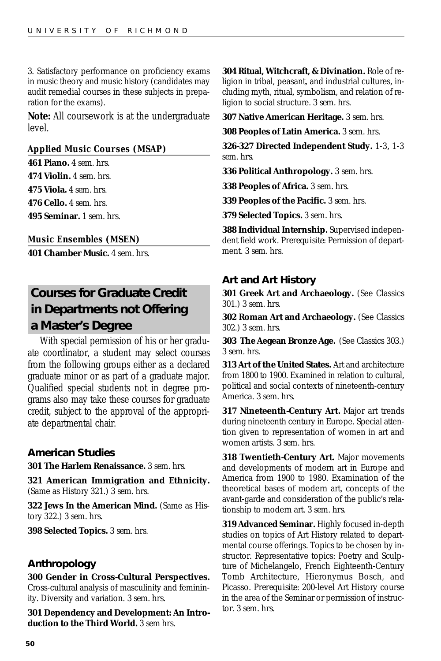<span id="page-49-0"></span>3. Satisfactory performance on proficiency exams in music theory and music history (candidates may audit remedial courses in these subjects in preparation for the exams).

**Note:** All coursework is at the undergraduate level.

#### *Applied Music Courses (MSAP)*

**461 Piano.** *4 sem. hrs.* **474 Violin.** *4 sem. hrs.* **475 Viola.** *4 sem. hrs.* **476 Cello.** *4 sem. hrs.* **495 Seminar.** *1 sem. hrs.*

*Music Ensembles (MSEN)*

**401 Chamber Music.** *4 sem. hrs.*

## **Courses for Graduate Credit in Departments not Offering a Master's Degree**

With special permission of his or her graduate coordinator, a student may select courses from the following groups either as a declared graduate minor or as part of a graduate major. Qualified special students not in degree programs also may take these courses for graduate credit, subject to the approval of the appropriate departmental chair.

#### **American Studies**

**301 The Harlem Renaissance.** *3 sem. hrs.*

**321 American Immigration and Ethnicity.** (Same as History 321.) *3 sem. hrs.*

**322 Jews In the American Mind.** (Same as History 322.) *3 sem. hrs.*

**398 Selected Topics.** *3 sem. hrs.*

#### **Anthropology**

#### **300 Gender in Cross-Cultural Perspectives.**

Cross-cultural analysis of masculinity and femininity. Diversity and variation. *3 sem. hrs.*

**301 Dependency and Development: An Introduction to the Third World.** *3 sem hrs.*

**304 Ritual, Witchcraft, & Divination.** Role of religion in tribal, peasant, and industrial cultures, including myth, ritual, symbolism, and relation of religion to social structure. *3 sem. hrs.*

**307 Native American Heritage.** *3 sem. hrs.*

**308 Peoples of Latin America.** *3 sem. hrs.*

**326-327 Directed Independent Study.** *1-3, 1-3 sem. hrs.*

**336 Political Anthropology.** *3 sem. hrs.*

**338 Peoples of Africa.** *3 sem. hrs.*

**339 Peoples of the Pacific.** *3 sem. hrs.*

**379 Selected Topics.** *3 sem. hrs.*

**388 Individual Internship.** Supervised independent field work. *Prerequisite*: Permission of department. *3 sem. hrs.*

#### **Art and Art History**

**301 Greek Art and Archaeology.** (See Classics 301.) *3 sem. hrs.*

**302 Roman Art and Archaeology.** (See Classics 302.) *3 sem. hrs.*

**303 The Aegean Bronze Age.** (See Classics 303.) *3 sem. hrs.*

**313 Art of the United States.** Art and architecture from 1800 to 1900. Examined in relation to cultural, political and social contexts of nineteenth-century America. *3 sem. hrs.*

**317 Nineteenth-Century Art.** Major art trends during nineteenth century in Europe. Special attention given to representation of women in art and women artists. *3 sem. hrs.*

**318 Twentieth-Century Art.** Major movements and developments of modern art in Europe and America from 1900 to 1980. Examination of the theoretical bases of modern art, concepts of the avant-garde and consideration of the public's relationship to modern art. *3 sem. hrs.*

**319 Advanced Seminar.** Highly focused in-depth studies on topics of Art History related to departmental course offerings. Topics to be chosen by instructor. Representative topics: Poetry and Sculpture of Michelangelo, French Eighteenth-Century Tomb Architecture, Hieronymus Bosch, and Picasso. *Prerequisite*: 200-level Art History course in the area of the Seminar or permission of instructor. *3 sem. hrs.*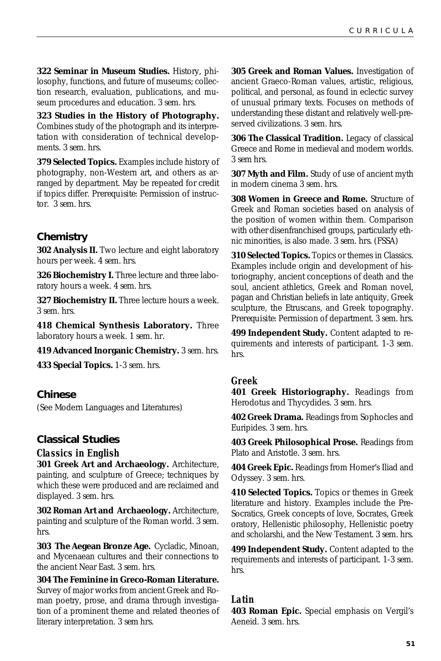**322 Seminar in Museum Studies.** History, philosophy, functions, and future of museums; collection research, evaluation, publications, and museum procedures and education. *3 sem. hrs.*

**323 Studies in the History of Photography.** Combines study of the photograph and its interpretation with consideration of technical developments. *3 sem. hrs.*

**379 Selected Topics.** Examples include history of photography, non-Western art, and others as arranged by department. May be repeated for credit if topics differ. *Prerequisite:* Permission of instructor. *3 sem. hrs.*

### **Chemistry**

**302 Analysis II.** Two lecture and eight laboratory hours per week. *4 sem. hrs.*

**326 Biochemistry I.** Three lecture and three laboratory hours a week. *4 sem. hrs.*

**327 Biochemistry II.** Three lecture hours a week. *3 sem. hrs.*

**418 Chemical Synthesis Laboratory.** Three laboratory hours a week. *1 sem. hr.*

**419 Advanced Inorganic Chemistry.** *3 sem. hrs.*

**433 Special Topics.** *1-3 sem. hrs.*

### **Chinese**

(See Modern Languages and Literatures)

#### **Classical Studies**

#### *Classics in English*

**301 Greek Art and Archaeology.** Architecture, painting, and sculpture of Greece; techniques by which these were produced and are reclaimed and displayed. *3 sem. hrs.*

**302 Roman Art and Archaeology.** Architecture, painting and sculpture of the Roman world. *3 sem. hrs.*

**303 The Aegean Bronze Age.** Cycladic, Minoan, and Mycenaean cultures and their connections to the ancient Near East. *3 sem. hrs.*

**304 The Feminine in Greco-Roman Literature.** Survey of major works from ancient Greek and Roman poetry, prose, and drama through investigation of a prominent theme and related theories of literary interpretation. *3 sem hrs.*

**305 Greek and Roman Values.** Investigation of ancient Graeco-Roman values, artistic, religious, political, and personal, as found in eclectic survey of unusual primary texts. Focuses on methods of understanding these distant and relatively well-preserved civilizations. *3 sem. hrs.*

**306 The Classical Tradition.** Legacy of classical Greece and Rome in medieval and modern worlds. *3 sem hrs.*

**307 Myth and Film.** Study of use of ancient myth in modern cinema *3 sem. hrs.*

**308 Women in Greece and Rome.** Structure of Greek and Roman societies based on analysis of the position of women within them. Comparison with other disenfranchised groups, particularly ethnic minorities, is also made. *3 sem. hrs.* (FSSA)

**310 Selected Topics.** Topics or themes in Classics. Examples include origin and development of historiography, ancient conceptions of death and the soul, ancient athletics, Greek and Roman novel, pagan and Christian beliefs in late antiquity, Greek sculpture, the Etruscans, and Greek topography. *Prerequisite*: Permission of department. *3 sem. hrs.*

**499 Independent Study.** Content adapted to requirements and interests of participant. *1-3 sem. hrs.*

#### *Greek*

**401 Greek Historiography.** Readings from Herodotus and Thycydides. *3 sem. hrs.*

**402 Greek Drama.** Readings from Sophocles and Euripides. *3 sem. hrs.*

**403 Greek Philosophical Prose.** Readings from Plato and Aristotle. *3 sem. hrs.*

**404 Greek Epic.** Readings from Homer's Iliad and Odyssey. *3 sem. hrs.*

**410 Selected Topics.** Topics or themes in Greek literature and history. Examples include the Pre-Socratics, Greek concepts of love, Socrates, Greek oratory, Hellenistic philosophy, Hellenistic poetry and scholarshi, and the New Testament. *3 sem. hrs.*

**499 Independent Study.** Content adapted to the requirements and interests of participant. *1-3 sem. hrs.*

### *Latin*

**403 Roman Epic.** Special emphasis on Vergil's Aeneid. *3 sem. hrs.*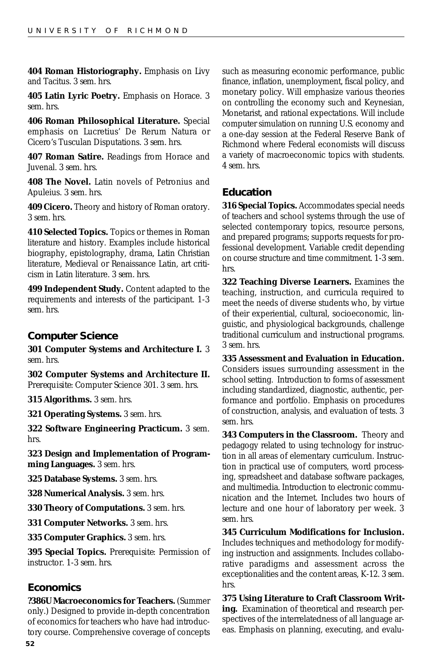**404 Roman Historiography.** Emphasis on Livy and Tacitus. *3 sem. hrs.*

**405 Latin Lyric Poetry.** Emphasis on Horace. *3 sem. hrs.*

**406 Roman Philosophical Literature.** Special emphasis on Lucretius' De Rerum Natura or Cicero's Tusculan Disputations. *3 sem. hrs.*

**407 Roman Satire.** Readings from Horace and Juvenal. *3 sem. hrs.*

**408 The Novel.** Latin novels of Petronius and Apuleius. *3 sem. hrs.*

**409 Cicero.** Theory and history of Roman oratory. *3 sem. hrs.*

**410 Selected Topics.** Topics or themes in Roman literature and history. Examples include historical biography, epistolography, drama, Latin Christian literature, Medieval or Renaissance Latin, art criticism in Latin literature. *3 sem. hrs.*

**499 Independent Study.** Content adapted to the requirements and interests of the participant. *1-3 sem. hrs.*

### **Computer Science**

**301 Computer Systems and Architecture I.** *3 sem. hrs.*

**302 Computer Systems and Architecture II.** *Prerequisite*: Computer Science 301. *3 sem. hrs.*

**315 Algorithms.** *3 sem. hrs.*

**321 Operating Systems.** *3 sem. hrs.*

**322 Software Engineering Practicum.** *3 sem. hrs.*

**323 Design and Implementation of Programming Languages.** *3 sem. hrs.*

**325 Database Systems.** *3 sem. hrs.*

**328 Numerical Analysis.** *3 sem. hrs.*

**330 Theory of Computations.** *3 sem. hrs.*

**331 Computer Networks.** *3 sem. hrs.*

**335 Computer Graphics.** *3 sem. hrs.*

**395 Special Topics.** *Prerequisite*: Permission of instructor. *1-3 sem. hrs.*

### **Economics**

**?386U Macroeconomics for Teachers.** (Summer only.) Designed to provide in-depth concentration of economics for teachers who have had introductory course. Comprehensive coverage of concepts such as measuring economic performance, public finance, inflation, unemployment, fiscal policy, and monetary policy. Will emphasize various theories on controlling the economy such and Keynesian, Monetarist, and rational expectations. Will include computer simulation on running U.S. economy and a one-day session at the Federal Reserve Bank of Richmond where Federal economists will discuss a variety of macroeconomic topics with students. *4 sem. hrs.*

### **Education**

**316 Special Topics.** Accommodates special needs of teachers and school systems through the use of selected contemporary topics, resource persons, and prepared programs; supports requests for professional development. Variable credit depending on course structure and time commitment. *1-3 sem. hrs.*

**322 Teaching Diverse Learners.** Examines the teaching, instruction, and curricula required to meet the needs of diverse students who, by virtue of their experiential, cultural, socioeconomic, linguistic, and physiological backgrounds, challenge traditional curriculum and instructional programs. *3 sem. hrs.*

**335 Assessment and Evaluation in Education.** Considers issues surrounding assessment in the school setting. Introduction to forms of assessment including standardized, diagnostic, authentic, performance and portfolio. Emphasis on procedures of construction, analysis, and evaluation of tests. *3 sem. hrs.*

**343 Computers in the Classroom.** Theory and pedagogy related to using technology for instruction in all areas of elementary curriculum. Instruction in practical use of computers, word processing, spreadsheet and database software packages, and multimedia. Introduction to electronic communication and the Internet. Includes two hours of lecture and one hour of laboratory per week. *3 sem. hrs.*

**345 Curriculum Modifications for Inclusion.** Includes techniques and methodology for modifying instruction and assignments. Includes collaborative paradigms and assessment across the exceptionalities and the content areas, K-12. *3 sem. hrs.*

**375 Using Literature to Craft Classroom Writing.** Examination of theoretical and research perspectives of the interrelatedness of all language areas. Emphasis on planning, executing, and evalu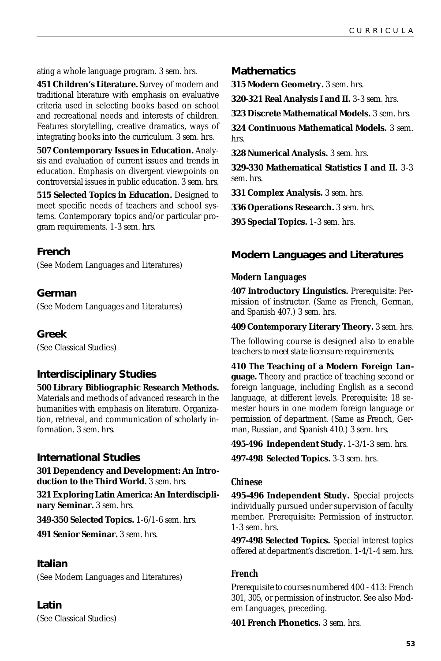ating a whole language program. *3 sem. hrs.*

**451 Children's Literature.** Survey of modern and traditional literature with emphasis on evaluative criteria used in selecting books based on school and recreational needs and interests of children. Features storytelling, creative dramatics, ways of integrating books into the curriculum. *3 sem. hrs.*

**507 Contemporary Issues in Education.** Analysis and evaluation of current issues and trends in education. Emphasis on divergent viewpoints on controversial issues in public education. *3 sem. hrs.*

**515 Selected Topics in Education.** Designed to meet specific needs of teachers and school systems. Contemporary topics and/or particular program requirements. *1-3 sem. hrs.*

#### **French**

(See Modern Languages and Literatures)

### **German**

(See Modern Languages and Literatures)

#### **Greek**

(See Classical Studies)

### **Interdisciplinary Studies**

**500 Library Bibliographic Research Methods.**

Materials and methods of advanced research in the humanities with emphasis on literature. Organization, retrieval, and communication of scholarly information. *3 sem. hrs.*

#### **International Studies**

**301 Dependency and Development: An Introduction to the Third World.** *3 sem. hrs.*

**321 Exploring Latin America: An Interdisciplinary Seminar.** *3 sem. hrs.*

**349-350 Selected Topics.** *1-6/1-6 sem. hrs.*

**491 Senior Seminar.** *3 sem. hrs.*

#### **Italian**

(See Modern Languages and Literatures)

#### **Latin**

(See Classical Studies)

#### **Mathematics**

**315 Modern Geometry.** *3 sem. hrs.*

**320-321 Real Analysis I and II.** *3-3 sem. hrs.*

**323 Discrete Mathematical Models.** *3 sem. hrs.*

**324 Continuous Mathematical Models.** *3 sem. hrs.*

**328 Numerical Analysis.** *3 sem. hrs.*

**329-330 Mathematical Statistics I and II.** *3-3 sem. hrs.*

**331 Complex Analysis.** *3 sem. hrs.*

**336 Operations Research.** *3 sem. hrs.*

**395 Special Topics.** *1-3 sem. hrs.*

### **Modern Languages and Literatures**

#### *Modern Languages*

**407 Introductory Linguistics.** *Prerequisite*: Permission of instructor. (Same as French, German, and Spanish 407.) *3 sem. hrs.*

**409 Contemporary Literary Theory.** *3 sem. hrs.*

*The following course is designed also to enable teachers to meet state licensure requirements.*

**410 The Teaching of a Modern Foreign Language.** Theory and practice of teaching second or foreign language, including English as a second language, at different levels. *Prerequisite*: 18 semester hours in one modern foreign language or permission of department. (Same as French, German, Russian, and Spanish 410.) *3 sem. hrs.*

**495-496 Independent Study.** *1-3/1-3 sem. hrs.*

**497-498 Selected Topics.** *3-3 sem. hrs.*

#### *Chinese*

**495-496 Independent Study.** Special projects individually pursued under supervision of faculty member. *Prerequisite*: Permission of instructor. *1-3 sem. hrs.*

**497-498 Selected Topics.** Special interest topics offered at department's discretion. *1-4/1-4 sem. hrs.*

#### *French*

*Prerequisite to courses numbered 400 - 413:* French 301, 305, or permission of instructor. See also Modern Languages, preceding.

**401 French Phonetics.** *3 sem. hrs.*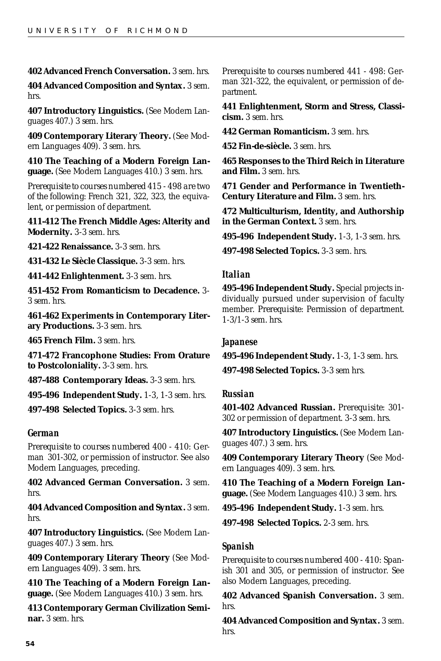#### **402 Advanced French Conversation.** *3 sem. hrs.*

**404 Advanced Composition and Syntax.** *3 sem. hrs.*

**407 Introductory Linguistics.** (See Modern Languages 407.) *3 sem. hrs.*

**409 Contemporary Literary Theory.** (See Modern Languages 409). *3 sem. hrs.*

**410 The Teaching of a Modern Foreign Language.** (See Modern Languages 410.) *3 sem. hrs.*

*Prerequisite to courses numbered 415 - 498 are two of the following:* French 321, 322, 323, the equivalent, or permission of department.

**411-412 The French Middle Ages: Alterity and Modernity.** *3-3 sem. hrs.*

**421-422 Renaissance.** *3-3 sem. hrs.*

**431-432 Le Siècle Classique.** *3-3 sem. hrs.*

**441-442 Enlightenment.** *3-3 sem. hrs.*

**451-452 From Romanticism to Decadence.** *3- 3 sem. hrs.*

**461-462 Experiments in Contemporary Literary Productions.** *3-3 sem. hrs.*

**465 French Film.** *3 sem. hrs.*

**471-472 Francophone Studies: From Orature to Postcoloniality.** *3-3 sem. hrs.*

**487-488 Contemporary Ideas.** *3-3 sem. hrs.*

**495-496 Independent Study.** *1-3, 1-3 sem. hrs.*

**497-498 Selected Topics.** *3-3 sem. hrs.*

#### *German*

*Prerequisite to courses numbered 400 - 410:* German 301-302, or permission of instructor. See also Modern Languages, preceding.

**402 Advanced German Conversation.** *3 sem. hrs.*

**404 Advanced Composition and Syntax.** *3 sem. hrs.*

**407 Introductory Linguistics.** (See Modern Languages 407.) *3 sem. hrs.*

**409 Contemporary Literary Theory** (See Modern Languages 409). *3 sem. hrs.*

**410 The Teaching of a Modern Foreign Language.** (See Modern Languages 410.) *3 sem. hrs.*

**413 Contemporary German Civilization Seminar.** *3 sem. hrs.*

*Prerequisite to courses numbered 441 - 498:* German 321-322, the equivalent, or permission of department.

**441 Enlightenment, Storm and Stress, Classicism.** *3 sem. hrs.*

**442 German Romanticism.** *3 sem. hrs.*

**452 Fin-de-siècle.** *3 sem. hrs.*

**465 Responses to the Third Reich in Literature and Film.** *3 sem. hrs.*

**471 Gender and Performance in Twentieth-Century Literature and Film.** *3 sem. hrs.*

**472 Multiculturism, Identity, and Authorship in the German Context.** *3 sem. hrs.*

**495-496 Independent Study.** *1-3, 1-3 sem. hrs.*

**497-498 Selected Topics.** *3-3 sem. hrs.*

#### *Italian*

**495-496 Independent Study.** Special projects individually pursued under supervision of faculty member. *Prerequisite*: Permission of department. *1-3/1-3 sem. hrs.*

#### *Japanese*

**495-496 Independent Study.** *1-3, 1-3 sem. hrs.* **497-498 Selected Topics.** *3-3 sem hrs.*

#### *Russian*

**401-402 Advanced Russian.** *Prerequisite*: 301- 302 or permission of department. *3-3 sem. hrs.*

**407 Introductory Linguistics.** (See Modern Languages 407.) *3 sem. hrs.*

**409 Contemporary Literary Theory** (See Modern Languages 409). *3 sem. hrs.*

**410 The Teaching of a Modern Foreign Language.** (See Modern Languages 410.) *3 sem. hrs.*

**495-496 Independent Study.** *1-3 sem. hrs.*

**497-498 Selected Topics.** *2-3 sem. hrs.*

#### *Spanish*

*Prerequisite to courses numbered 400 - 410:* Spanish 301 and 305, or permission of instructor. See also Modern Languages, preceding.

**402 Advanced Spanish Conversation.** *3 sem. hrs.*

**404 Advanced Composition and Syntax.** *3 sem. hrs.*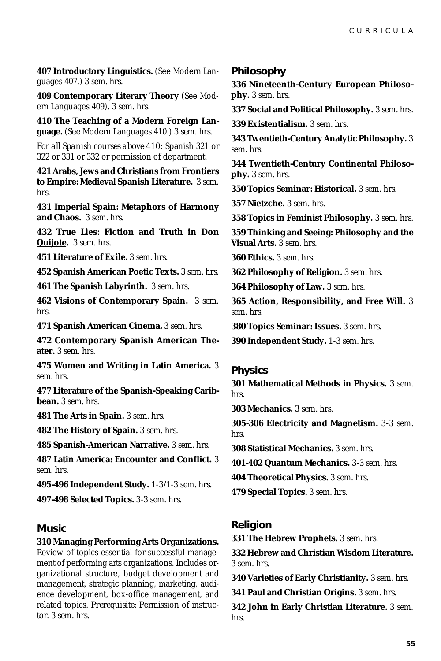**407 Introductory Linguistics.** (See Modern Languages 407.) *3 sem. hrs.*

**409 Contemporary Literary Theory** (See Modern Languages 409). *3 sem. hrs.*

**410 The Teaching of a Modern Foreign Language.** (See Modern Languages 410.) *3 sem. hrs.*

*For all Spanish courses above 410:* Spanish 321 or 322 or 331 or 332 or permission of department.

**421 Arabs, Jews and Christians from Frontiers to Empire: Medieval Spanish Literature.** *3 sem. hrs.*

**431 Imperial Spain: Metaphors of Harmony and Chaos.** *3 sem. hrs.*

**432 True Lies: Fiction and Truth in Don Quijote.** *3 sem. hrs.*

**451 Literature of Exile.** *3 sem. hrs.*

**452 Spanish American Poetic Texts.** *3 sem. hrs.*

**461 The Spanish Labyrinth.** *3 sem. hrs.*

**462 Visions of Contemporary Spain.** *3 sem. hrs.*

**471 Spanish American Cinema.** *3 sem. hrs.*

**472 Contemporary Spanish American Theater.** *3 sem. hrs.*

**475 Women and Writing in Latin America.** *3 sem. hrs.*

**477 Literature of the Spanish-Speaking Caribbean.** *3 sem. hrs.*

**481 The Arts in Spain.** *3 sem. hrs.*

**482 The History of Spain.** *3 sem. hrs.*

**485 Spanish-American Narrative.** *3 sem. hrs.*

**487 Latin America: Encounter and Conflict.** *3 sem. hrs.*

**495-496 Independent Study.** *1-3/1-3 sem. hrs.*

**497-498 Selected Topics.** *3-3 sem. hrs.*

### **Music**

### **310 Managing Performing Arts Organizations.**

Review of topics essential for successful management of performing arts organizations. Includes organizational structure, budget development and management, strategic planning, marketing, audience development, box-office management, and related topics. *Prerequisite*: Permission of instructor. *3 sem. hrs.*

#### **Philosophy**

**336 Nineteenth-Century European Philosophy.** *3 sem. hrs.*

**337 Social and Political Philosophy.** *3 sem. hrs.*

**339 Existentialism.** *3 sem. hrs.*

**343 Twentieth-Century Analytic Philosophy.** *3 sem. hrs.*

**344 Twentieth-Century Continental Philosophy.** *3 sem. hrs.*

**350 Topics Seminar: Historical.** *3 sem. hrs.*

**357 Nietzche.** *3 sem. hrs.*

**358 Topics in Feminist Philosophy.** *3 sem. hrs.*

**359 Thinking and Seeing: Philosophy and the Visual Arts.** *3 sem. hrs.*

**360 Ethics.** *3 sem. hrs.*

**362 Philosophy of Religion.** *3 sem. hrs.*

**364 Philosophy of Law.** *3 sem. hrs.*

**365 Action, Responsibility, and Free Will.** *3 sem. hrs.*

**380 Topics Seminar: Issues.** *3 sem. hrs.*

**390 Independent Study.** *1-3 sem. hrs.*

#### **Physics**

**301 Mathematical Methods in Physics.** *3 sem. hrs.*

**303 Mechanics.** *3 sem. hrs.*

**305-306 Electricity and Magnetism.** *3-3 sem. hrs.*

**308 Statistical Mechanics.** *3 sem. hrs.*

**401-402 Quantum Mechanics.** *3-3 sem. hrs.*

**404 Theoretical Physics.** *3 sem. hrs.*

**479 Special Topics.** *3 sem. hrs.*

### **Religion**

**331 The Hebrew Prophets.** *3 sem. hrs.*

**332 Hebrew and Christian Wisdom Literature.** *3 sem. hrs.*

**340 Varieties of Early Christianity.** *3 sem. hrs.*

**341 Paul and Christian Origins.** *3 sem. hrs.*

**342 John in Early Christian Literature.** *3 sem. hrs.*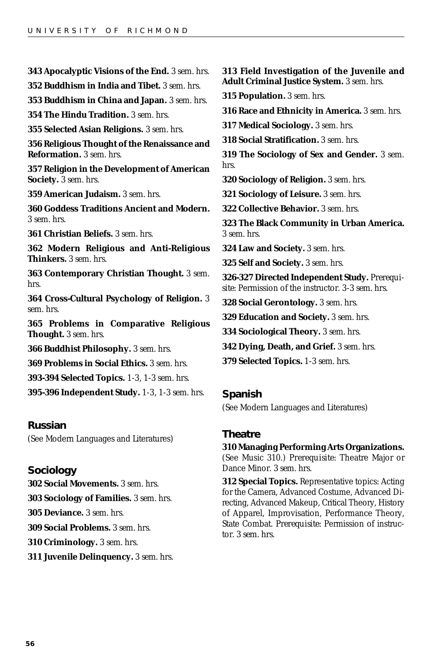**343 Apocalyptic Visions of the End.** *3 sem. hrs.* **352 Buddhism in India and Tibet.** *3 sem. hrs.* **353 Buddhism in China and Japan.** *3 sem. hrs.* **354 The Hindu Tradition.** *3 sem. hrs.* **355 Selected Asian Religions.** *3 sem. hrs.* **356 Religious Thought of the Renaissance and Reformation.** *3 sem. hrs.* **357 Religion in the Development of American Society.** *3 sem. hrs.* **359 American Judaism.** *3 sem. hrs.* **360 Goddess Traditions Ancient and Modern.** *3 sem. hrs.* **361 Christian Beliefs.** *3 sem. hrs.* **362 Modern Religious and Anti-Religious Thinkers.** *3 sem. hrs.* **363 Contemporary Christian Thought.** *3 sem. hrs.* **364 Cross-Cultural Psychology of Religion.** *3 sem. hrs.* **365 Problems in Comparative Religious Thought.** *3 sem. hrs.* **366 Buddhist Philosophy.** *3 sem. hrs.* **369 Problems in Social Ethics.** *3 sem. hrs.* **393-394 Selected Topics.** *1-3, 1-3 sem. hrs.* **395-396 Independent Study.** *1-3, 1-3 sem. hrs.* **313 Field Investigation of the Juvenile and Adult Criminal Justice System.** *3 sem. hrs.* **315 Population.** *3 sem. hrs.* **316 Race and Ethnicity in America.** *3 sem. hrs.* **317 Medical Sociology.** *3 sem. hrs.* **318 Social Stratification.** *3 sem. hrs.* **319 The Sociology of Sex and Gender.** *3 sem. hrs.* **320 Sociology of Religion.** *3 sem. hrs.* **321 Sociology of Leisure.** *3 sem. hrs.* **322 Collective Behavior.** *3 sem. hrs.* **323 The Black Community in Urban America.** *3 sem. hrs.* **324 Law and Society.** *3 sem. hrs.* **325 Self and Society.** *3 sem. hrs.* **326-327 Directed Independent Study.** *Prerequisite*: Permission of the instructor. *3-3 sem. hrs.* **328 Social Gerontology.** *3 sem. hrs.* **329 Education and Society.** *3 sem. hrs.* **334 Sociological Theory.** *3 sem. hrs.* **342 Dying, Death, and Grief.** *3 sem. hrs.* **379 Selected Topics.** *1-3 sem. hrs.* **Spanish**

#### **Russian**

(See Modern Languages and Literatures)

**Sociology 302 Social Movements.** *3 sem. hrs.* **303 Sociology of Families.** *3 sem. hrs.* **305 Deviance.** *3 sem. hrs.* **309 Social Problems.** *3 sem. hrs.* **310 Criminology.** *3 sem. hrs.* **311 Juvenile Delinquency.** *3 sem. hrs.* (See Modern Languages and Literatures)

#### **Theatre**

**310 Managing Performing Arts Organizations.** (See Music 310.) *Prerequisite*: Theatre Major or Dance Minor. *3 sem. hrs.*

**312 Special Topics.** Representative topics: Acting for the Camera, Advanced Costume, Advanced Directing, Advanced Makeup, Critical Theory, History of Apparel, Improvisation, Performance Theory, State Combat. *Prerequisite*: Permission of instructor. *3 sem. hrs.*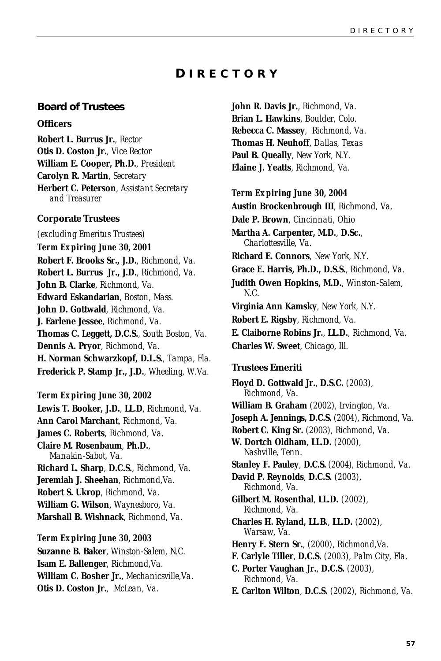### **D IRECTORY**

### <span id="page-56-0"></span>**Board of Trustees**

#### **Officers**

**Robert L. Burrus Jr.**, *Rector* **Otis D. Coston Jr.**, *Vice Rector* **William E. Cooper, Ph.D.**, *President* **Carolyn R. Martin**, *Secretary* **Herbert C. Peterson**, *Assistant Secretary and Treasurer*

#### **Corporate Trustees**

*(excluding Emeritus Trustees) Term Expiring June 30, 2001* **Robert F. Brooks Sr., J.D.**, *Richmond, Va.* **Robert L. Burrus Jr., J.D.**, *Richmond, Va.* **John B. Clarke**, *Richmond, Va.* **Edward Eskandarian**, *Boston, Mass.* **John D. Gottwald**, *Richmond, Va.* **J. Earlene Jessee**, *Richmond, Va.* **Thomas C. Leggett, D.C.S.**, *South Boston, Va.* **Dennis A. Pryor**, *Richmond, Va.* **H. Norman Schwarzkopf, D.L.S.**, *Tampa, Fla.* **Frederick P. Stamp Jr., J.D.**, *Wheeling, W.Va.*

#### *Term Expiring June 30, 2002*

**Lewis T. Booker, J.D.**, **LL.D**, *Richmond, Va.* **Ann Carol Marchant**, *Richmond, Va.* **James C. Roberts**, *Richmond, Va.* **Claire M. Rosenbaum**, **Ph.D.**, *Manakin-Sabot, Va.* **Richard L. Sharp**, **D.C.S.**, *Richmond, Va.* **Jeremiah J. Sheehan**, *Richmond,Va.* **Robert S. Ukrop**, *Richmond, Va.* **William G. Wilson**, *Waynesboro, Va.* **Marshall B. Wishnack**, *Richmond, Va.*

*Term Expiring June 30, 2003* **Suzanne B. Baker**, *Winston-Salem, N.C.* **Isam E. Ballenger**, *Richmond,Va.* **William C. Bosher Jr.**, *Mechanicsville,Va.* **Otis D. Coston Jr.**, *McLean, Va.*

**John R. Davis Jr.**, *Richmond, Va.* **Brian L. Hawkins**, *Boulder, Colo.* **Rebecca C. Massey**, *Richmond, Va.* **Thomas H. Neuhoff**, *Dallas, Texas* **Paul B. Queally**, *New York, N.Y.* **Elaine J. Yeatts**, *Richmond, Va.*

#### *Term Expiring June 30, 2004*

**Austin Brockenbrough III**, *Richmond, Va.* **Dale P. Brown**, *Cincinnati, Ohio* **Martha A. Carpenter, M.D.**, **D.Sc.**, *Charlottesville, Va.* **Richard E. Connors**, *New York, N.Y.* **Grace E. Harris, Ph.D., D.S.S.**, *Richmond, Va.* **Judith Owen Hopkins, M.D.**, *Winston-Salem, N.C.* **Virginia Ann Kamsky**, *New York, N.Y.* **Robert E. Rigsby**, *Richmond, Va.* **E. Claiborne Robins Jr.**, **LL.D.**, *Richmond, Va.* **Charles W. Sweet**, *Chicago, Ill.*

### **Trustees Emeriti**

**Floyd D. Gottwald Jr.**, **D.S.C.** *(2003), Richmond, Va.* **William B. Graham** *(2002), Irvington, Va.* **Joseph A. Jennings, D.C.S.** (*2004*), *Richmond, Va.* **Robert C. King Sr.** *(2003), Richmond, Va.* **W. Dortch Oldham**, **LL.D.** *(2000), Nashville, Tenn.* **Stanley F. Pauley**, **D.C.S.** (*2004*), *Richmond, Va.* **David P. Reynolds**, **D.C.S.** *(2003), Richmond, Va.* **Gilbert M. Rosenthal**, **LL.D.** *(2002), Richmond, Va.* **Charles H. Ryland, LL.B.**, **LL.D.** *(2002), Warsaw, Va.* **Henry F. Stern Sr.**, *(2000), Richmond,Va.* **F. Carlyle Tiller**, **D.C.S.** *(2003), Palm City, Fla.* **C. Porter Vaughan Jr.**, **D.C.S.** *(2003), Richmond, Va.* **E. Carlton Wilton**, **D.C.S.** *(2002), Richmond, Va.*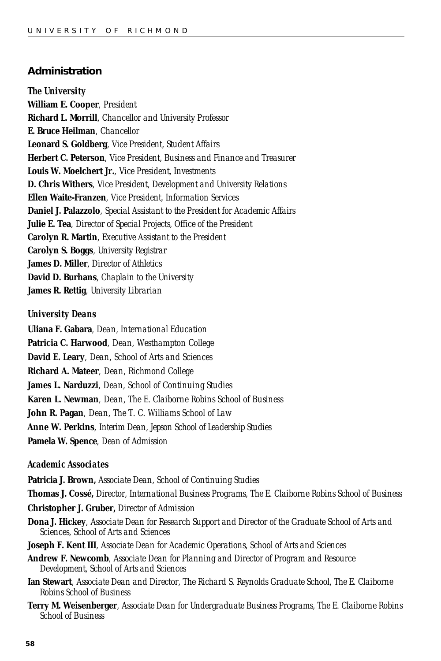#### **Administration**

#### *The University*

**William E. Cooper**, *President* **Richard L. Morrill**, *Chancellor and University Professor* **E. Bruce Heilman**, *Chancellor* **Leonard S. Goldberg**, *Vice President, Student Affairs* **Herbert C. Peterson**, *Vice President, Business and Finance and Treasurer* **Louis W. Moelchert Jr.**, *Vice President, Investments* **D. Chris Withers**, *Vice President, Development and University Relations* **Ellen Waite-Franzen**, *Vice President, Information Services* **Daniel J. Palazzolo**, *Special Assistant to the President for Academic Affairs* **Julie E. Tea**, *Director of Special Projects, Office of the President* **Carolyn R. Martin**, *Executive Assistant to the President* **Carolyn S. Boggs**, *University Registrar* **James D. Miller**, *Director of Athletics* **David D. Burhans**, *Chaplain to the University* **James R. Rettig**, *University Librarian*

#### *University Deans*

**Uliana F. Gabara**, *Dean, International Education* **Patricia C. Harwood**, *Dean, Westhampton College* **David E. Leary**, *Dean, School of Arts and Sciences* **Richard A. Mateer**, *Dean, Richmond College* **James L. Narduzzi**, *Dean, School of Continuing Studies* **Karen L. Newman**, *Dean, The E. Claiborne Robins School of Business* **John R. Pagan**, *Dean, The T. C. Williams School of Law* **Anne W. Perkins**, *Interim Dean, Jepson School of Leadership Studies* **Pamela W. Spence**, *Dean of Admission*

#### *Academic Associates*

**Patricia J. Brown,** *Associate Dean, School of Continuing Studies* **Thomas J. Cossé,** *Director, International Business Programs, The E. Claiborne Robins School of Business* **Christopher J. Gruber,** *Director of Admission* **Dona J. Hickey**, *Associate Dean for Research Support and Director of the Graduate School of Arts and Sciences, School of Arts and Sciences* **Joseph F. Kent III**, *Associate Dean for Academic Operations, School of Arts and Sciences*

**Andrew F. Newcomb**, *Associate Dean for Planning and Director of Program and Resource Development, School of Arts and Sciences*

- **Ian Stewart**, *Associate Dean and Director, The Richard S. Reynolds Graduate School, The E. Claiborne Robins School of Business*
- **Terry M. Weisenberger**, *Associate Dean for Undergraduate Business Programs, The E. Claiborne Robins School of Business*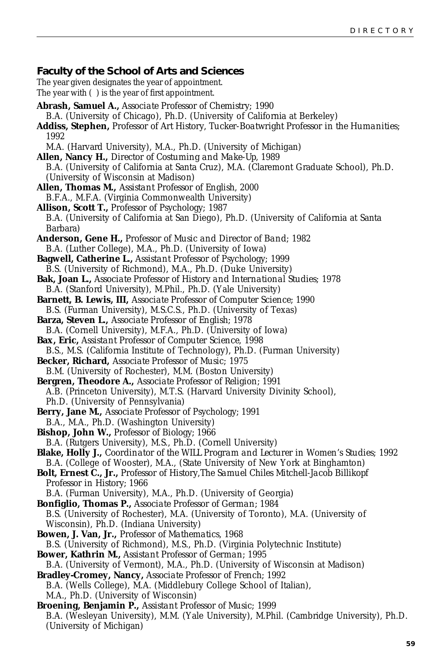#### <span id="page-58-0"></span>**Faculty of the School of Arts and Sciences**

The year given designates the year of appointment. The year with ( ) is the year of first appointment.

- **Abrash, Samuel A.,** *Associate Professor of Chemistry;* 1990 B.A. (University of Chicago), Ph.D. (University of California at Berkeley) **Addiss, Stephen,** *Professor of Art History, Tucker-Boatwright Professor in the Humanities;* 1992
	- M.A. (Harvard University), M.A., Ph.D. (University of Michigan)
- **Allen, Nancy H.,** *Director of Costuming and Make-Up,* 1989 B.A. (University of California at Santa Cruz), M.A. (Claremont Graduate School), Ph.D. (University of Wisconsin at Madison)
- **Allen, Thomas M.,** *Assistant Professor of English,* 2000 B.F.A., M.F.A. (Virginia Commonwealth University)
- **Allison, Scott T.,** *Professor of Psychology;* 1987 B.A. (University of California at San Diego), Ph.D. (University of California at Santa Barbara)
- **Anderson, Gene H.,** *Professor of Music and Director of Band;* 1982 B.A. (Luther College), M.A., Ph.D. (University of Iowa)
- **Bagwell, Catherine L.,** *Assistant Professor of Psychology;* 1999 B.S. (University of Richmond), M.A., Ph.D. (Duke University)
- **Bak, Joan L.,** *Associate Professor of History and International Studies;* 1978 B.A. (Stanford University), M.Phil., Ph.D. (Yale University)
- **Barnett, B. Lewis, III,** *Associate Professor of Computer Science;* 1990
- B.S. (Furman University), M.S.C.S., Ph.D. (University of Texas) **Barza, Steven L.,** *Associate Professor of English;* 1978
- B.A. (Cornell University), M.F.A., Ph.D. (University of Iowa)
- **Bax, Eric,** *Assistant Professor of Computer Science*, 1998
- B.S., M.S. (California Institute of Technology), Ph.D. (Furman University) **Becker, Richard,** *Associate Professor of Music;* 1975
- B.M. (University of Rochester), M.M. (Boston University)
- **Bergren, Theodore A.,** *Associate Professor of Religion;* 1991 A.B. (Princeton University), M.T.S. (Harvard University Divinity School), Ph.D. (University of Pennsylvania)
- **Berry, Jane M.,** *Associate Professor of Psychology;* 1991
- B.A., M.A., Ph.D. (Washington University)
- **Bishop, John W.,** *Professor of Biology;* 1966
- B.A. (Rutgers University), M.S., Ph.D. (Cornell University)
- **Blake, Holly J.,** *Coordinator of the WILL Program and Lecturer in Women's Studies;* 1992 B.A. (College of Wooster), M.A., (State University of New York at Binghamton)

**Bolt, Ernest C., Jr.,** *Professor of History,The Samuel Chiles Mitchell-Jacob Billikopf Professor in History;* 1966

B.A. (Furman University), M.A., Ph.D. (University of Georgia)

- **Bonfiglio, Thomas P.,** *Associate Professor of German;* 1984 B.S. (University of Rochester), M.A. (University of Toronto), M.A. (University of Wisconsin), Ph.D. (Indiana University)
- **Bowen, J. Van, Jr.,** *Professor of Mathematics,* 1968 B.S. (University of Richmond), M.S., Ph.D. (Virginia Polytechnic Institute)
- **Bower, Kathrin M.,** *Assistant Professor of German;* 1995 B.A. (University of Vermont), M.A., Ph.D. (University of Wisconsin at Madison)
- **Bradley-Cromey, Nancy,** *Associate Professor of French;* 1992 B.A. (Wells College), M.A. (Middlebury College School of Italian), M.A., Ph.D. (University of Wisconsin)
- **Broening, Benjamin P.,** *Assistant Professor of Music;* 1999 B.A. (Wesleyan University), M.M. (Yale University), M.Phil. (Cambridge University), Ph.D. (University of Michigan)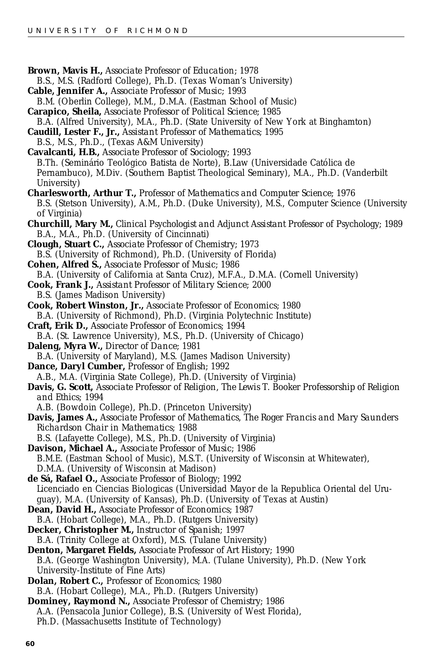**Brown, Mavis H.,** *Associate Professor of Education;* 1978 B.S., M.S. (Radford College), Ph.D. (Texas Woman's University) **Cable, Jennifer A.,** *Associate Professor of Music;* 1993 B.M. (Oberlin College), M.M., D.M.A. (Eastman School of Music) **Carapico, Sheila,** *Associate Professor of Political Science;* 1985 B.A. (Alfred University), M.A., Ph.D. (State University of New York at Binghamton) **Caudill, Lester F., Jr.,** *Assistant Professor of Mathematics;* 1995 B.S., M.S., Ph.D., (Texas A&M University) **Cavalcanti, H.B.,** *Associate Professor of Sociology;* 1993 B.Th. (Seminário Teológico Batista de Norte), B.Law (Universidade Católica de Pernambuco), M.Div. (Southern Baptist Theological Seminary), M.A., Ph.D. (Vanderbilt University) **Charlesworth, Arthur T.,** *Professor of Mathematics and Computer Science;* 1976 B.S. (Stetson University), A.M., Ph.D. (Duke University), M.S., Computer Science (University of Virginia) **Churchill, Mary M.,** *Clinical Psychologist and Adjunct Assistant Professor of Psychology;* 1989 B.A., M.A., Ph.D. (University of Cincinnati) **Clough, Stuart C.,** *Associate Professor of Chemistry;* 1973 B.S. (University of Richmond), Ph.D. (University of Florida) **Cohen, Alfred S.,** *Associate Professor of Music;* 1986 B.A. (University of California at Santa Cruz), M.F.A., D.M.A. (Cornell University) **Cook, Frank J.,** *Assistant Professor of Military Science;* 2000 B.S. (James Madison University) **Cook, Robert Winston, Jr.,** *Associate Professor of Economics;* 1980 B.A. (University of Richmond), Ph.D. (Virginia Polytechnic Institute) **Craft, Erik D.,** *Associate Professor of Economics;* 1994 B.A. (St. Lawrence University), M.S., Ph.D. (University of Chicago) **Daleng, Myra W.,** *Director of Dance;* 1981 B.A. (University of Maryland), M.S. (James Madison University) **Dance, Daryl Cumber,** *Professor of English;* 1992 A.B., M.A. (Virginia State College), Ph.D. (University of Virginia) **Davis, G. Scott,** *Associate Professor of Religion, The Lewis T. Booker Professorship of Religion and Ethics;* 1994 A.B. (Bowdoin College), Ph.D. (Princeton University) **Davis, James A.,** *Associate Professor of Mathematics, The Roger Francis and Mary Saunders Richardson Chair in Mathematics;* 1988 B.S. (Lafayette College), M.S., Ph.D. (University of Virginia) **Davison, Michael A.,** *Associate Professor of Music;* 1986 B.M.E. (Eastman School of Music), M.S.T. (University of Wisconsin at Whitewater), D.M.A. (University of Wisconsin at Madison) **de Sá, Rafael O.,** *Associate Professor of Biology;* 1992 Licenciado en Ciencias Biologicas (Universidad Mayor de la Republica Oriental del Uruguay), M.A. (University of Kansas), Ph.D. (University of Texas at Austin) **Dean, David H.,** *Associate Professor of Economics;* 1987 B.A. (Hobart College), M.A., Ph.D. (Rutgers University) **Decker, Christopher M.,** *Instructor of Spanish;* 1997 B.A. (Trinity College at Oxford), M.S. (Tulane University) **Denton, Margaret Fields,** *Associate Professor of Art History;* 1990 B.A. (George Washington University), M.A. (Tulane University), Ph.D. (New York University-Institute of Fine Arts) **Dolan, Robert C.,** *Professor of Economics;* 1980 B.A. (Hobart College), M.A., Ph.D. (Rutgers University) **Dominey, Raymond N.,** *Associate Professor of Chemistry;* 1986 A.A. (Pensacola Junior College), B.S. (University of West Florida), Ph.D. (Massachusetts Institute of Technology)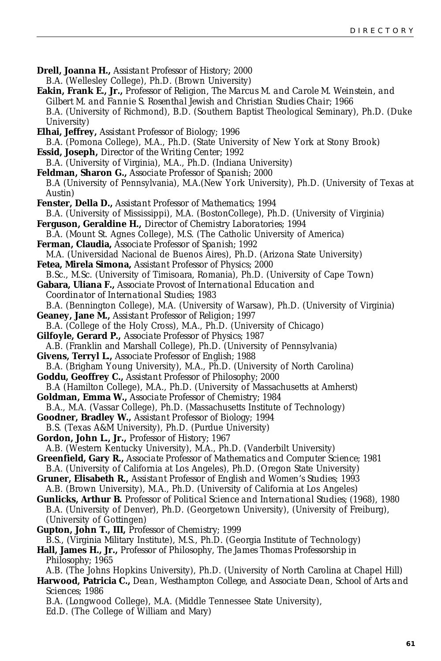- **Drell, Joanna H.,** *Assistant Professor of History;* 2000 B.A. (Wellesley College), Ph.D. (Brown University)
- **Eakin, Frank E., Jr.,** *Professor of Religion, The Marcus M. and Carole M. Weinstein, and Gilbert M. and Fannie S. Rosenthal Jewish and Christian Studies Chair;* 1966 B.A. (University of Richmond), B.D. (Southern Baptist Theological Seminary), Ph.D. (Duke University)
- **Elhai, Jeffrey,** *Assistant Professor of Biology;* 1996 B.A. (Pomona College), M.A., Ph.D. (State University of New York at Stony Brook) **Essid, Joseph,** *Director of the Writing Center;* 1992
- B.A. (University of Virginia), M.A., Ph.D. (Indiana University) **Feldman, Sharon G.,** *Associate Professor of Spanish;* 2000 B.A (University of Pennsylvania), M.A.(New York University), Ph.D. (University of Texas at
- Austin) **Fenster, Della D.,** *Assistant Professor of Mathematics;* 1994
- B.A. (University of Mississippi), M.A. (BostonCollege), Ph.D. (University of Virginia) **Ferguson, Geraldine H.,** *Director of Chemistry Laboratories;* 1994
- B.A. (Mount St. Agnes College), M.S. (The Catholic University of America) **Ferman, Claudia,** *Associate Professor of Spanish;* 1992

M.A. (Universidad Nacional de Buenos Aires), Ph.D. (Arizona State University) **Fetea, Mirela Simona,** *Assistant Professor of Physics;* 2000

B.Sc., M.Sc. (University of Timisoara, Romania), Ph.D. (University of Cape Town)

**Gabara, Uliana F.,** *Associate Provost of International Education and Coordinator of International Studies;* 1983 B.A. (Bennington College), M.A. (University of Warsaw), Ph.D. (University of Virginia)

- **Geaney, Jane M.,** *Assistant Professor of Religion;* 1997
- B.A. (College of the Holy Cross), M.A., Ph.D. (University of Chicago)

**Gilfoyle, Gerard P.,** *Associate Professor of Physics;* 1987

A.B. (Franklin and Marshall College), Ph.D. (University of Pennsylvania) **Givens, Terryl L.,** *Associate Professor of English;* 1988

B.A. (Brigham Young University), M.A., Ph.D. (University of North Carolina)

**Goddu, Geoffrey C.,** *Assistant Professor of Philosophy;* 2000

B.A (Hamilton College), M.A., Ph.D. (University of Massachusetts at Amherst) **Goldman, Emma W.,** *Associate Professor of Chemistry;* 1984

B.A., M.A. (Vassar College), Ph.D. (Massachusetts Institute of Technology)

- **Goodner, Bradley W.,** *Assistant Professor of Biology;* 1994 B.S. (Texas A&M University), Ph.D. (Purdue University)
- **Gordon, John L., Jr.,** *Professor of History;* 1967 A.B. (Western Kentucky University), M.A., Ph.D. (Vanderbilt University)

**Greenfield, Gary R.,** *Associate Professor of Mathematics and Computer Science;* 1981

B.A. (University of California at Los Angeles), Ph.D. (Oregon State University)

**Gruner, Elisabeth R.,** *Assistant Professor of English and Women's Studies;* 1993 A.B. (Brown University), M.A., Ph.D. (University of California at Los Angeles)

- **Gunlicks, Arthur B.** *Professor of Political Science and International Studies;* (1968), 1980 B.A. (University of Denver), Ph.D. (Georgetown University), (University of Freiburg), (University of Gottingen)
- **Gupton, John T., III,** *Professor of Chemistry;* 1999

B.S., (Virginia Military Institute), M.S., Ph.D. (Georgia Institute of Technology) **Hall, James H., Jr.,** *Professor of Philosophy, The James Thomas Professorship in*

*Philosophy;* 1965

A.B. (The Johns Hopkins University), Ph.D. (University of North Carolina at Chapel Hill)

**Harwood, Patricia C.,** *Dean, Westhampton College, and Associate Dean, School of Arts and Sciences;* 1986

B.A. (Longwood College), M.A. (Middle Tennessee State University), Ed.D. (The College of William and Mary)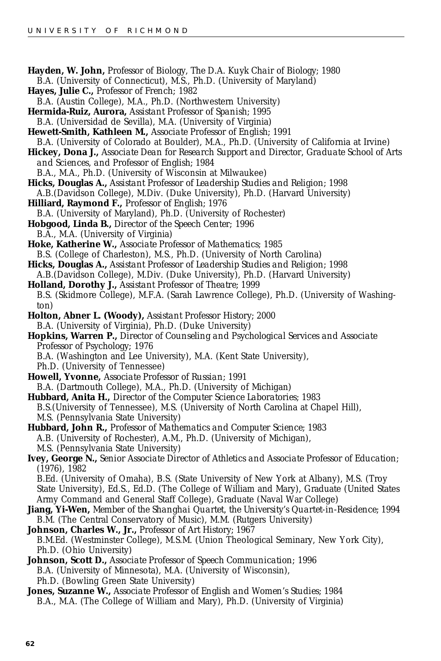- **Hayden, W. John,** *Professor of Biology, The D.A. Kuyk Chair of Biology;* 1980 B.A. (University of Connecticut), M.S., Ph.D. (University of Maryland) **Hayes, Julie C.,** *Professor of French;* 1982 B.A. (Austin College), M.A., Ph.D. (Northwestern University) **Hermida-Ruiz, Aurora,** *Assistant Professor of Spanish;* 1995 B.A. (Universidad de Sevilla), M.A. (University of Virginia)
- **Hewett-Smith, Kathleen M.,** *Associate Professor of English;* 1991 B.A. (University of Colorado at Boulder), M.A., Ph.D. (University of California at Irvine)
- **Hickey, Dona J.,** *Associate Dean for Research Support and Director, Graduate School of Arts and Sciences, and Professor of English;* 1984
	- B.A., M.A., Ph.D. (University of Wisconsin at Milwaukee)
- **Hicks, Douglas A.,** *Assistant Professor of Leadership Studies and Religion;* 1998
- A.B.(Davidson College), M.Div. (Duke University), Ph.D. (Harvard University)
- **Hilliard, Raymond F.,** *Professor of English;* 1976 B.A. (University of Maryland), Ph.D. (University of Rochester)
- **Hobgood, Linda B.,** *Director of the Speech Center;* 1996 B.A., M.A. (University of Virginia)
- **Hoke, Katherine W.,** *Associate Professor of Mathematics;* 1985 B.S. (College of Charleston), M.S., Ph.D. (University of North Carolina)
- **Hicks, Douglas A.,** *Assistant Professor of Leadership Studies and Religion;* 1998
- A.B.(Davidson College), M.Div. (Duke University), Ph.D. (Harvard University)
- **Holland, Dorothy J.,** *Assistant Professor of Theatre;* 1999 B.S. (Skidmore College), M.F.A. (Sarah Lawrence College), Ph.D. (University of Washington)
- **Holton, Abner L. (Woody),** *Assistant Professor History;* 2000 B.A. (University of Virginia), Ph.D. (Duke University)
- **Hopkins, Warren P.,** *Director of Counseling and Psychological Services and Associate Professor of Psychology;* 1976 B.A. (Washington and Lee University), M.A. (Kent State University),
	- Ph.D. (University of Tennessee)
- **Howell, Yvonne,** *Associate Professor of Russian;* 1991 B.A. (Dartmouth College), M.A., Ph.D. (University of Michigan)
- **Hubbard, Anita H.,** *Director of the Computer Science Laboratories;* 1983 B.S.(University of Tennessee), M.S. (University of North Carolina at Chapel Hill), M.S. (Pennsylvania State University)
- **Hubbard, John R.,** *Professor of Mathematics and Computer Science;* 1983 A.B. (University of Rochester), A.M., Ph.D. (University of Michigan), M.S. (Pennsylvania State University)
- **Ivey, George N.,** *Senior Associate Director of Athletics and Associate Professor of Education;* (1976), 1982
	- B.Ed. (University of Omaha), B.S. (State University of New York at Albany), M.S. (Troy State University), Ed.S., Ed.D. (The College of William and Mary), Graduate (United States Army Command and General Staff College), Graduate (Naval War College)
- **Jiang, Yi-Wen,** *Member of the Shanghai Quartet, the University's Quartet-in-Residence;* 1994 B.M. (The Central Conservatory of Music), M.M. (Rutgers University)
- **Johnson, Charles W., Jr.,** *Professor of Art History;* 1967 B.M.Ed. (Westminster College), M.S.M. (Union Theological Seminary, New York City), Ph.D. (Ohio University)
- **Johnson, Scott D.,** *Associate Professor of Speech Communication;* 1996 B.A. (University of Minnesota), M.A. (University of Wisconsin), Ph.D. (Bowling Green State University)
- **Jones, Suzanne W.,** *Associate Professor of English and Women's Studies;* 1984 B.A., M.A. (The College of William and Mary), Ph.D. (University of Virginia)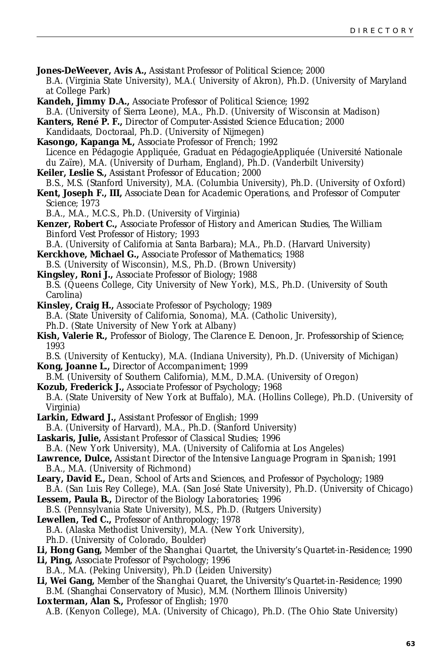- **Jones-DeWeever, Avis A.,** *Assistant Professor of Political Science;* 2000 B.A. (Virginia State University), M.A.( University of Akron), Ph.D. (University of Maryland at College Park)
- **Kandeh, Jimmy D.A.,** *Associate Professor of Political Science;* 1992 B.A. (University of Sierra Leone), M.A., Ph.D. (University of Wisconsin at Madison)
- **Kanters, René P. F.,** *Director of Computer-Assisted Science Education;* 2000
- Kandidaats, Doctoraal, Ph.D. (University of Nijmegen)
- **Kasongo, Kapanga M.,** *Associate Professor of French;* 1992 Licence en Pédagogie Appliquée, Graduat en PédagogieAppliquée (Université Nationale du Zaïre), M.A. (University of Durham, England), Ph.D. (Vanderbilt University)
- **Keiler, Leslie S.,** *Assistant Professor of Education;* 2000
- B.S., M.S. (Stanford University), M.A. (Columbia University), Ph.D. (University of Oxford)
- **Kent, Joseph F., III,** *Associate Dean for Academic Operations, and Professor of Computer Science;* 1973
	- B.A., M.A., M.C.S., Ph.D. (University of Virginia)
- **Kenzer, Robert C.,** *Associate Professor of History and American Studies, The William Binford Vest Professor of History;* 1993
- B.A. (University of California at Santa Barbara); M.A., Ph.D. (Harvard University)
- **Kerckhove, Michael G.,** *Associate Professor of Mathematics;* 1988
- B.S. (University of Wisconsin), M.S., Ph.D. (Brown University)
- **Kingsley, Roni J.,** *Associate Professor of Biology;* 1988 B.S. (Queens College, City University of New York), M.S., Ph.D. (University of South Carolina)
- **Kinsley, Craig H.,** *Associate Professor of Psychology;* 1989 B.A. (State University of California, Sonoma), M.A. (Catholic University), Ph.D. (State University of New York at Albany)
- **Kish, Valerie R.,** *Professor of Biology, The Clarence E. Denoon, Jr. Professorship of Science;* 1993
- B.S. (University of Kentucky), M.A. (Indiana University), Ph.D. (University of Michigan) **Kong, Joanne L.,** *Director of Accompaniment;* 1999
- B.M. (University of Southern California), M.M., D.M.A. (University of Oregon)
- **Kozub, Frederick J.,** *Associate Professor of Psychology;* 1968 B.A. (State University of New York at Buffalo), M.A. (Hollins College), Ph.D. (University of Virginia)
- **Larkin, Edward J.,** *Assistant Professor of English;* 1999
- B.A. (University of Harvard), M.A., Ph.D. (Stanford University)
- **Laskaris, Julie,** *Assistant Professor of Classical Studies;* 1996
- B.A. (New York University), M.A. (University of California at Los Angeles)
- **Lawrence, Dulce,** *Assistant Director of the Intensive Language Program in Spanish;* 1991 B.A., M.A. (University of Richmond)
- **Leary, David E.,** *Dean, School of Arts and Sciences, and Professor of Psychology;* 1989
- B.A. (San Luis Rey College), M.A. (San José State University), Ph.D. (University of Chicago) **Lessem, Paula B.,** *Director of the Biology Laboratories;* 1996
- B.S. (Pennsylvania State University), M.S., Ph.D. (Rutgers University)
- **Lewellen, Ted C.,** *Professor of Anthropology;* 1978
- B.A. (Alaska Methodist University), M.A. (New York University),
- Ph.D. (University of Colorado, Boulder)
- **Li, Hong Gang,** *Member of the Shanghai Quartet, the University's Quartet-in-Residence;* 1990
- **Li, Ping,** *Associate Professor of Psychology;* 1996
- B.A., M.A. (Peking University), Ph.D (Leiden University)
- **Li, Wei Gang,** *Member of the Shanghai Quaret, the University's Quartet-in-Residence;* 1990 B.M. (Shanghai Conservatory of Music), M.M. (Northern Illinois University)
- **Loxterman, Alan S.,** *Professor of English;* 1970
	- A.B. (Kenyon College), M.A. (University of Chicago), Ph.D. (The Ohio State University)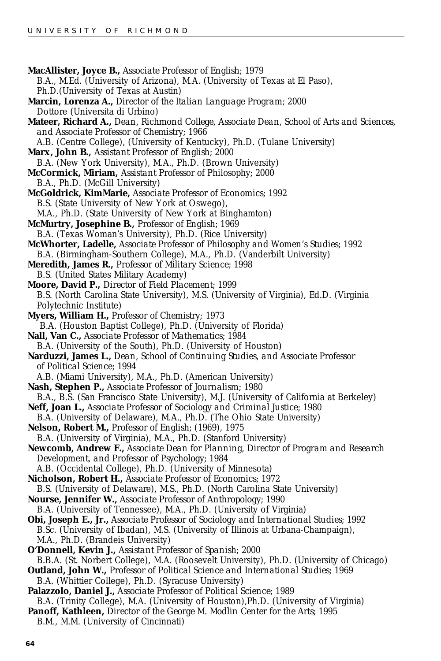**MacAllister, Joyce B.,** *Associate Professor of English;* 1979 B.A., M.Ed. (University of Arizona), M.A. (University of Texas at El Paso), Ph.D.(University of Texas at Austin) **Marcin, Lorenza A.,** *Director of the Italian Language Program;* 2000 Dottore (Universita di Urbino) **Mateer, Richard A.,** *Dean, Richmond College, Associate Dean, School of Arts and Sciences, and Associate Professor of Chemistry;* 1966 A.B. (Centre College), (University of Kentucky), Ph.D. (Tulane University) **Marx, John B.,** *Assistant Professor of English;* 2000 B.A. (New York University), M.A., Ph.D. (Brown University) **McCormick, Miriam,** *Assistant Professor of Philosophy;* 2000 B.A., Ph.D. (McGill University) **McGoldrick, KimMarie,** *Associate Professor of Economics;* 1992 B.S. (State University of New York at Oswego), M.A., Ph.D. (State University of New York at Binghamton) **McMurtry, Josephine B.,** *Professor of English;* 1969 B.A. (Texas Woman's University), Ph.D. (Rice University) **McWhorter, Ladelle,** *Associate Professor of Philosophy and Women's Studies;* 1992 B.A. (Birmingham-Southern College), M.A., Ph.D. (Vanderbilt University) **Meredith, James R.,** *Professor of Military Science;* 1998 B.S. (United States Military Academy) **Moore, David P.,** *Director of Field Placement;* 1999 B.S. (North Carolina State University), M.S. (University of Virginia), Ed.D. (Virginia Polytechnic Institute) **Myers, William H.,** *Professor of Chemistry;* 1973 B.A. (Houston Baptist College), Ph.D. (University of Florida) **Nall, Van C.,** *Associate Professor of Mathematics;* 1984 B.A. (University of the South), Ph.D. (University of Houston) **Narduzzi, James L.,** *Dean, School of Continuing Studies, and Associate Professor of Political Science;* 1994 A.B. (Miami University), M.A., Ph.D. (American University) **Nash, Stephen P.,** *Associate Professor of Journalism;* 1980 B.A., B.S. (San Francisco State University), M.J. (University of California at Berkeley) **Neff, Joan L.,** *Associate Professor of Sociology and Criminal Justice;* 1980 B.A. (University of Delaware), M.A., Ph.D. (The Ohio State University) **Nelson, Robert M.,** *Professor of English;* (1969), 1975 B.A. (University of Virginia), M.A., Ph.D. (Stanford University) **Newcomb, Andrew F.,** *Associate Dean for Planning, Director of Program and Research Development, and Professor of Psychology;* 1984 A.B. (Occidental College), Ph.D. (University of Minnesota) **Nicholson, Robert H.,** *Associate Professor of Economics;* 1972 B.S. (University of Delaware), M.S., Ph.D. (North Carolina State University) **Nourse, Jennifer W.,** *Associate Professor of Anthropology;* 1990 B.A. (University of Tennessee), M.A., Ph.D. (University of Virginia) **Obi, Joseph E., Jr.,** *Associate Professor of Sociology and International Studies;* 1992 B.Sc. (University of Ibadan), M.S. (University of Illinois at Urbana-Champaign), M.A., Ph.D. (Brandeis University) **O'Donnell, Kevin J.,** *Assistant Professor of Spanish;* 2000 B.B.A. (St. Norbert College), M.A. (Roosevelt University), Ph.D. (University of Chicago) **Outland, John W.,** *Professor of Political Science and International Studies;* 1969 B.A. (Whittier College), Ph.D. (Syracuse University) **Palazzolo, Daniel J.,** *Associate Professor of Political Science;* 1989 B.A. (Trinity College), M.A. (University of Houston),Ph.D. (University of Virginia) **Panoff, Kathleen,** *Director of the George M. Modlin Center for the Arts;* 1995 B.M., M.M. (University of Cincinnati)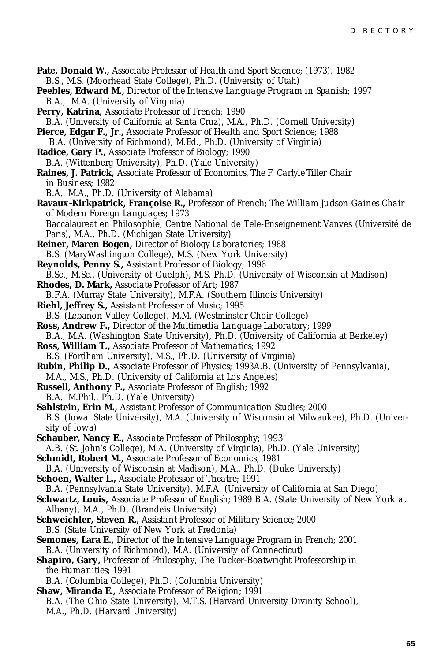| Pate, Donald W., Associate Professor of Health and Sport Science; (1973), 1982                                                                    |
|---------------------------------------------------------------------------------------------------------------------------------------------------|
| B.S., M.S. (Moorhead State College), Ph.D. (University of Utah)                                                                                   |
| Peebles, Edward M., Director of the Intensive Language Program in Spanish; 1997                                                                   |
| B.A., M.A. (University of Virginia)                                                                                                               |
| Perry, Katrina, Associate Professor of French; 1990                                                                                               |
| B.A. (University of California at Santa Cruz), M.A., Ph.D. (Cornell University)                                                                   |
| <b>Pierce, Edgar F., Jr.,</b> Associate Professor of Health and Sport Science; 1988                                                               |
| B.A. (University of Richmond), M.Ed., Ph.D. (University of Virginia)                                                                              |
| <b>Radice, Gary P., Associate Professor of Biology; 1990</b>                                                                                      |
| B.A. (Wittenberg University), Ph.D. (Yale University)                                                                                             |
| Raines, J. Patrick, Associate Professor of Economics, The F. Carlyle Tiller Chair                                                                 |
| in Business; 1982                                                                                                                                 |
| B.A., M.A., Ph.D. (University of Alabama)                                                                                                         |
| Ravaux-Kirkpatrick, Françoise R., Professor of French; The William Judson Gaines Chair                                                            |
| of Modern Foreign Languages; 1973                                                                                                                 |
| Baccalaureat en Philosophie, Centre National de Tele-Enseignement Vanves (Université de                                                           |
| Paris), M.A., Ph.D. (Michigan State University)                                                                                                   |
| <b>Reiner, Maren Bogen, Director of Biology Laboratories; 1988</b>                                                                                |
| B.S. (MaryWashington College), M.S. (New York University)                                                                                         |
| Reynolds, Penny S., Assistant Professor of Biology; 1996                                                                                          |
| B.Sc., M.Sc., (University of Guelph), M.S. Ph.D. (University of Wisconsin at Madison)                                                             |
| <b>Rhodes, D. Mark, Associate Professor of Art; 1987</b>                                                                                          |
| B.F.A. (Murray State University), M.F.A. (Southern Illinois University)                                                                           |
| <b>Riehl, Jeffrey S., Assistant Professor of Music; 1995</b>                                                                                      |
| B.S. (Lebanon Valley College), M.M. (Westminster Choir College)                                                                                   |
| <b>Ross, Andrew F., Director of the Multimedia Language Laboratory; 1999</b>                                                                      |
| B.A., M.A. (Washington State University), Ph.D. (University of California at Berkeley)                                                            |
| <b>Ross, William T., Associate Professor of Mathematics; 1992</b>                                                                                 |
| B.S. (Fordham University), M.S., Ph.D. (University of Virginia)                                                                                   |
| Rubin, Philip D., Associate Professor of Physics; 1993A.B. (University of Pennsylvania),                                                          |
| M.A., M.S., Ph.D. (University of California at Los Angeles)                                                                                       |
| <b>Russell, Anthony P., Associate Professor of English; 1992</b>                                                                                  |
| B.A., M.Phil., Ph.D. (Yale University)                                                                                                            |
| Sahlstein, Erin M., Assistant Professor of Communication Studies; 2000                                                                            |
| B.S. (Iowa State University), M.A. (University of Wisconsin at Milwaukee), Ph.D. (Univer-                                                         |
| sity of Iowa)                                                                                                                                     |
| Schauber, Nancy E., Associate Professor of Philosophy; 1993                                                                                       |
| A.B. (St. John's College), M.A. (University of Virginia), Ph.D. (Yale University)                                                                 |
| <b>Schmidt, Robert M., Associate Professor of Economics; 1981</b>                                                                                 |
| B.A. (University of Wisconsin at Madison), M.A., Ph.D. (Duke University)                                                                          |
| <b>Schoen, Walter L., Associate Professor of Theatre; 1991</b>                                                                                    |
| B.A. (Pennsylvania State University), M.F.A. (University of California at San Diego)                                                              |
| Schwartz, Louis, Associate Professor of English; 1989 B.A. (State University of New York at                                                       |
| Albany), M.A., Ph.D. (Brandeis University)                                                                                                        |
| Schweichler, Steven R., Assistant Professor of Military Science; 2000                                                                             |
| B.S. (State University of New York at Fredonia)                                                                                                   |
| <b>Semones, Lara E.,</b> Director of the Intensive Language Program in French; 2001                                                               |
| B.A. (University of Richmond), M.A. (University of Connecticut)<br>Shapiro, Gary, Professor of Philosophy, The Tucker-Boatwright Professorship in |
|                                                                                                                                                   |
| the Humanities; 1991<br>B.A. (Columbia College), Ph.D. (Columbia University)                                                                      |
| Shaw, Miranda E., Associate Professor of Religion; 1991                                                                                           |
| B.A. (The Ohio State University), M.T.S. (Harvard University Divinity School),                                                                    |
| M.A., Ph.D. (Harvard University)                                                                                                                  |
|                                                                                                                                                   |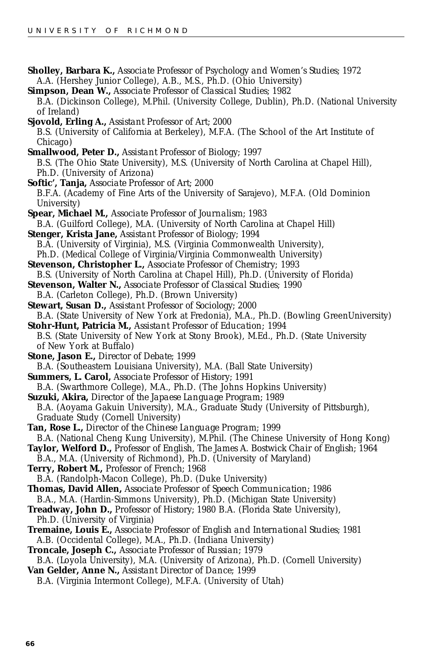- **Sholley, Barbara K.,** *Associate Professor of Psychology and Women's Studies;* 1972 A.A. (Hershey Junior College), A.B., M.S., Ph.D. (Ohio University) **Simpson, Dean W.,** *Associate Professor of Classical Studies;* 1982 B.A. (Dickinson College), M.Phil. (University College, Dublin), Ph.D. (National University of Ireland) **Sjovold, Erling A.,** *Assistant Professor of Art;* 2000 B.S. (University of California at Berkeley), M.F.A. (The School of the Art Institute of Chicago) **Smallwood, Peter D.,** *Assistant Professor of Biology;* 1997 B.S. (The Ohio State University), M.S. (University of North Carolina at Chapel Hill), Ph.D. (University of Arizona) **Softic', Tanja,** *Associate Professor of Art;* 2000 B.F.A. (Academy of Fine Arts of the University of Sarajevo), M.F.A. (Old Dominion University) **Spear, Michael M.,** *Associate Professor of Journalism;* 1983 B.A. (Guilford College), M.A. (University of North Carolina at Chapel Hill) **Stenger, Krista Jane,** *Assistant Professor of Biology;* 1994 B.A. (University of Virginia), M.S. (Virginia Commonwealth University), Ph.D. (Medical College of Virginia/Virginia Commonwealth University) **Stevenson, Christopher L.,** *Associate Professor of Chemistry;* 1993 B.S. (University of North Carolina at Chapel Hill), Ph.D. (University of Florida) **Stevenson, Walter N.,** *Associate Professor of Classical Studies;* 1990 B.A. (Carleton College), Ph.D. (Brown University) **Stewart, Susan D.,** *Assistant Professor of Sociology;* 2000 B.A. (State University of New York at Fredonia), M.A., Ph.D. (Bowling GreenUniversity) **Stohr-Hunt, Patricia M.,** *Assistant Professor of Education;* 1994 B.S. (State University of New York at Stony Brook), M.Ed., Ph.D. (State University of New York at Buffalo) **Stone, Jason E.,** *Director of Debate;* 1999 B.A. (Southeastern Louisiana University), M.A. (Ball State University) **Summers, L. Carol,** *Associate Professor of History;* 1991 B.A. (Swarthmore College), M.A., Ph.D. (The Johns Hopkins University) **Suzuki, Akira,** *Director of the Japaese Language Program;* 1989 B.A. (Aoyama Gakuin University), M.A., Graduate Study (University of Pittsburgh), Graduate Study (Cornell University) **Tan, Rose L.,** *Director of the Chinese Language Program;* 1999 B.A. (National Cheng Kung University), M.Phil. (The Chinese University of Hong Kong) **Taylor, Welford D.,** *Professor of English, The James A. Bostwick Chair of English;* 1964 B.A., M.A. (University of Richmond), Ph.D. (University of Maryland) **Terry, Robert M.,** *Professor of French;* 1968 B.A. (Randolph-Macon College), Ph.D. (Duke University) **Thomas, David Allen,** *Associate Professor of Speech Communication;* 1986 B.A., M.A. (Hardin-Simmons University), Ph.D. (Michigan State University) **Treadway, John D.,** *Professor of History;* 1980 B.A. (Florida State University), Ph.D. (University of Virginia) **Tremaine, Louis E.,** *Associate Professor of English and International Studies;* 1981 A.B. (Occidental College), M.A., Ph.D. (Indiana University)
- **Troncale, Joseph C.,** *Associate Professor of Russian;* 1979

B.A. (Loyola University), M.A. (University of Arizona), Ph.D. (Cornell University) **Van Gelder, Anne N.,** *Assistant Director of Dance;* 1999

B.A. (Virginia Intermont College), M.F.A. (University of Utah)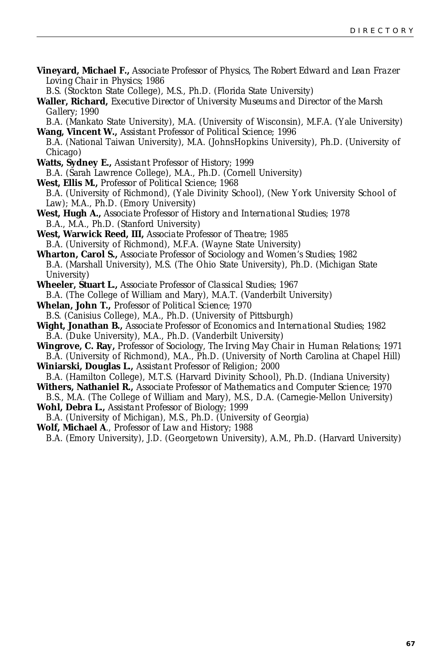**Vineyard, Michael F.,** *Associate Professor of Physics, The Robert Edward and Lean Frazer Loving Chair in Physics;* 1986

B.S. (Stockton State College), M.S., Ph.D. (Florida State University)

**Waller, Richard,** *Executive Director of University Museums and Director of the Marsh Gallery;* 1990

B.A. (Mankato State University), M.A. (University of Wisconsin), M.F.A. (Yale University) **Wang, Vincent W.,** *Assistant Professor of Political Science;* 1996

- B.A. (National Taiwan University), M.A. (JohnsHopkins University), Ph.D. (University of Chicago)
- **Watts, Sydney E.,** *Assistant Professor of History;* 1999 B.A. (Sarah Lawrence College), M.A., Ph.D. (Cornell University)
- **West, Ellis M.,** *Professor of Political Science;* 1968 B.A. (University of Richmond), (Yale Divinity School), (New York University School of Law); M.A., Ph.D. (Emory University)
- **West, Hugh A.,** *Associate Professor of History and International Studies;* 1978 B.A., M.A., Ph.D. (Stanford University)
- **West, Warwick Reed, III,** *Associate Professor of Theatre;* 1985 B.A. (University of Richmond), M.F.A. (Wayne State University)
- **Wharton, Carol S.,** *Associate Professor of Sociology and Women's Studies;* 1982 B.A. (Marshall University), M.S. (The Ohio State University), Ph.D. (Michigan State University)
- **Wheeler, Stuart L.,** *Associate Professor of Classical Studies;* 1967 B.A. (The College of William and Mary), M.A.T. (Vanderbilt University)
- **Whelan, John T.,** *Professor of Political Science;* 1970 B.S. (Canisius College), M.A., Ph.D. (University of Pittsburgh)
- **Wight, Jonathan B.,** *Associate Professor of Economics and International Studies;* 1982 B.A. (Duke University), M.A., Ph.D. (Vanderbilt University)
- **Wingrove, C. Ray,** *Professor of Sociology, The Irving May Chair in Human Relations;* 1971 B.A. (University of Richmond), M.A., Ph.D. (University of North Carolina at Chapel Hill)

**Winiarski, Douglas L.,** *Assistant Professor of Religion;* 2000

- B.A. (Hamilton College), M.T.S. (Harvard Divinity School), Ph.D. (Indiana University) **Withers, Nathaniel R.,** *Associate Professor of Mathematics and Computer Science;* 1970
- B.S., M.A. (The College of William and Mary), M.S., D.A. (Carnegie-Mellon University)
- **Wohl, Debra L.,** *Assistant Professor of Biology;* 1999
- B.A. (University of Michigan), M.S., Ph.D. (University of Georgia)
- **Wolf, Michael A**., *Professor of Law and History*; 1988

B.A. (Emory University), J.D. (Georgetown University), A.M., Ph.D. (Harvard University)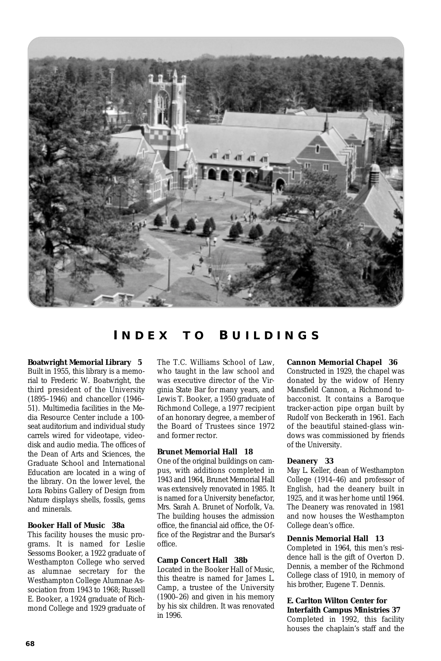<span id="page-67-0"></span>

### **I NDEX T O B UILDINGS**

**Boatwright Memorial Library 5** Built in 1955, this library is a memorial to Frederic W. Boatwright, the third president of the University (1895–1946) and chancellor (1946– 51). Multimedia facilities in the Media Resource Center include a 100 seat auditorium and individual study carrels wired for videotape, videodisk and audio media. The offices of the Dean of Arts and Sciences, the Graduate School and International Education are located in a wing of the library. On the lower level, the Lora Robins Gallery of Design from Nature displays shells, fossils, gems and minerals.

#### **Booker Hall of Music 38a**

This facility houses the music programs. It is named for Leslie Sessoms Booker, a 1922 graduate of Westhampton College who served as alumnae secretary for the Westhampton College Alumnae Association from 1943 to 1968; Russell E. Booker, a 1924 graduate of Richmond College and 1929 graduate of The T.C. Williams School of Law, who taught in the law school and was executive director of the Virginia State Bar for many years, and Lewis T. Booker, a 1950 graduate of Richmond College, a 1977 recipient of an honorary degree, a member of the Board of Trustees since 1972 and former rector.

#### **Brunet Memorial Hall 18**

One of the original buildings on campus, with additions completed in 1943 and 1964, Brunet Memorial Hall was extensively renovated in 1985. It is named for a University benefactor, Mrs. Sarah A. Brunet of Norfolk, Va. The building houses the admission office, the financial aid office, the Office of the Registrar and the Bursar's office.

#### **Camp Concert Hall 38b**

Located in the Booker Hall of Music, this theatre is named for James L. Camp, a trustee of the University (1900–26) and given in his memory by his six children. It was renovated in 1996.

#### **Cannon Memorial Chapel 36**

Constructed in 1929, the chapel was donated by the widow of Henry Mansfield Cannon, a Richmond tobacconist. It contains a Baroque tracker-action pipe organ built by Rudolf von Beckerath in 1961. Each of the beautiful stained-glass windows was commissioned by friends of the University.

#### **Deanery 33**

May L. Keller, dean of Westhampton College (1914–46) and professor of English, had the deanery built in 1925, and it was her home until 1964. The Deanery was renovated in 1981 and now houses the Westhampton College dean's office.

#### **Dennis Memorial Hall 13**

Completed in 1964, this men's residence hall is the gift of Overton D. Dennis, a member of the Richmond College class of 1910, in memory of his brother, Eugene T. Dennis.

#### **E. Carlton Wilton Center for Interfaith Campus Ministries 37**

Completed in 1992, this facility houses the chaplain's staff and the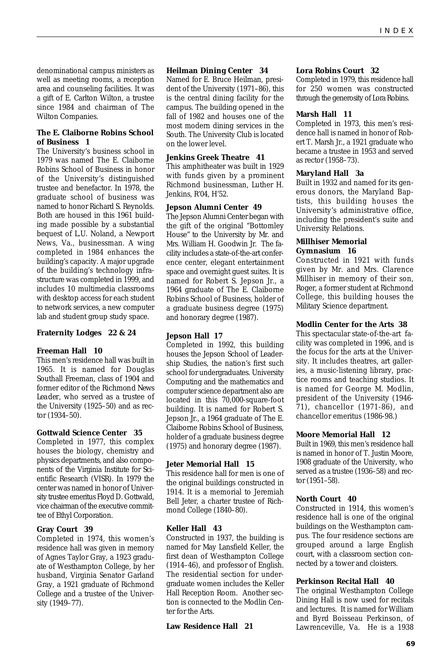denominational campus ministers as well as meeting rooms, a reception area and counseling facilities. It was a gift of E. Carlton Wilton, a trustee since 1984 and chairman of The Wilton Companies.

#### **The E. Claiborne Robins School of Business 1**

The University's business school in 1979 was named The E. Claiborne Robins School of Business in honor of the University's distinguished trustee and benefactor. In 1978, the graduate school of business was named to honor Richard S. Reynolds. Both are housed in this 1961 building made possible by a substantial bequest of L.U. Noland, a Newport News, Va., businessman. A wing completed in 1984 enhances the building's capacity. A major upgrade of the building's technology infrastructure was completed in 1999, and includes 10 multimedia classrooms with desktop access for each student to network services, a new computer lab and student group study space.

#### **Fraternity Lodges 22 & 24**

#### **Freeman Hall 10**

This men's residence hall was built in 1965. It is named for Douglas Southall Freeman, class of 1904 and former editor of the *Richmond News Leader*, who served as a trustee of the University (1925–50) and as rector (1934–50).

#### **Gottwald Science Center 35**

Completed in 1977, this complex houses the biology, chemistry and physics departments, and also components of the Virginia Institute for Scientific Research (VISR). In 1979 the center was named in honor of University trustee emeritus Floyd D. Gottwald, vice chairman of the executive committee of Ethyl Corporation.

#### **Gray Court 39**

Completed in 1974, this women's residence hall was given in memory of Agnes Taylor Gray, a 1923 graduate of Westhampton College, by her husband, Virginia Senator Garland Gray, a 1921 graduate of Richmond College and a trustee of the University (1949–77).

#### **Heilman Dining Center 34**

Named for E. Bruce Heilman, president of the University (1971–86), this is the central dining facility for the campus. The building opened in the fall of 1982 and houses one of the most modern dining services in the South. The University Club is located on the lower level.

#### **Jenkins Greek Theatre 41**

This amphitheater was built in 1929 with funds given by a prominent Richmond businessman, Luther H. Jenkins, R'04, H'52.

#### **Jepson Alumni Center 49**

The Jepson Alumni Center began with the gift of the original "Bottomley House" to the University by Mr. and Mrs. William H. Goodwin Jr. The facility includes a state-of-the-art conference center, elegant entertainment space and overnight guest suites. It is named for Robert S. Jepson Jr., a 1964 graduate of The E. Claiborne Robins School of Business, holder of a graduate business degree (1975) and honorary degree (1987).

#### **Jepson Hall 17**

Completed in 1992, this building houses the Jepson School of Leadership Studies, the nation's first such school for undergraduates. University Computing and the mathematics and computer science department also are located in this 70,000-square-foot building. It is named for Robert S. Jepson Jr., a 1964 graduate of The E. Claiborne Robins School of Business, holder of a graduate business degree (1975) and honorary degree (1987).

#### **Jeter Memorial Hall 15**

This residence hall for men is one of the original buildings constructed in 1914. It is a memorial to Jeremiah Bell Jeter, a charter trustee of Richmond College (1840–80).

#### **Keller Hall 43**

Constructed in 1937, the building is named for May Lansfield Keller, the first dean of Westhampton College (1914–46), and professor of English. The residential section for undergraduate women includes the Keller Hall Reception Room. Another section is connected to the Modlin Center for the Arts.

#### **Law Residence Hall 21**

#### **Lora Robins Court 32**

Completed in 1979, this residence hall for 250 women was constructed through the generosity of Lora Robins.

#### **Marsh Hall 11**

Completed in 1973, this men's residence hall is named in honor of Robert T. Marsh Jr., a 1921 graduate who became a trustee in 1953 and served as rector (1958–73).

#### **Maryland Hall 3a**

Built in 1932 and named for its generous donors, the Maryland Baptists, this building houses the University's administrative office, including the president's suite and University Relations.

#### **Millhiser Memorial Gymnasium 16**

Constructed in 1921 with funds given by Mr. and Mrs. Clarence Millhiser in memory of their son, Roger, a former student at Richmond College, this building houses the Military Science department.

#### **Modlin Center for the Arts 38**

This spectacular state-of-the-art facility was completed in 1996, and is the focus for the arts at the University. It includes theatres, art galleries, a music-listening library, practice rooms and teaching studios. It is named for George M. Modlin, president of the University (1946- 71), chancellor (1971-86), and chancellor emeritus (1986-98.)

#### **Moore Memorial Hall 12**

Built in 1969, this men's residence hall is named in honor of T. Justin Moore, 1908 graduate of the University, who served as a trustee (1936–58) and rector (1951–58).

#### **North Court 40**

Constructed in 1914, this women's residence hall is one of the original buildings on the Westhampton campus. The four residence sections are grouped around a large English court, with a classroom section connected by a tower and cloisters.

#### **Perkinson Recital Hall 40**

The original Westhampton College Dining Hall is now used for recitals and lectures. It is named for William and Byrd Boisseau Perkinson, of Lawrenceville, Va. He is a 1938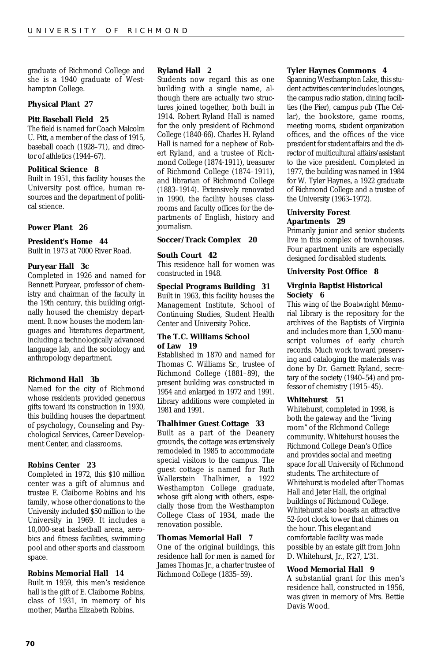graduate of Richmond College and she is a 1940 graduate of Westhampton College.

#### **Physical Plant 27**

#### **Pitt Baseball Field 25**

The field is named for Coach Malcolm U. Pitt, a member of the class of 1915, baseball coach (1928–71), and director of athletics (1944–67).

#### **Political Science 8**

Built in 1951, this facility houses the University post office, human resources and the department of political science.

#### **Power Plant 26**

#### **President's Home 44**

Built in 1973 at 7000 River Road.

#### **Puryear Hall 3c**

Completed in 1926 and named for Bennett Puryear, professor of chemistry and chairman of the faculty in the 19th century, this building originally housed the chemistry department. It now houses the modern languages and literatures department, including a technologically advanced language lab, and the sociology and anthropology department.

#### **Richmond Hall 3b**

Named for the city of Richmond whose residents provided generous gifts toward its construction in 1930, this building houses the department of psychology, Counseling and Psychological Services, Career Development Center, and classrooms.

#### **Robins Center 23**

Completed in 1972, this \$10 million center was a gift of alumnus and trustee E. Claiborne Robins and his family, whose other donations to the University included \$50 million to the University in 1969. It includes a 10,000-seat basketball arena, aerobics and fitness facilities, swimming pool and other sports and classroom space.

#### **Robins Memorial Hall 14**

Built in 1959, this men's residence hall is the gift of E. Claiborne Robins, class of 1931, in memory of his mother, Martha Elizabeth Robins.

#### **Ryland Hall 2**

Students now regard this as one building with a single name, although there are actually two structures joined together, both built in 1914. Robert Ryland Hall is named for the only president of Richmond College (1840-66). Charles H. Ryland Hall is named for a nephew of Robert Ryland, and a trustee of Richmond College (1874-1911), treasurer of Richmond College (1874–1911), and librarian of Richmond College (1883–1914). Extensively renovated in 1990, the facility houses classrooms and faculty offices for the departments of English, history and journalism.

#### **Soccer/Track Complex 20**

#### **South Court 42**

This residence hall for women was constructed in 1948.

#### **Special Programs Building 31**

Built in 1963, this facility houses the Management Institute, School of Continuing Studies, Student Health Center and University Police.

#### **The T.C. Williams School of Law 19**

Established in 1870 and named for Thomas C. Williams Sr., trustee of Richmond College (1881–89), the present building was constructed in 1954 and enlarged in 1972 and 1991. Library additions were completed in 1981 and 1991.

#### **Thalhimer Guest Cottage 33**

Built as a part of the Deanery grounds, the cottage was extensively remodeled in 1985 to accommodate special visitors to the campus. The guest cottage is named for Ruth Wallerstein Thalhimer, a 1922 Westhampton College graduate, whose gift along with others, especially those from the Westhampton College Class of 1934, made the renovation possible.

#### **Thomas Memorial Hall 7**

One of the original buildings, this residence hall for men is named for James Thomas Jr., a charter trustee of Richmond College (1835–59).

#### **Tyler Haynes Commons 4**

Spanning Westhampton Lake, this student activities center includes lounges, the campus radio station, dining facilities (the Pier), campus pub (The Cellar), the bookstore, game rooms, meeting rooms, student organization offices, and the offices of the vice president for student affairs and the director of multicultural affairs/assistant to the vice president. Completed in 1977, the building was named in 1984 for W. Tyler Haynes, a 1922 graduate of Richmond College and a trustee of the University (1963–1972).

#### **University Forest Apartments 29**

Primarily junior and senior students live in this complex of townhouses. Four apartment units are especially designed for disabled students.

#### **University Post Office 8**

#### **Virginia Baptist Historical Society 6**

This wing of the Boatwright Memorial Library is the repository for the archives of the Baptists of Virginia and includes more than 1,500 manuscript volumes of early church records. Much work toward preserving and cataloging the materials was done by Dr. Garnett Ryland, secretary of the society (1940–54) and professor of chemistry (1915–45).

#### **Whitehurst 51**

Whitehurst, completed in 1998, is both the gateway and the "living room" of the RIchmond College community. Whitehurst houses the Richmond College Dean's Office and provides social and meeting space for all University of Richmond students. The architecture of Whitehurst is modeled after Thomas Hall and Jeter Hall, the original buildings of Richmond College. Whitehurst also boasts an attractive 52-foot clock tower that chimes on the hour. This elegant and comfortable facility was made possible by an estate gift from John D. Whitehurst, Jr., R'27, L'31.

#### **Wood Memorial Hall 9**

A substantial grant for this men's residence hall, constructed in 1956, was given in memory of Mrs. Bettie Davis Wood.